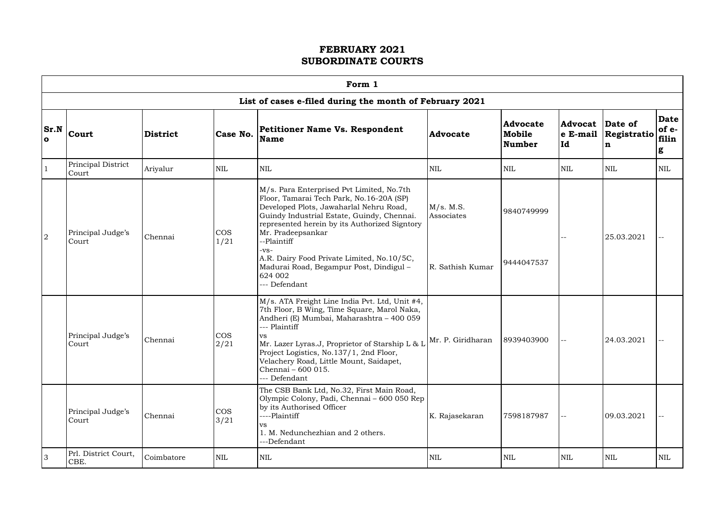|                      |                                                         |                 |                    | Form 1                                                                                                                                                                                                                                                                                                                                                                           |                                             |                                            |                           |                             |                               |  |  |  |
|----------------------|---------------------------------------------------------|-----------------|--------------------|----------------------------------------------------------------------------------------------------------------------------------------------------------------------------------------------------------------------------------------------------------------------------------------------------------------------------------------------------------------------------------|---------------------------------------------|--------------------------------------------|---------------------------|-----------------------------|-------------------------------|--|--|--|
|                      | List of cases e-filed during the month of February 2021 |                 |                    |                                                                                                                                                                                                                                                                                                                                                                                  |                                             |                                            |                           |                             |                               |  |  |  |
| Sr.N<br>$\mathbf{o}$ | <b>Court</b>                                            | <b>District</b> | Case No.           | <b>Petitioner Name Vs. Respondent</b><br><b>Name</b>                                                                                                                                                                                                                                                                                                                             | Advocate                                    | <b>Advocate</b><br>Mobile<br><b>Number</b> | Advocat<br>e E-mail<br>Id | Date of<br>Registratio<br>n | Date<br>$of e-$<br>filin<br>g |  |  |  |
|                      | Principal District<br>Court                             | Ariyalur        | NIL                | $\mbox{NIL}$                                                                                                                                                                                                                                                                                                                                                                     | <b>NIL</b>                                  | $\mbox{NIL}$                               | <b>NIL</b>                | <b>NIL</b>                  | <b>NIL</b>                    |  |  |  |
| $\overline{2}$       | Principal Judge's<br>Court                              | Chennai         | <b>COS</b><br>1/21 | M/s. Para Enterprised Pvt Limited, No.7th<br>Floor, Tamarai Tech Park, No.16-20A (SP)<br>Developed Plots, Jawaharlal Nehru Road,<br>Guindy Industrial Estate, Guindy, Chennai.<br>represented herein by its Authorized Signtory<br>Mr. Pradeepsankar<br>--Plaintiff<br>$-VS-$<br>A.R. Dairy Food Private Limited, No.10/5C,<br>Madurai Road, Begampur Post, Dindigul-<br>624 002 | M/s. M.S.<br>Associates<br>R. Sathish Kumar | 9840749999<br>9444047537                   |                           | 25.03.2021                  |                               |  |  |  |
|                      | Principal Judge's<br>Court                              | Chennai         | <b>COS</b><br>2/21 | --- Defendant<br>M/s. ATA Freight Line India Pvt. Ltd, Unit #4,<br>7th Floor, B Wing, Time Square, Marol Naka,<br>Andheri (E) Mumbai, Maharashtra - 400 059<br>--- Plaintiff<br>VS.<br>Mr. Lazer Lyras.J, Proprietor of Starship L & L<br>Project Logistics, No.137/1, 2nd Floor,<br>Velachery Road, Little Mount, Saidapet,<br>Chennai - 600 015.<br>--- Defendant              | Mr. P. Giridharan                           | 8939403900                                 |                           | 24.03.2021                  |                               |  |  |  |
|                      | Principal Judge's<br>Court                              | Chennai         | <b>COS</b><br>3/21 | The CSB Bank Ltd, No.32, First Main Road,<br>Olympic Colony, Padi, Chennai - 600 050 Rep<br>by its Authorised Officer<br>----Plaintiff<br>VS<br>1. M. Nedunchezhian and 2 others.<br>---Defendant                                                                                                                                                                                | K. Rajasekaran                              | 7598187987                                 | $-$                       | 09.03.2021                  |                               |  |  |  |
| 3                    | Prl. District Court,<br>CBE.                            | Coimbatore      | $\mbox{NIL}$       | NIL                                                                                                                                                                                                                                                                                                                                                                              | <b>NIL</b>                                  | <b>NIL</b>                                 | <b>NIL</b>                | <b>NIL</b>                  | <b>NIL</b>                    |  |  |  |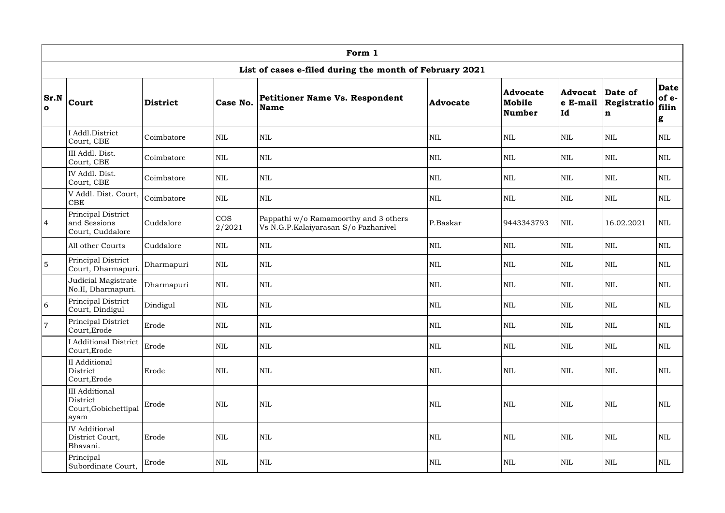|                                                                                                                                                                                                                                                         | Form 1                                                            |            |                      |                                                                               |              |              |            |              |                                    |  |  |
|---------------------------------------------------------------------------------------------------------------------------------------------------------------------------------------------------------------------------------------------------------|-------------------------------------------------------------------|------------|----------------------|-------------------------------------------------------------------------------|--------------|--------------|------------|--------------|------------------------------------|--|--|
|                                                                                                                                                                                                                                                         |                                                                   |            |                      | List of cases e-filed during the month of February 2021                       |              |              |            |              |                                    |  |  |
| <b>Advocate</b><br>Advocat<br>Date of<br>Sr.N<br>Petitioner Name Vs. Respondent<br><b>Court</b><br>Case No.<br>Registratio<br>Mobile<br>$ e\>$ E-mail<br><b>District</b><br><b>Advocate</b><br><b>Name</b><br>$\mathbf{o}$<br><b>Number</b><br> Id<br>n |                                                                   |            |                      |                                                                               |              |              |            |              | <b>Date</b><br>of e-<br>filin<br>g |  |  |
|                                                                                                                                                                                                                                                         | I Addl.District<br>Court, CBE                                     | Coimbatore | $\mbox{NIL}$         | <b>NIL</b>                                                                    | $\mbox{NIL}$ | <b>NIL</b>   | NIL        | <b>NIL</b>   | $\mbox{NIL}$                       |  |  |
|                                                                                                                                                                                                                                                         | III Addl. Dist.<br>Court, CBE                                     | Coimbatore | <b>NIL</b>           | <b>NIL</b>                                                                    | <b>NIL</b>   | <b>NIL</b>   | NIL        | <b>NIL</b>   | NIL                                |  |  |
|                                                                                                                                                                                                                                                         | IV Addl. Dist.<br>Court, CBE                                      | Coimbatore | <b>NIL</b>           | <b>NIL</b>                                                                    | <b>NIL</b>   | <b>NIL</b>   | NIL        | <b>NIL</b>   | <b>NIL</b>                         |  |  |
|                                                                                                                                                                                                                                                         | V Addl. Dist. Court,<br><b>CBE</b>                                | Coimbatore | $\mbox{NIL}$         | $\mbox{NIL}$                                                                  | <b>NIL</b>   | <b>NIL</b>   | <b>NIL</b> | $\mbox{NIL}$ | <b>NIL</b>                         |  |  |
| $\overline{4}$                                                                                                                                                                                                                                          | Principal District<br>and Sessions<br>Court, Cuddalore            | Cuddalore  | <b>COS</b><br>2/2021 | Pappathi w/o Ramamoorthy and 3 others<br>Vs N.G.P.Kalaiyarasan S/o Pazhanivel | P.Baskar     | 9443343793   | <b>NIL</b> | 16.02.2021   | NIL                                |  |  |
|                                                                                                                                                                                                                                                         | All other Courts                                                  | Cuddalore  | $\mbox{NIL}$         | $\mbox{NIL}$                                                                  | <b>NIL</b>   | <b>NIL</b>   | <b>NIL</b> | $\mbox{NIL}$ | NIL                                |  |  |
| $\overline{5}$                                                                                                                                                                                                                                          | Principal District<br>Court, Dharmapuri.                          | Dharmapuri | $\mbox{NIL}$         | <b>NIL</b>                                                                    | <b>NIL</b>   | <b>NIL</b>   | <b>NIL</b> | <b>NIL</b>   | <b>NIL</b>                         |  |  |
|                                                                                                                                                                                                                                                         | Judicial Magistrate<br>No.II, Dharmapuri.                         | Dharmapuri | $\mbox{NIL}$         | <b>NIL</b>                                                                    | $\mbox{NIL}$ | <b>NIL</b>   | <b>NIL</b> | <b>NIL</b>   | <b>NIL</b>                         |  |  |
| 6                                                                                                                                                                                                                                                       | Principal District<br>Court, Dindigul                             | Dindigul   | <b>NIL</b>           | <b>NIL</b>                                                                    | <b>NIL</b>   | <b>NIL</b>   | NIL        | <b>NIL</b>   | <b>NIL</b>                         |  |  |
| $\overline{7}$                                                                                                                                                                                                                                          | Principal District<br>Court, Erode                                | Erode      | $\mbox{NIL}$         | $\mbox{NIL}$                                                                  | <b>NIL</b>   | $\mbox{NIL}$ | NIL        | <b>NIL</b>   | NIL                                |  |  |
|                                                                                                                                                                                                                                                         | <b>I</b> Additional District<br>Court, Erode                      | Erode      | <b>NIL</b>           | $\mbox{NIL}$                                                                  | <b>NIL</b>   | $\mbox{NIL}$ | NIL        | <b>NIL</b>   | $\mbox{NIL}$                       |  |  |
|                                                                                                                                                                                                                                                         | II Additional<br>District<br>Court, Erode                         | Erode      | $\mbox{NIL}$         | $\mbox{NIL}$                                                                  | <b>NIL</b>   | $\mbox{NIL}$ | NIL        | $\mbox{NIL}$ | $\mbox{NIL}$                       |  |  |
|                                                                                                                                                                                                                                                         | <b>III</b> Additional<br>District<br>Court, Gobichettipal<br>ayam | Erode      | $\mbox{NIL}$         | $\mbox{NIL}$                                                                  | <b>NIL</b>   | $\mbox{NIL}$ | NIL        | $\mbox{NIL}$ | $\mbox{NIL}$                       |  |  |
|                                                                                                                                                                                                                                                         | <b>IV</b> Additional<br>District Court,<br>Bhavani.               | Erode      | $\mbox{NIL}$         | $\mbox{NIL}$                                                                  | <b>NIL</b>   | $\mbox{NIL}$ | NIL        | $\mbox{NIL}$ | $\mbox{NIL}$                       |  |  |
|                                                                                                                                                                                                                                                         | Principal<br>Subordinate Court,                                   | Erode      | $\mbox{NIL}$         | $\mbox{NIL}$                                                                  | NIL          | $\mbox{NIL}$ | NIL        | $\mbox{NIL}$ | NIL                                |  |  |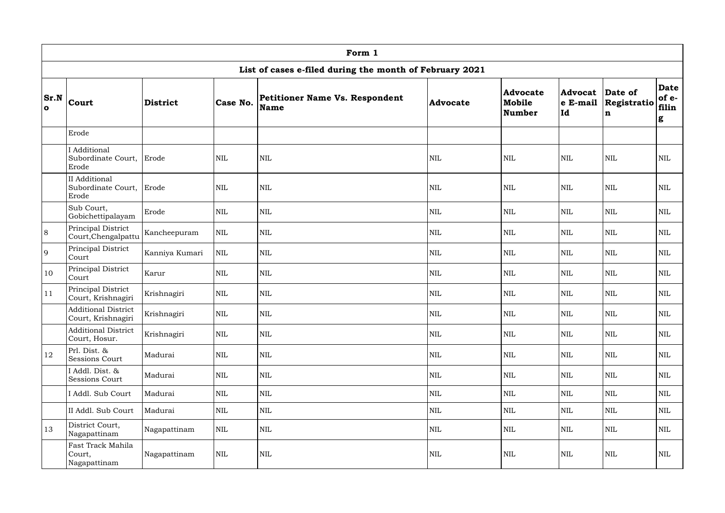|                             | Form 1                                           |                 |              |                                                         |            |                                     |                                       |                                       |                                    |  |  |  |
|-----------------------------|--------------------------------------------------|-----------------|--------------|---------------------------------------------------------|------------|-------------------------------------|---------------------------------------|---------------------------------------|------------------------------------|--|--|--|
|                             |                                                  |                 |              | List of cases e-filed during the month of February 2021 |            |                                     |                                       |                                       |                                    |  |  |  |
| <b>Sr.N</b><br>$\mathbf{o}$ | <b>Court</b>                                     | <b>District</b> | Case No.     | Petitioner Name Vs. Respondent<br><b>Name</b>           | Advocate   | <b>Advocate</b><br>Mobile<br>Number | <b>Advocat</b><br>$ e\>$ E-mail<br>Id | Date of<br>Registratio<br>$\mathbf n$ | <b>Date</b><br>of e-<br>filin<br>g |  |  |  |
|                             | Erode                                            |                 |              |                                                         |            |                                     |                                       |                                       |                                    |  |  |  |
|                             | I Additional<br>Subordinate Court,<br>Erode      | Erode           | <b>NIL</b>   | $\mbox{NIL}$                                            | <b>NIL</b> | <b>NIL</b>                          | <b>NIL</b>                            | <b>NIL</b>                            | <b>NIL</b>                         |  |  |  |
|                             | II Additional<br>Subordinate Court,<br>Erode     | Erode           | $\mbox{NIL}$ | $\mbox{NIL}$                                            | <b>NIL</b> | <b>NIL</b>                          | <b>NIL</b>                            | <b>NIL</b>                            | <b>NIL</b>                         |  |  |  |
|                             | Sub Court,<br>Gobichettipalayam                  | Erode           | $\mbox{NIL}$ | $\rm NIL$                                               | <b>NIL</b> | <b>NIL</b>                          | <b>NIL</b>                            | <b>NIL</b>                            | $\mbox{NIL}$                       |  |  |  |
| 8                           | Principal District<br>Court, Chengalpattu        | Kancheepuram    | $\mbox{NIL}$ | $\mbox{NIL}$                                            | <b>NIL</b> | <b>NIL</b>                          | <b>NIL</b>                            | <b>NIL</b>                            | $\mbox{NIL}$                       |  |  |  |
| 9                           | Principal District<br>Court                      | Kanniya Kumari  | $\mbox{NIL}$ | $\rm NIL$                                               | <b>NIL</b> | <b>NIL</b>                          | <b>NIL</b>                            | <b>NIL</b>                            | $\mbox{NIL}$                       |  |  |  |
| 10                          | Principal District<br>Court                      | Karur           | $\mbox{NIL}$ | $\mbox{NIL}$                                            | <b>NIL</b> | <b>NIL</b>                          | <b>NIL</b>                            | <b>NIL</b>                            | $\mbox{NIL}$                       |  |  |  |
| 11                          | Principal District<br>Court, Krishnagiri         | Krishnagiri     | <b>NIL</b>   | $\mbox{NIL}$                                            | <b>NIL</b> | <b>NIL</b>                          | <b>NIL</b>                            | <b>NIL</b>                            | $\mbox{NIL}$                       |  |  |  |
|                             | <b>Additional District</b><br>Court, Krishnagiri | Krishnagiri     | NIL          | <b>NIL</b>                                              | NIL        | NIL                                 | <b>NIL</b>                            | $\mbox{NIL}$                          | <b>NIL</b>                         |  |  |  |
|                             | <b>Additional District</b><br>Court, Hosur.      | Krishnagiri     | $\mbox{NIL}$ | $\mbox{NIL}$                                            | <b>NIL</b> | <b>NIL</b>                          | <b>NIL</b>                            | $\mbox{NIL}$                          | $\mbox{NIL}$                       |  |  |  |
| 12                          | Prl. Dist. &<br>Sessions Court                   | Madurai         | $\mbox{NIL}$ | $\mbox{NIL}$                                            | <b>NIL</b> | <b>NIL</b>                          | <b>NIL</b>                            | <b>NIL</b>                            | <b>NIL</b>                         |  |  |  |
|                             | I Addl. Dist. &<br>Sessions Court                | Madurai         | $\mbox{NIL}$ | $\mbox{NIL}$                                            | <b>NIL</b> | <b>NIL</b>                          | <b>NIL</b>                            | $\mbox{NIL}$                          | $\mbox{NIL}$                       |  |  |  |
|                             | I Addl. Sub Court                                | Madurai         | $\mbox{NIL}$ | $\mbox{NIL}$                                            | <b>NIL</b> | <b>NIL</b>                          | <b>NIL</b>                            | $\mbox{NIL}$                          | $\mbox{NIL}$                       |  |  |  |
|                             | II Addl. Sub Court                               | Madurai         | $\mbox{NIL}$ | $\mbox{NIL}$                                            | <b>NIL</b> | <b>NIL</b>                          | <b>NIL</b>                            | $\mbox{NIL}$                          | $\mbox{NIL}$                       |  |  |  |
| 13                          | District Court,<br>Nagapattinam                  | Nagapattinam    | $\mbox{NIL}$ | $\mbox{NIL}$                                            | <b>NIL</b> | <b>NIL</b>                          | <b>NIL</b>                            | $\mbox{NIL}$                          | $\mbox{NIL}$                       |  |  |  |
|                             | Fast Track Mahila<br>Court,<br>Nagapattinam      | Nagapattinam    | $\mbox{NIL}$ | $\mbox{NIL}$                                            | <b>NIL</b> | <b>NIL</b>                          | <b>NIL</b>                            | $\mbox{NIL}$                          | <b>NIL</b>                         |  |  |  |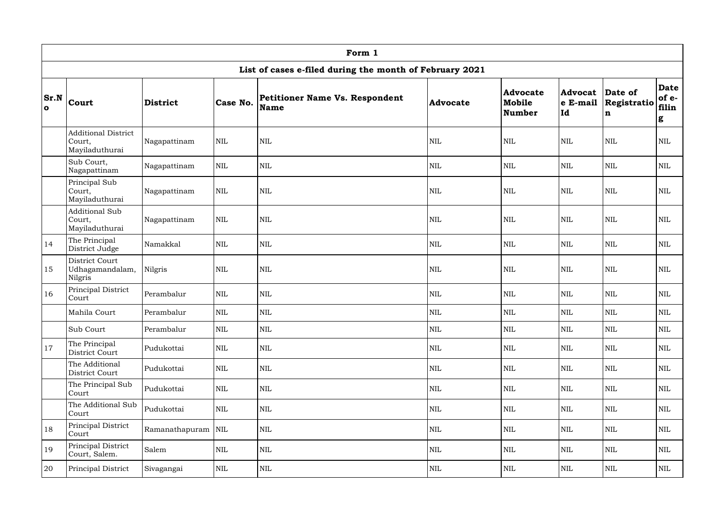|                          | Form 1                                                 |                 |              |                                                         |                 |                                            |                                          |                            |                                    |  |  |
|--------------------------|--------------------------------------------------------|-----------------|--------------|---------------------------------------------------------|-----------------|--------------------------------------------|------------------------------------------|----------------------------|------------------------------------|--|--|
|                          |                                                        |                 |              | List of cases e-filed during the month of February 2021 |                 |                                            |                                          |                            |                                    |  |  |
| <b>Sr.N</b><br>$\bullet$ | Court                                                  | <b>District</b> | Case No.     | <b>Petitioner Name Vs. Respondent</b><br>Name           | <b>Advocate</b> | <b>Advocate</b><br>Mobile<br><b>Number</b> | <b>Advocat</b> Date of<br>e E-mail<br>Id | Registratio<br>$\mathbf n$ | <b>Date</b><br>of e-<br>filin<br>g |  |  |
|                          | <b>Additional District</b><br>Court,<br>Mayiladuthurai | Nagapattinam    | $\mbox{NIL}$ | <b>NIL</b>                                              | <b>NIL</b>      | <b>NIL</b>                                 | <b>NIL</b>                               | <b>NIL</b>                 | <b>NIL</b>                         |  |  |
|                          | Sub Court,<br>Nagapattinam                             | Nagapattinam    | $\mbox{NIL}$ | $\mbox{NIL}$                                            | <b>NIL</b>      | <b>NIL</b>                                 | $\mbox{NIL}$                             | <b>NIL</b>                 | <b>NIL</b>                         |  |  |
|                          | Principal Sub<br>Court,<br>Mayiladuthurai              | Nagapattinam    | <b>NIL</b>   | <b>NIL</b>                                              | <b>NIL</b>      | <b>NIL</b>                                 | <b>NIL</b>                               | <b>NIL</b>                 | <b>NIL</b>                         |  |  |
|                          | <b>Additional Sub</b><br>Court,<br>Mayiladuthurai      | Nagapattinam    | $\mbox{NIL}$ | <b>NIL</b>                                              | $\mbox{NIL}$    | <b>NIL</b>                                 | $\mbox{NIL}$                             | <b>NIL</b>                 | <b>NIL</b>                         |  |  |
| 14                       | The Principal<br>District Judge                        | Namakkal        | $\mbox{NIL}$ | $\mbox{NIL}$                                            | <b>NIL</b>      | <b>NIL</b>                                 | $\mbox{NIL}$                             | <b>NIL</b>                 | <b>NIL</b>                         |  |  |
| 15                       | District Court<br>Udhagamandalam,<br>Nilgris           | Nilgris         | $\mbox{NIL}$ | <b>NIL</b>                                              | $\mbox{NIL}$    | $\text{NIL}$                               | <b>NIL</b>                               | $\mbox{NIL}$               | <b>NIL</b>                         |  |  |
| 16                       | Principal District<br>Court                            | Perambalur      | $\mbox{NIL}$ | $\mbox{NIL}$                                            | <b>NIL</b>      | <b>NIL</b>                                 | $\mbox{NIL}$                             | <b>NIL</b>                 | <b>NIL</b>                         |  |  |
|                          | Mahila Court                                           | Perambalur      | <b>NIL</b>   | $\mbox{NIL}$                                            | NIL             | <b>NIL</b>                                 | <b>NIL</b>                               | <b>NIL</b>                 | <b>NIL</b>                         |  |  |
|                          | Sub Court                                              | Perambalur      | $\mbox{NIL}$ | $\mbox{NIL}$                                            | <b>NIL</b>      | $\text{NIL}$                               | $\mbox{NIL}$                             | <b>NIL</b>                 | <b>NIL</b>                         |  |  |
| 17                       | The Principal<br>District Court                        | Pudukottai      | $\mbox{NIL}$ | <b>NIL</b>                                              | NIL             | $\mbox{NIL}$                               | <b>NIL</b>                               | <b>NIL</b>                 | <b>NIL</b>                         |  |  |
|                          | The Additional<br>District Court                       | Pudukottai      | $\mbox{NIL}$ | $\mbox{NIL}$                                            | <b>NIL</b>      | $\text{NIL}$                               | <b>NIL</b>                               | <b>NIL</b>                 | <b>NIL</b>                         |  |  |
|                          | The Principal Sub<br>Court                             | Pudukottai      | $\mbox{NIL}$ | $\mbox{NIL}$                                            | <b>NIL</b>      | $\mbox{NIL}$                               | $\mbox{NIL}$                             | <b>NIL</b>                 | <b>NIL</b>                         |  |  |
|                          | The Additional Sub<br>Court                            | Pudukottai      | $\mbox{NIL}$ | $\mbox{NIL}$                                            | <b>NIL</b>      | $\mbox{NIL}$                               | $\mbox{NIL}$                             | <b>NIL</b>                 | $\mbox{NIL}$                       |  |  |
| 18                       | Principal District<br>Court                            | Ramanathapuram  | $\mbox{NIL}$ | $\mbox{NIL}$                                            | <b>NIL</b>      | NIL                                        | $\mbox{NIL}$                             | $\mbox{NIL}$               | <b>NIL</b>                         |  |  |
| 19                       | Principal District<br>Court, Salem.                    | Salem           | $\mbox{NIL}$ | $\mbox{NIL}$                                            | NIL             | $\text{NIL}$                               | <b>NIL</b>                               | <b>NIL</b>                 | <b>NIL</b>                         |  |  |
| 20                       | Principal District                                     | Sivagangai      | $\mbox{NIL}$ | NIL                                                     | NIL             | NIL                                        | <b>NIL</b>                               | <b>NIL</b>                 | <b>NIL</b>                         |  |  |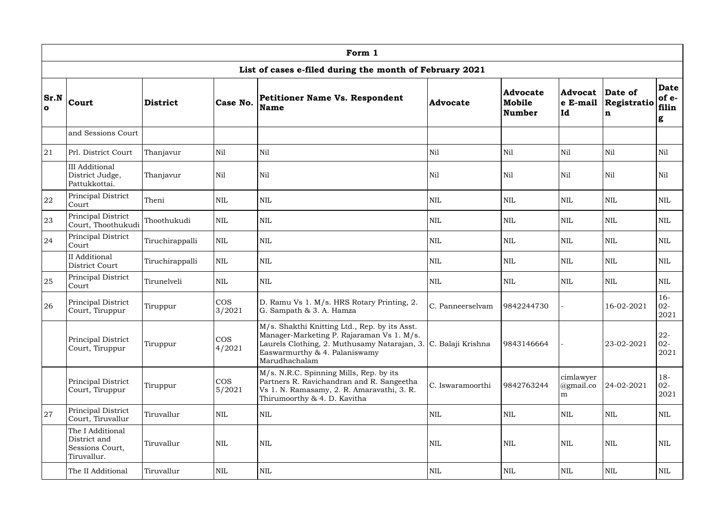|                       | Form 1                                                             |                 |                      |                                                                                                                                                                                                                |                  |                                            |                                |                             |                                    |  |  |  |
|-----------------------|--------------------------------------------------------------------|-----------------|----------------------|----------------------------------------------------------------------------------------------------------------------------------------------------------------------------------------------------------------|------------------|--------------------------------------------|--------------------------------|-----------------------------|------------------------------------|--|--|--|
|                       |                                                                    |                 |                      | List of cases e-filed during the month of February 2021                                                                                                                                                        |                  |                                            |                                |                             |                                    |  |  |  |
| Sr.N <br>$\mathbf{o}$ | <b>Court</b>                                                       | <b>District</b> | Case No.             | Petitioner Name Vs. Respondent<br><b>Name</b>                                                                                                                                                                  | Advocate         | <b>Advocate</b><br>Mobile<br><b>Number</b> | Advocat<br>$ e\>$ E-mail<br>Id | Date of<br>Registratio<br>n | <b>Date</b><br>of e-<br>filin<br>g |  |  |  |
|                       | and Sessions Court                                                 |                 |                      |                                                                                                                                                                                                                |                  |                                            |                                |                             |                                    |  |  |  |
| 21                    | Prl. District Court                                                | Thanjavur       | Nil                  | Nil                                                                                                                                                                                                            | Nil              | Nil                                        | Nil                            | Nil                         | Nil                                |  |  |  |
|                       | <b>III</b> Additional<br>District Judge,<br>Pattukkottai.          | Thanjavur       | Nil                  | Nil                                                                                                                                                                                                            | Nil              | Nil                                        | Nil                            | Nil                         | Nil                                |  |  |  |
| 22                    | Principal District<br>Court                                        | Theni           | <b>NIL</b>           | <b>NIL</b>                                                                                                                                                                                                     | <b>NIL</b>       | <b>NIL</b>                                 | <b>NIL</b>                     | <b>NIL</b>                  | <b>NIL</b>                         |  |  |  |
| 23                    | Principal District<br>Court, Thoothukudi                           | Thoothukudi     | <b>NIL</b>           | <b>NIL</b>                                                                                                                                                                                                     | <b>NIL</b>       | NIL                                        | <b>NIL</b>                     | <b>NIL</b>                  | <b>NIL</b>                         |  |  |  |
| 24                    | Principal District<br>Court                                        | Tiruchirappalli | <b>NIL</b>           | <b>NIL</b>                                                                                                                                                                                                     | <b>NIL</b>       | <b>NIL</b>                                 | <b>NIL</b>                     | <b>NIL</b>                  | <b>NIL</b>                         |  |  |  |
|                       | II Additional<br>District Court                                    | Tiruchirappalli | <b>NIL</b>           | $\mbox{NIL}$                                                                                                                                                                                                   | <b>NIL</b>       | <b>NIL</b>                                 | <b>NIL</b>                     | <b>NIL</b>                  | <b>NIL</b>                         |  |  |  |
| 25                    | Principal District<br>Court                                        | Tirunelveli     | <b>NIL</b>           | <b>NIL</b>                                                                                                                                                                                                     | <b>NIL</b>       | NIL                                        | <b>NIL</b>                     | <b>NIL</b>                  | NIL                                |  |  |  |
| 26                    | Principal District<br>Court, Tiruppur                              | Tiruppur        | <b>COS</b><br>3/2021 | D. Ramu Vs 1. M/s. HRS Rotary Printing, 2.<br>G. Sampath & 3. A. Hamza                                                                                                                                         | C. Panneerselvam | 9842244730                                 |                                | 16-02-2021                  | $16-$<br>$02 -$<br>2021            |  |  |  |
|                       | Principal District<br>Court, Tiruppur                              | Tiruppur        | $\cos$<br>4/2021     | M/s. Shakthi Knitting Ltd., Rep. by its Asst.<br>Manager-Marketing P. Rajaraman Vs 1. M/s.<br>Laurels Clothing, 2. Muthusamy Natarajan, 3. C. Balaji Krishna<br>Easwarmurthy & 4. Palaniswamy<br>Marudhachalam |                  | 9843146664                                 |                                | 23-02-2021                  | $22 -$<br>$02 -$<br>2021           |  |  |  |
|                       | Principal District<br>Court, Tiruppur                              | Tiruppur        | $\cos$<br>5/2021     | M/s. N.R.C. Spinning Mills, Rep. by its<br>Partners R. Ravichandran and R. Sangeetha<br>Vs 1. N. Ramasamy, 2. R. Amaravathi, 3. R.<br>Thirumoorthy & 4. D. Kavitha                                             | C. Iswaramoorthi | 9842763244                                 | cimlawyer<br>@gmail.co<br>m    | 24-02-2021                  | $18 -$<br>$02 -$<br>2021           |  |  |  |
| 27                    | Principal District<br>Court, Tiruvallur                            | Tiruvallur      | <b>NIL</b>           | $\mbox{NIL}$                                                                                                                                                                                                   | <b>NIL</b>       | $\text{NIL}$                               | <b>NIL</b>                     | <b>NIL</b>                  | <b>NIL</b>                         |  |  |  |
|                       | The I Additional<br>District and<br>Sessions Court,<br>Tiruvallur. | Tiruvallur      | $\mbox{NIL}$         | $\mbox{NIL}$                                                                                                                                                                                                   | <b>NIL</b>       | <b>NIL</b>                                 | <b>NIL</b>                     | <b>NIL</b>                  | NIL                                |  |  |  |
|                       | The II Additional                                                  | Tiruvallur      | $\mbox{NIL}$         | $\mbox{NIL}$                                                                                                                                                                                                   | <b>NIL</b>       | $\mbox{NIL}$                               | <b>NIL</b>                     | <b>NIL</b>                  | $\mbox{NIL}$                       |  |  |  |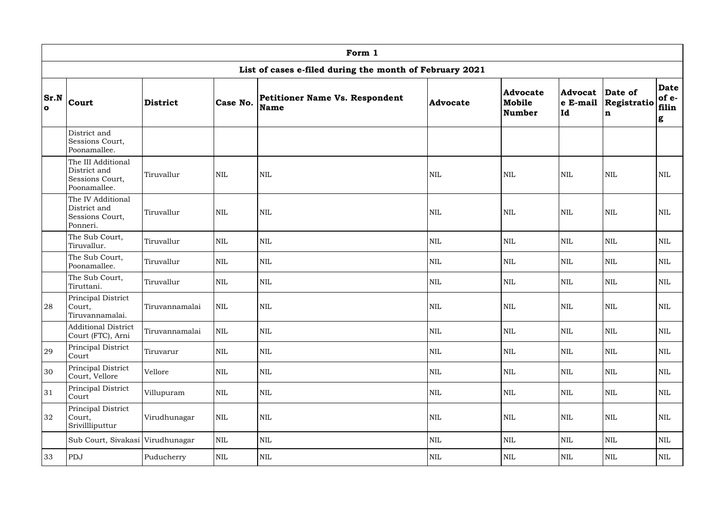|                      | Form 1                                                                |                 |              |                                                         |                 |                                            |                                              |                  |                                    |  |  |  |
|----------------------|-----------------------------------------------------------------------|-----------------|--------------|---------------------------------------------------------|-----------------|--------------------------------------------|----------------------------------------------|------------------|------------------------------------|--|--|--|
|                      |                                                                       |                 |              | List of cases e-filed during the month of February 2021 |                 |                                            |                                              |                  |                                    |  |  |  |
| Sr.N<br>$\mathbf{o}$ | <b>Court</b>                                                          | <b>District</b> | Case No.     | <b>Petitioner Name Vs. Respondent</b><br>Name           | <b>Advocate</b> | <b>Advocate</b><br>Mobile<br><b>Number</b> | <b>Advocat Date of</b><br>$ e$ E-mail<br> Id | Registratio<br>n | <b>Date</b><br>of e-<br>filin<br>g |  |  |  |
|                      | District and<br>Sessions Court,<br>Poonamallee.                       |                 |              |                                                         |                 |                                            |                                              |                  |                                    |  |  |  |
|                      | The III Additional<br>District and<br>Sessions Court,<br>Poonamallee. | Tiruvallur      | <b>NIL</b>   | <b>NIL</b>                                              | <b>NIL</b>      | <b>NIL</b>                                 | NIL                                          | <b>NIL</b>       | <b>NIL</b>                         |  |  |  |
|                      | The IV Additional<br>District and<br>Sessions Court,<br>Ponneri.      | Tiruvallur      | <b>NIL</b>   | <b>NIL</b>                                              | $\mbox{NIL}$    | <b>NIL</b>                                 | NIL                                          | <b>NIL</b>       | <b>NIL</b>                         |  |  |  |
|                      | The Sub Court,<br>Tiruvallur.                                         | Tiruvallur      | $\mbox{NIL}$ | <b>NIL</b>                                              | <b>NIL</b>      | <b>NIL</b>                                 | NIL                                          | <b>NIL</b>       | NIL                                |  |  |  |
|                      | The Sub Court,<br>Poonamallee.                                        | Tiruvallur      | <b>NIL</b>   | $\mbox{NIL}$                                            | <b>NIL</b>      | <b>NIL</b>                                 | NIL                                          | <b>NIL</b>       | $\mbox{NIL}$                       |  |  |  |
|                      | The Sub Court,<br>Tiruttani.                                          | Tiruvallur      | <b>NIL</b>   | $\mbox{NIL}$                                            | <b>NIL</b>      | <b>NIL</b>                                 | NIL                                          | <b>NIL</b>       | $\mbox{NIL}$                       |  |  |  |
| 28                   | Principal District<br>Court,<br>Tiruvannamalai.                       | Tiruvannamalai  | $\mbox{NIL}$ | <b>NIL</b>                                              | <b>NIL</b>      | <b>NIL</b>                                 | <b>NIL</b>                                   | <b>NIL</b>       | <b>NIL</b>                         |  |  |  |
|                      | <b>Additional District</b><br>Court (FTC), Arni                       | Tiruvannamalai  | $\mbox{NIL}$ | $\mbox{NIL}$                                            | NIL             | $\mbox{NIL}$                               | NIL                                          | $\mbox{NIL}$     | $\mbox{NIL}$                       |  |  |  |
| 29                   | Principal District<br>Court                                           | Tiruvarur       | $\mbox{NIL}$ | NIL                                                     | <b>NIL</b>      | $\mbox{NIL}$                               | NIL                                          | <b>NIL</b>       | $\mbox{NIL}$                       |  |  |  |
| 30                   | Principal District<br>Court, Vellore                                  | Vellore         | $\mbox{NIL}$ | $\mbox{NIL}$                                            | <b>NIL</b>      | $\mbox{NIL}$                               | NIL                                          | $\mbox{NIL}$     | <b>NIL</b>                         |  |  |  |
| 31                   | Principal District<br>Court                                           | Villupuram      | $\mbox{NIL}$ | $\mbox{NIL}$                                            | NIL             | $\mbox{NIL}$                               | NIL                                          | $\mbox{NIL}$     | NIL                                |  |  |  |
| 32                   | Principal District<br>Court,<br>Srivillliputtur                       | Virudhunagar    | $\mbox{NIL}$ | NIL                                                     | <b>NIL</b>      | $\mbox{NIL}$                               | NIL                                          | <b>NIL</b>       | $\mbox{NIL}$                       |  |  |  |
|                      | Sub Court, Sivakasi Virudhunagar                                      |                 | $\mbox{NIL}$ | $\mbox{NIL}$                                            | <b>NIL</b>      | $\mbox{NIL}$                               | NIL                                          | $\mbox{NIL}$     | NIL                                |  |  |  |
| 33                   | PDJ                                                                   | Puducherry      | $\mbox{NIL}$ | $\mbox{NIL}$                                            | NIL             | $\mbox{NIL}$                               | NIL                                          | NIL              | <b>NIL</b>                         |  |  |  |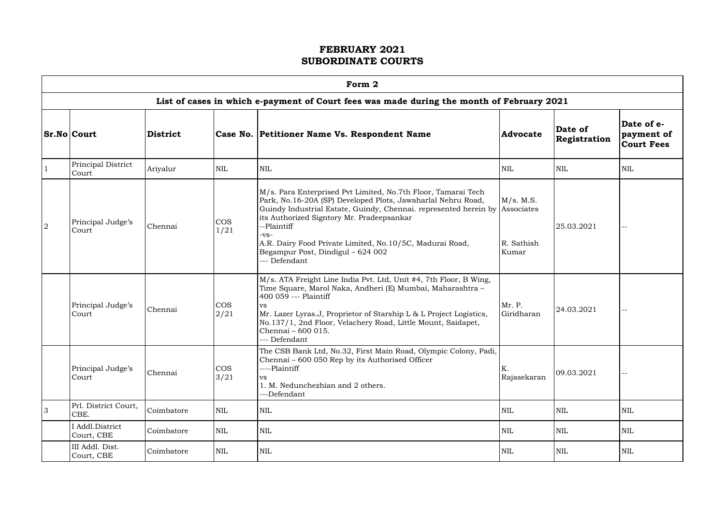| . . | I |  |
|-----|---|--|
|     |   |  |

|                |                               |                 |                    | Form 2                                                                                                                                                                                                                                                                                                                                                                                               |                                  |                         |                                               |
|----------------|-------------------------------|-----------------|--------------------|------------------------------------------------------------------------------------------------------------------------------------------------------------------------------------------------------------------------------------------------------------------------------------------------------------------------------------------------------------------------------------------------------|----------------------------------|-------------------------|-----------------------------------------------|
|                |                               |                 |                    | List of cases in which e-payment of Court fees was made during the month of February 2021                                                                                                                                                                                                                                                                                                            |                                  |                         |                                               |
|                | <b>Sr.No Court</b>            | <b>District</b> |                    | Case No. Petitioner Name Vs. Respondent Name                                                                                                                                                                                                                                                                                                                                                         | <b>Advocate</b>                  | Date of<br>Registration | Date of e-<br>payment of<br><b>Court Fees</b> |
|                | Principal District<br>Court   | Ariyalur        | <b>NIL</b>         | <b>NIL</b>                                                                                                                                                                                                                                                                                                                                                                                           | NIL                              | <b>NIL</b>              | <b>NIL</b>                                    |
| $\overline{2}$ | Principal Judge's<br>Court    | Chennai         | <b>COS</b><br>1/21 | M/s. Para Enterprised Pvt Limited, No.7th Floor, Tamarai Tech<br>Park, No.16-20A (SP) Developed Plots, Jawaharlal Nehru Road,<br>Guindy Industrial Estate, Guindy, Chennai. represented herein by Associates<br>its Authorized Signtory Mr. Pradeepsankar<br>--Plaintiff<br>$-VS-$<br>A.R. Dairy Food Private Limited, No.10/5C, Madurai Road,<br>Begampur Post, Dindigul - 624 002<br>--- Defendant | M/s. M.S.<br>R. Sathish<br>Kumar | 25.03.2021              |                                               |
|                | Principal Judge's<br>Court    | Chennai         | <b>COS</b><br>2/21 | M/s. ATA Freight Line India Pvt. Ltd, Unit #4, 7th Floor, B Wing,<br>Time Square, Marol Naka, Andheri (E) Mumbai, Maharashtra -<br>400 059 --- Plaintiff<br>VS<br>Mr. Lazer Lyras.J, Proprietor of Starship L & L Project Logistics,<br>No.137/1, 2nd Floor, Velachery Road, Little Mount, Saidapet,<br>Chennai - 600 015.<br>--- Defendant                                                          | Mr. P.<br>Giridharan             | 24.03.2021              |                                               |
|                | Principal Judge's<br>Court    | Chennai         | $\cos$<br>3/21     | The CSB Bank Ltd, No.32, First Main Road, Olympic Colony, Padi,<br>Chennai – 600 050 Rep by its Authorised Officer<br>----Plaintiff<br><b>VS</b><br>1. M. Nedunchezhian and 2 others.<br>---Defendant                                                                                                                                                                                                | K.<br>Rajasekaran                | 09.03.2021              | $\rightarrow$ $\rightarrow$                   |
| $\overline{3}$ | Prl. District Court,<br>CBE.  | Coimbatore      | <b>NIL</b>         | <b>NIL</b>                                                                                                                                                                                                                                                                                                                                                                                           | <b>NIL</b>                       | <b>NIL</b>              | <b>NIL</b>                                    |
|                | I Addl.District<br>Court, CBE | Coimbatore      | <b>NIL</b>         | <b>NIL</b>                                                                                                                                                                                                                                                                                                                                                                                           | <b>NIL</b>                       | <b>NIL</b>              | <b>NIL</b>                                    |
|                | III Addl. Dist.<br>Court, CBE | Coimbatore      | <b>NIL</b>         | <b>NIL</b>                                                                                                                                                                                                                                                                                                                                                                                           | <b>NIL</b>                       | <b>NIL</b>              | <b>NIL</b>                                    |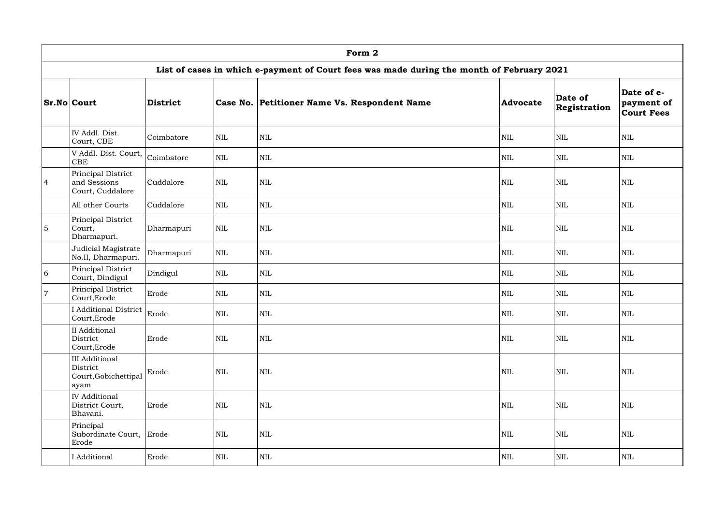|                | Form 2                                                            |                 |              |                                                                                           |                 |                         |                                               |  |  |  |  |
|----------------|-------------------------------------------------------------------|-----------------|--------------|-------------------------------------------------------------------------------------------|-----------------|-------------------------|-----------------------------------------------|--|--|--|--|
|                |                                                                   |                 |              | List of cases in which e-payment of Court fees was made during the month of February 2021 |                 |                         |                                               |  |  |  |  |
|                | <b>Sr.No Court</b>                                                | <b>District</b> |              | Case No. Petitioner Name Vs. Respondent Name                                              | <b>Advocate</b> | Date of<br>Registration | Date of e-<br>payment of<br><b>Court Fees</b> |  |  |  |  |
|                | IV Addl. Dist.<br>Court, CBE                                      | Coimbatore      | $\mbox{NIL}$ | $\mbox{NIL}$                                                                              | <b>NIL</b>      | NIL                     | <b>NIL</b>                                    |  |  |  |  |
|                | V Addl. Dist. Court,<br><b>CBE</b>                                | Coimbatore      | $\mbox{NIL}$ | $\mbox{NIL}$                                                                              | <b>NIL</b>      | $\mbox{NIL}$            | <b>NIL</b>                                    |  |  |  |  |
| $\overline{4}$ | Principal District<br>and Sessions<br>Court, Cuddalore            | Cuddalore       | $\mbox{NIL}$ | $\mbox{NIL}$                                                                              | <b>NIL</b>      | <b>NIL</b>              | <b>NIL</b>                                    |  |  |  |  |
|                | All other Courts                                                  | Cuddalore       | <b>NIL</b>   | $\mbox{NIL}$                                                                              | <b>NIL</b>      | <b>NIL</b>              | <b>NIL</b>                                    |  |  |  |  |
| $5\phantom{.}$ | Principal District<br>Court,<br>Dharmapuri.                       | Dharmapuri      | $\mbox{NIL}$ | $\mbox{NIL}$                                                                              | <b>NIL</b>      | <b>NIL</b>              | <b>NIL</b>                                    |  |  |  |  |
|                | Judicial Magistrate<br>No.II, Dharmapuri.                         | Dharmapuri      | $\mbox{NIL}$ | $\mbox{NIL}$                                                                              | <b>NIL</b>      | <b>NIL</b>              | <b>NIL</b>                                    |  |  |  |  |
| 6              | Principal District<br>Court, Dindigul                             | Dindigul        | $\mbox{NIL}$ | $\mbox{NIL}$                                                                              | <b>NIL</b>      | <b>NIL</b>              | <b>NIL</b>                                    |  |  |  |  |
| $\overline{7}$ | Principal District<br>Court, Erode                                | Erode           | $\mbox{NIL}$ | $\mbox{NIL}$                                                                              | <b>NIL</b>      | <b>NIL</b>              | <b>NIL</b>                                    |  |  |  |  |
|                | I Additional District Erode<br>Court, Erode                       |                 | NIL          | NIL                                                                                       | NIL             | $\mbox{NIL}$            | <b>NIL</b>                                    |  |  |  |  |
|                | II Additional<br>District<br>Court, Erode                         | Erode           | $\mbox{NIL}$ | $\mbox{NIL}$                                                                              | <b>NIL</b>      | <b>NIL</b>              | <b>NIL</b>                                    |  |  |  |  |
|                | <b>III</b> Additional<br>District<br>Court, Gobichettipal<br>ayam | Erode           | $\mbox{NIL}$ | <b>NIL</b>                                                                                | <b>NIL</b>      | <b>NIL</b>              | <b>NIL</b>                                    |  |  |  |  |
|                | <b>IV</b> Additional<br>District Court,<br>Bhavani.               | Erode           | $\mbox{NIL}$ | $\mbox{NIL}$                                                                              | <b>NIL</b>      | $\mbox{NIL}$            | <b>NIL</b>                                    |  |  |  |  |
|                | Principal<br>Subordinate Court, Erode<br>Erode                    |                 | $\mbox{NIL}$ | <b>NIL</b>                                                                                | <b>NIL</b>      | <b>NIL</b>              | <b>NIL</b>                                    |  |  |  |  |
|                | I Additional                                                      | Erode           | $\mbox{NIL}$ | NIL                                                                                       | $\mbox{NIL}$    | NIL                     | NIL                                           |  |  |  |  |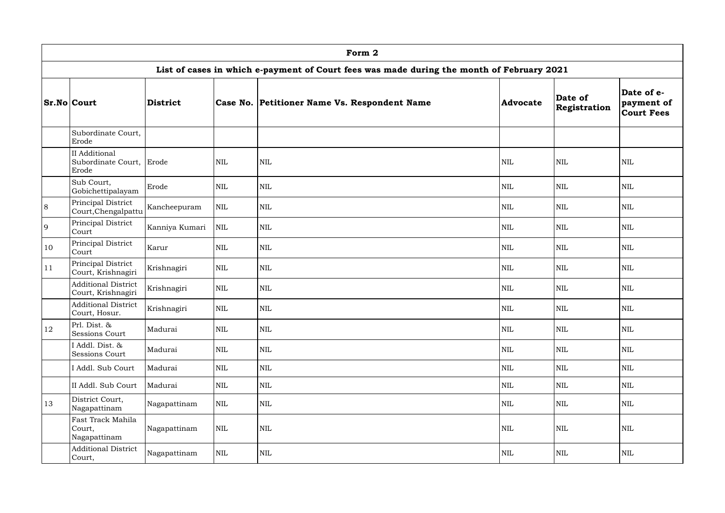|    | Form 2                                             |                 |              |                                                                                           |              |                         |                                               |  |  |  |  |
|----|----------------------------------------------------|-----------------|--------------|-------------------------------------------------------------------------------------------|--------------|-------------------------|-----------------------------------------------|--|--|--|--|
|    |                                                    |                 |              | List of cases in which e-payment of Court fees was made during the month of February 2021 |              |                         |                                               |  |  |  |  |
|    | <b>Sr.No Court</b>                                 | <b>District</b> |              | Case No. Petitioner Name Vs. Respondent Name                                              | Advocate     | Date of<br>Registration | Date of e-<br>payment of<br><b>Court Fees</b> |  |  |  |  |
|    | Subordinate Court,<br>Erode                        |                 |              |                                                                                           |              |                         |                                               |  |  |  |  |
|    | II Additional<br>Subordinate Court, Erode<br>Erode |                 | <b>NIL</b>   | <b>NIL</b>                                                                                | <b>NIL</b>   | <b>NIL</b>              | <b>NIL</b>                                    |  |  |  |  |
|    | Sub Court,<br>Gobichettipalayam                    | Erode           | <b>NIL</b>   | $\mbox{NIL}$                                                                              | <b>NIL</b>   | <b>NIL</b>              | NIL                                           |  |  |  |  |
| 8  | Principal District<br>Court, Chengalpattu          | Kancheepuram    | $\mbox{NIL}$ | <b>NIL</b>                                                                                | <b>NIL</b>   | <b>NIL</b>              | $\mbox{NIL}$                                  |  |  |  |  |
| 9  | Principal District<br>Court                        | Kanniya Kumari  | <b>NIL</b>   | <b>NIL</b>                                                                                | <b>NIL</b>   | <b>NIL</b>              | <b>NIL</b>                                    |  |  |  |  |
| 10 | Principal District<br>Court                        | Karur           | <b>NIL</b>   | <b>NIL</b>                                                                                | <b>NIL</b>   | <b>NIL</b>              | $\mbox{NIL}$                                  |  |  |  |  |
| 11 | Principal District<br>Court, Krishnagiri           | Krishnagiri     | <b>NIL</b>   | $\mbox{NIL}$                                                                              | <b>NIL</b>   | <b>NIL</b>              | <b>NIL</b>                                    |  |  |  |  |
|    | <b>Additional District</b><br>Court, Krishnagiri   | Krishnagiri     | <b>NIL</b>   | $\mbox{NIL}$                                                                              | <b>NIL</b>   | $\text{NIL}$            | $\mbox{NIL}$                                  |  |  |  |  |
|    | <b>Additional District</b><br>Court, Hosur.        | Krishnagiri     | $\mbox{NIL}$ | $\mbox{NIL}$                                                                              | <b>NIL</b>   | $\text{NIL}$            | $\mbox{NIL}$                                  |  |  |  |  |
| 12 | Prl. Dist. &<br><b>Sessions Court</b>              | Madurai         | $\mbox{NIL}$ | NIL                                                                                       | <b>NIL</b>   | <b>NIL</b>              | $\mbox{NIL}$                                  |  |  |  |  |
|    | I Addl. Dist. &<br><b>Sessions Court</b>           | Madurai         | <b>NIL</b>   | $\mbox{NIL}$                                                                              | $\mbox{NIL}$ | $\mbox{NIL}$            | $\mbox{NIL}$                                  |  |  |  |  |
|    | I Addl. Sub Court                                  | Madurai         | <b>NIL</b>   | $\mbox{NIL}$                                                                              | <b>NIL</b>   | <b>NIL</b>              | $\mbox{NIL}$                                  |  |  |  |  |
|    | II Addl. Sub Court                                 | Madurai         | $\mbox{NIL}$ | $\mbox{NIL}$                                                                              | <b>NIL</b>   | $\mbox{NIL}$            | NIL                                           |  |  |  |  |
| 13 | District Court,<br>Nagapattinam                    | Nagapattinam    | $\mbox{NIL}$ | $\mbox{NIL}$                                                                              | <b>NIL</b>   | <b>NIL</b>              | $\mbox{NIL}$                                  |  |  |  |  |
|    | Fast Track Mahila<br>Court,<br>Nagapattinam        | Nagapattinam    | $\mbox{NIL}$ | $\mbox{NIL}$                                                                              | <b>NIL</b>   | $\mbox{NIL}$            | <b>NIL</b>                                    |  |  |  |  |
|    | <b>Additional District</b><br>Court,               | Nagapattinam    | $\mbox{NIL}$ | $\mbox{NIL}$                                                                              | <b>NIL</b>   | $\mbox{NIL}$            | $\mbox{NIL}$                                  |  |  |  |  |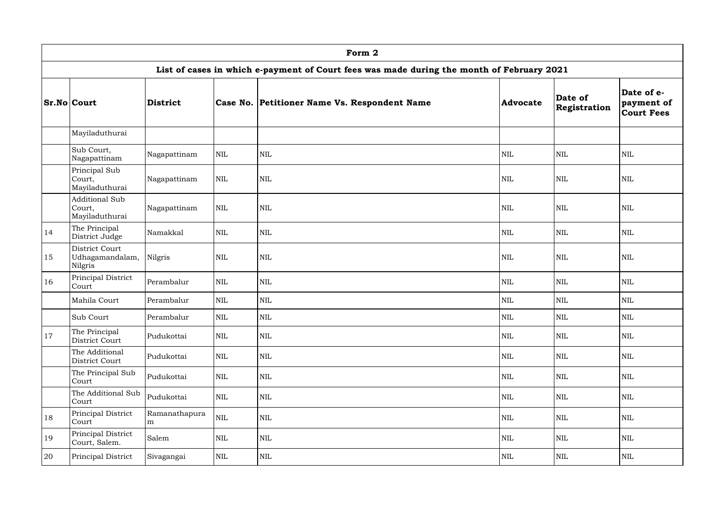|               | Form 2                                               |                    |            |                                                                                           |                 |                         |                                               |  |  |  |  |
|---------------|------------------------------------------------------|--------------------|------------|-------------------------------------------------------------------------------------------|-----------------|-------------------------|-----------------------------------------------|--|--|--|--|
|               |                                                      |                    |            | List of cases in which e-payment of Court fees was made during the month of February 2021 |                 |                         |                                               |  |  |  |  |
|               | <b>Sr.No Court</b>                                   | <b>District</b>    |            | Case No. Petitioner Name Vs. Respondent Name                                              | <b>Advocate</b> | Date of<br>Registration | Date of e-<br>payment of<br><b>Court Fees</b> |  |  |  |  |
|               | Mayiladuthurai                                       |                    |            |                                                                                           |                 |                         |                                               |  |  |  |  |
|               | Sub Court,<br>Nagapattinam                           | Nagapattinam       | <b>NIL</b> | $\rm NIL$                                                                                 | <b>NIL</b>      | <b>NIL</b>              | <b>NIL</b>                                    |  |  |  |  |
|               | Principal Sub<br>Court,<br>Mayiladuthurai            | Nagapattinam       | <b>NIL</b> | $\mbox{NIL}$                                                                              | <b>NIL</b>      | <b>NIL</b>              | <b>NIL</b>                                    |  |  |  |  |
|               | <b>Additional Sub</b><br>Court,<br>Mayiladuthurai    | Nagapattinam       | <b>NIL</b> | $\mbox{NIL}$                                                                              | <b>NIL</b>      | <b>NIL</b>              | <b>NIL</b>                                    |  |  |  |  |
| 14            | The Principal<br>District Judge                      | Namakkal           | <b>NIL</b> | $\mbox{NIL}$                                                                              | <b>NIL</b>      | <b>NIL</b>              | <b>NIL</b>                                    |  |  |  |  |
| 15            | District Court<br>Udhagamandalam, Nilgris<br>Nilgris |                    | <b>NIL</b> | $\mbox{NIL}$                                                                              | <b>NIL</b>      | <b>NIL</b>              | <b>NIL</b>                                    |  |  |  |  |
| <sup>16</sup> | Principal District<br>Court                          | Perambalur         | <b>NIL</b> | $\mbox{NIL}$                                                                              | <b>NIL</b>      | <b>NIL</b>              | <b>NIL</b>                                    |  |  |  |  |
|               | Mahila Court                                         | Perambalur         | <b>NIL</b> | $\mbox{NIL}$                                                                              | <b>NIL</b>      | <b>NIL</b>              | <b>NIL</b>                                    |  |  |  |  |
|               | Sub Court                                            | Perambalur         | <b>NIL</b> | $\mbox{NIL}$                                                                              | $\mbox{NIL}$    | <b>NIL</b>              | <b>NIL</b>                                    |  |  |  |  |
| <sup>17</sup> | The Principal<br>District Court                      | Pudukottai         | NIL        | $\mbox{NIL}$                                                                              | <b>NIL</b>      | <b>NIL</b>              | <b>NIL</b>                                    |  |  |  |  |
|               | The Additional<br>District Court                     | Pudukottai         | NIL        | $\mbox{NIL}$                                                                              | <b>NIL</b>      | <b>NIL</b>              | <b>NIL</b>                                    |  |  |  |  |
|               | The Principal Sub<br>Court                           | Pudukottai         | NIL        | $\mbox{NIL}$                                                                              | <b>NIL</b>      | <b>NIL</b>              | <b>NIL</b>                                    |  |  |  |  |
|               | The Additional Sub<br>Court                          | Pudukottai         | <b>NIL</b> | $\mbox{NIL}$                                                                              | <b>NIL</b>      | <b>NIL</b>              | <b>NIL</b>                                    |  |  |  |  |
| 18            | Principal District<br>Court                          | Ramanathapura<br>m | <b>NIL</b> | $\mbox{NIL}$                                                                              | <b>NIL</b>      | <b>NIL</b>              | <b>NIL</b>                                    |  |  |  |  |
| 19            | Principal District<br>Court, Salem.                  | Salem              | <b>NIL</b> | $\mbox{NIL}$                                                                              | $\mbox{NIL}$    | <b>NIL</b>              | <b>NIL</b>                                    |  |  |  |  |
| 20            | Principal District                                   | Sivagangai         | NIL        | $\mbox{NIL}$                                                                              | <b>NIL</b>      | <b>NIL</b>              | <b>NIL</b>                                    |  |  |  |  |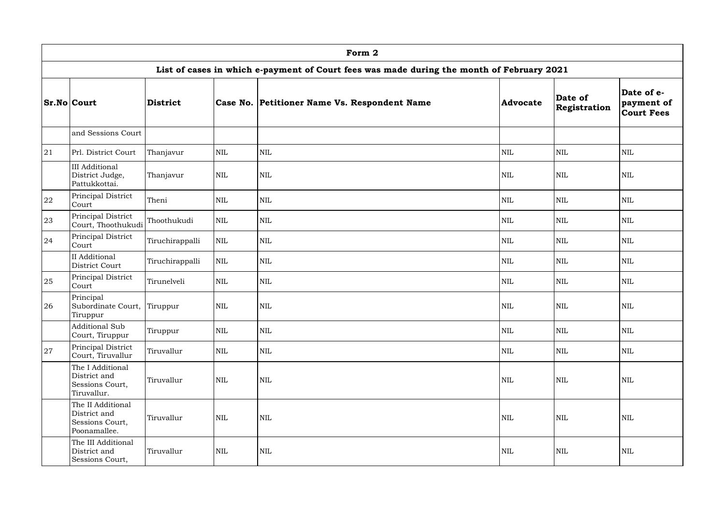|    | Form 2                                                               |                 |              |                                                                                           |                 |                         |                                               |  |  |  |  |
|----|----------------------------------------------------------------------|-----------------|--------------|-------------------------------------------------------------------------------------------|-----------------|-------------------------|-----------------------------------------------|--|--|--|--|
|    |                                                                      |                 |              | List of cases in which e-payment of Court fees was made during the month of February 2021 |                 |                         |                                               |  |  |  |  |
|    | <b>Sr.No Court</b>                                                   | <b>District</b> |              | Case No. Petitioner Name Vs. Respondent Name                                              | <b>Advocate</b> | Date of<br>Registration | Date of e-<br>payment of<br><b>Court Fees</b> |  |  |  |  |
|    | and Sessions Court                                                   |                 |              |                                                                                           |                 |                         |                                               |  |  |  |  |
| 21 | Prl. District Court                                                  | Thanjavur       | $\mbox{NIL}$ | $\mbox{NIL}$                                                                              | <b>NIL</b>      | <b>NIL</b>              | <b>NIL</b>                                    |  |  |  |  |
|    | <b>III</b> Additional<br>District Judge,<br>Pattukkottai.            | Thanjavur       | $\mbox{NIL}$ | <b>NIL</b>                                                                                | <b>NIL</b>      | <b>NIL</b>              | <b>NIL</b>                                    |  |  |  |  |
| 22 | Principal District<br>Court                                          | Theni           | $\mbox{NIL}$ | $\mbox{NIL}$                                                                              | <b>NIL</b>      | <b>NIL</b>              | <b>NIL</b>                                    |  |  |  |  |
| 23 | Principal District<br>Court, Thoothukudi                             | Thoothukudi     | $\mbox{NIL}$ | $\mbox{NIL}$                                                                              | <b>NIL</b>      | $\mbox{NIL}$            | <b>NIL</b>                                    |  |  |  |  |
| 24 | Principal District<br>Court                                          | Tiruchirappalli | $\mbox{NIL}$ | $\mbox{NIL}$                                                                              | <b>NIL</b>      | $\mbox{NIL}$            | <b>NIL</b>                                    |  |  |  |  |
|    | II Additional<br>District Court                                      | Tiruchirappalli | <b>NIL</b>   | $\mbox{NIL}$                                                                              | <b>NIL</b>      | NIL                     | <b>NIL</b>                                    |  |  |  |  |
| 25 | Principal District<br>Court                                          | Tirunelveli     | $\mbox{NIL}$ | $\mbox{NIL}$                                                                              | <b>NIL</b>      | $\mbox{NIL}$            | <b>NIL</b>                                    |  |  |  |  |
| 26 | Principal<br>Subordinate Court,<br>Tiruppur                          | Tiruppur        | $\mbox{NIL}$ | <b>NIL</b>                                                                                | <b>NIL</b>      | <b>NIL</b>              | <b>NIL</b>                                    |  |  |  |  |
|    | <b>Additional Sub</b><br>Court, Tiruppur                             | Tiruppur        | $\mbox{NIL}$ | $\mbox{NIL}$                                                                              | <b>NIL</b>      | <b>NIL</b>              | <b>NIL</b>                                    |  |  |  |  |
| 27 | Principal District<br>Court, Tiruvallur                              | Tiruvallur      | $\mbox{NIL}$ | $\mbox{NIL}$                                                                              | <b>NIL</b>      | <b>NIL</b>              | <b>NIL</b>                                    |  |  |  |  |
|    | The I Additional<br>District and<br>Sessions Court,<br>Tiruvallur.   | Tiruvallur      | $\mbox{NIL}$ | $\mbox{NIL}$                                                                              | <b>NIL</b>      | $\mbox{NIL}$            | <b>NIL</b>                                    |  |  |  |  |
|    | The II Additional<br>District and<br>Sessions Court,<br>Poonamallee. | Tiruvallur      | <b>NIL</b>   | <b>NIL</b>                                                                                | NIL             | <b>NIL</b>              | <b>NIL</b>                                    |  |  |  |  |
|    | The III Additional<br>District and<br>Sessions Court,                | Tiruvallur      | $\mbox{NIL}$ | $\mbox{NIL}$                                                                              | <b>NIL</b>      | <b>NIL</b>              | <b>NIL</b>                                    |  |  |  |  |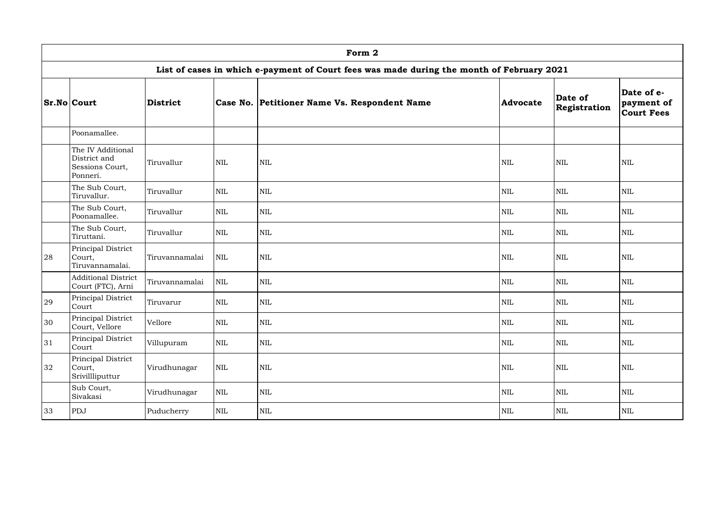|    | Form 2                                                                                    |                 |              |                                              |              |                         |                                               |  |  |  |  |
|----|-------------------------------------------------------------------------------------------|-----------------|--------------|----------------------------------------------|--------------|-------------------------|-----------------------------------------------|--|--|--|--|
|    | List of cases in which e-payment of Court fees was made during the month of February 2021 |                 |              |                                              |              |                         |                                               |  |  |  |  |
|    | <b>Sr.No Court</b>                                                                        | <b>District</b> |              | Case No. Petitioner Name Vs. Respondent Name | Advocate     | Date of<br>Registration | Date of e-<br>payment of<br><b>Court Fees</b> |  |  |  |  |
|    | Poonamallee.                                                                              |                 |              |                                              |              |                         |                                               |  |  |  |  |
|    | The IV Additional<br>District and<br>Sessions Court,<br>Ponneri.                          | Tiruvallur      | <b>NIL</b>   | <b>NIL</b>                                   | <b>NIL</b>   | <b>NIL</b>              | <b>NIL</b>                                    |  |  |  |  |
|    | The Sub Court,<br>Tiruvallur.                                                             | Tiruvallur      | <b>NIL</b>   | NIL                                          | <b>NIL</b>   | <b>NIL</b>              | <b>NIL</b>                                    |  |  |  |  |
|    | The Sub Court,<br>Poonamallee.                                                            | Tiruvallur      | <b>NIL</b>   | $\mbox{NIL}$                                 | <b>NIL</b>   | <b>NIL</b>              | <b>NIL</b>                                    |  |  |  |  |
|    | The Sub Court,<br>Tiruttani.                                                              | Tiruvallur      | <b>NIL</b>   | $\mbox{NIL}$                                 | <b>NIL</b>   | <b>NIL</b>              | <b>NIL</b>                                    |  |  |  |  |
| 28 | Principal District<br>Court,<br>Tiruvannamalai.                                           | Tiruvannamalai  | <b>NIL</b>   | NIL                                          | <b>NIL</b>   | <b>NIL</b>              | <b>NIL</b>                                    |  |  |  |  |
|    | <b>Additional District</b><br>Court (FTC), Arni                                           | Tiruvannamalai  | <b>NIL</b>   | NIL                                          | <b>NIL</b>   | <b>NIL</b>              | <b>NIL</b>                                    |  |  |  |  |
| 29 | Principal District<br>Court                                                               | Tiruvarur       | <b>NIL</b>   | $\mbox{NIL}$                                 | <b>NIL</b>   | NIL                     | <b>NIL</b>                                    |  |  |  |  |
| 30 | <b>Principal District</b><br>Court, Vellore                                               | Vellore         | $\mbox{NIL}$ | $\mbox{NIL}$                                 | $\mbox{NIL}$ | $\mbox{NIL}$            | $\mbox{NIL}$                                  |  |  |  |  |
| 31 | Principal District<br>Court                                                               | Villupuram      | <b>NIL</b>   | NIL                                          | $\mbox{NIL}$ | $\mbox{NIL}$            | <b>NIL</b>                                    |  |  |  |  |
| 32 | Principal District<br>Court,<br>Srivillliputtur                                           | Virudhunagar    | NIL          | $\mbox{NIL}$                                 | $\mbox{NIL}$ | <b>NIL</b>              | $\mbox{NIL}$                                  |  |  |  |  |
|    | Sub Court,<br>Sivakasi                                                                    | Virudhunagar    | NIL          | $\mbox{NIL}$                                 | $\mbox{NIL}$ | $\mbox{NIL}$            | $\mbox{NIL}$                                  |  |  |  |  |
| 33 | PDJ                                                                                       | Puducherry      | NIL          | $\mbox{NIL}$                                 | $\mbox{NIL}$ | $\mbox{NIL}$            | $\mbox{NIL}$                                  |  |  |  |  |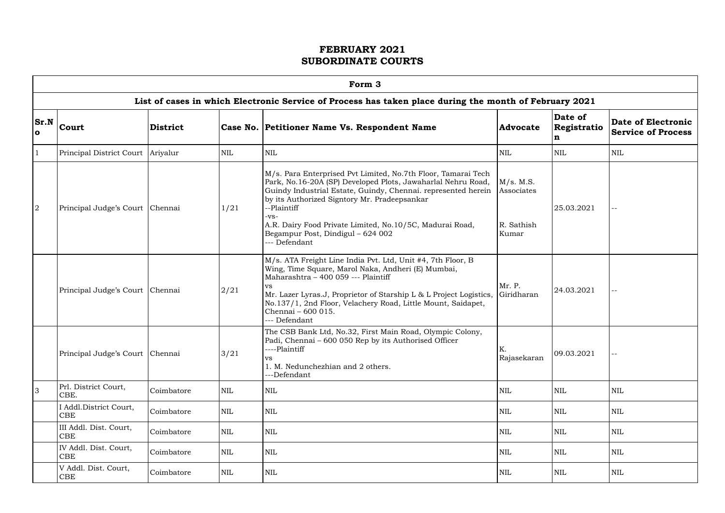$\Box$ 

|                   | Form 3                               |            |            |                                                                                                                                                                                                                                                                                                                                                                                         |                                                |                             |                                                        |  |  |  |  |
|-------------------|--------------------------------------|------------|------------|-----------------------------------------------------------------------------------------------------------------------------------------------------------------------------------------------------------------------------------------------------------------------------------------------------------------------------------------------------------------------------------------|------------------------------------------------|-----------------------------|--------------------------------------------------------|--|--|--|--|
|                   |                                      |            |            | List of cases in which Electronic Service of Process has taken place during the month of February 2021                                                                                                                                                                                                                                                                                  |                                                |                             |                                                        |  |  |  |  |
| Sr.N<br>$\bullet$ | <b>District</b><br>Court             |            |            | Case No. Petitioner Name Vs. Respondent Name                                                                                                                                                                                                                                                                                                                                            | <b>Advocate</b>                                | Date of<br>Registratio<br>n | <b>Date of Electronic</b><br><b>Service of Process</b> |  |  |  |  |
| $\vert$ 1         | Principal District Court Ariyalur    |            | <b>NIL</b> | NIL                                                                                                                                                                                                                                                                                                                                                                                     | <b>NIL</b>                                     | <b>NIL</b>                  | $\mbox{NIL}$                                           |  |  |  |  |
| 2                 | Principal Judge's Court Chennai      |            | 1/21       | M/s. Para Enterprised Pvt Limited, No.7th Floor, Tamarai Tech<br>Park, No.16-20A (SP) Developed Plots, Jawaharlal Nehru Road,<br>Guindy Industrial Estate, Guindy, Chennai. represented herein<br>by its Authorized Signtory Mr. Pradeepsankar<br>--Plaintiff<br>-vs-<br>A.R. Dairy Food Private Limited, No.10/5C, Madurai Road,<br>Begampur Post, Dindigul - 624 002<br>--- Defendant | M/s. M.S.<br>Associates<br>R. Sathish<br>Kumar | 25.03.2021                  | $--$                                                   |  |  |  |  |
|                   | Principal Judge's Court   Chennai    |            | 2/21       | M/s. ATA Freight Line India Pvt. Ltd, Unit #4, 7th Floor, B<br>Wing, Time Square, Marol Naka, Andheri (E) Mumbai,<br>Maharashtra - 400 059 --- Plaintiff<br>VS.<br>Mr. Lazer Lyras.J, Proprietor of Starship L & L Project Logistics,<br>No.137/1, 2nd Floor, Velachery Road, Little Mount, Saidapet,<br>Chennai - 600 015.<br>--- Defendant                                            | Mr. P.<br>Giridharan                           | 24.03.2021                  | $\equiv$                                               |  |  |  |  |
|                   | Principal Judge's Court   Chennai    |            | 3/21       | The CSB Bank Ltd, No.32, First Main Road, Olympic Colony,<br>Padi, Chennai – 600 050 Rep by its Authorised Officer<br>----Plaintiff<br><b>VS</b><br>1. M. Nedunchezhian and 2 others.<br>---Defendant                                                                                                                                                                                   | K.<br>Rajasekaran                              | 09.03.2021                  |                                                        |  |  |  |  |
| 3                 | Prl. District Court,<br>CBE.         | Coimbatore | <b>NIL</b> | <b>NIL</b>                                                                                                                                                                                                                                                                                                                                                                              | <b>NIL</b>                                     | <b>NIL</b>                  | <b>NIL</b>                                             |  |  |  |  |
|                   | I Addl.District Court,<br>CBE        | Coimbatore | <b>NIL</b> | <b>NIL</b>                                                                                                                                                                                                                                                                                                                                                                              | <b>NIL</b>                                     | <b>NIL</b>                  | <b>NIL</b>                                             |  |  |  |  |
|                   | III Addl. Dist. Court,<br><b>CBE</b> | Coimbatore | NIL        | $\mbox{NIL}$                                                                                                                                                                                                                                                                                                                                                                            | <b>NIL</b>                                     | <b>NIL</b>                  | NIL                                                    |  |  |  |  |
|                   | IV Addl. Dist. Court,<br>CBE         | Coimbatore | <b>NIL</b> | $\mbox{NIL}$                                                                                                                                                                                                                                                                                                                                                                            | <b>NIL</b>                                     | <b>NIL</b>                  | <b>NIL</b>                                             |  |  |  |  |
|                   | V Addl. Dist. Court,<br><b>CBE</b>   | Coimbatore | <b>NIL</b> | <b>NIL</b>                                                                                                                                                                                                                                                                                                                                                                              | <b>NIL</b>                                     | <b>NIL</b>                  | $\mbox{NIL}$                                           |  |  |  |  |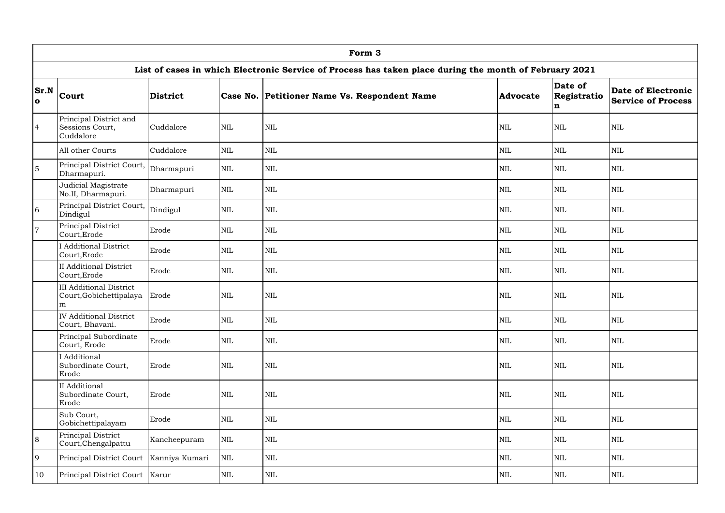|                      | Form 3                                                                                                 |                 |              |                                              |                 |                             |                                                        |  |  |  |  |
|----------------------|--------------------------------------------------------------------------------------------------------|-----------------|--------------|----------------------------------------------|-----------------|-----------------------------|--------------------------------------------------------|--|--|--|--|
|                      | List of cases in which Electronic Service of Process has taken place during the month of February 2021 |                 |              |                                              |                 |                             |                                                        |  |  |  |  |
| Sr.N<br>$\mathbf{o}$ | <b>Court</b>                                                                                           | <b>District</b> |              | Case No. Petitioner Name Vs. Respondent Name | <b>Advocate</b> | Date of<br>Registratio<br>n | <b>Date of Electronic</b><br><b>Service of Process</b> |  |  |  |  |
| $\overline{4}$       | Principal District and<br>Sessions Court,<br>Cuddalore                                                 | Cuddalore       | <b>NIL</b>   | <b>NIL</b>                                   | $\mbox{NIL}$    | <b>NIL</b>                  | <b>NIL</b>                                             |  |  |  |  |
|                      | All other Courts                                                                                       | Cuddalore       | $\mbox{NIL}$ | $\mbox{NIL}$                                 | $\mbox{NIL}$    | $\mbox{NIL}$                | <b>NIL</b>                                             |  |  |  |  |
| $\overline{5}$       | Principal District Court,<br>Dharmapuri.                                                               | Dharmapuri      | <b>NIL</b>   | NIL                                          | $\mbox{NIL}$    | <b>NIL</b>                  | NIL                                                    |  |  |  |  |
|                      | Judicial Magistrate<br>No.II, Dharmapuri.                                                              | Dharmapuri      | <b>NIL</b>   | $\text{NIL}$                                 | <b>NIL</b>      | <b>NIL</b>                  | <b>NIL</b>                                             |  |  |  |  |
| 6                    | Principal District Court,<br>Dindigul                                                                  | Dindigul        | $\mbox{NIL}$ | $\mbox{NIL}$                                 | $\mbox{NIL}$    | <b>NIL</b>                  | <b>NIL</b>                                             |  |  |  |  |
| $\overline{7}$       | Principal District<br>Court, Erode                                                                     | Erode           | <b>NIL</b>   | $\mbox{NIL}$                                 | $\mbox{NIL}$    | $\mbox{NIL}$                | <b>NIL</b>                                             |  |  |  |  |
|                      | <b>Additional District</b><br>Court, Erode                                                             | Erode           | <b>NIL</b>   | $\text{NIL}$                                 | <b>NIL</b>      | <b>NIL</b>                  | <b>NIL</b>                                             |  |  |  |  |
|                      | <b>II</b> Additional District<br>Court, Erode                                                          | Erode           | <b>NIL</b>   | $\text{NIL}$                                 | $\mbox{NIL}$    | <b>NIL</b>                  | NIL                                                    |  |  |  |  |
|                      | <b>III</b> Additional District<br>Court, Gobichettipalaya<br>m                                         | Erode           | <b>NIL</b>   | <b>NIL</b>                                   | $\mbox{NIL}$    | <b>NIL</b>                  | <b>NIL</b>                                             |  |  |  |  |
|                      | <b>IV</b> Additional District<br>Court, Bhavani.                                                       | Erode           | NIL          | NIL                                          | NIL             | NIL                         | NIL                                                    |  |  |  |  |
|                      | Principal Subordinate<br>Court, Erode                                                                  | Erode           | <b>NIL</b>   | $\mbox{NIL}$                                 | <b>NIL</b>      | <b>NIL</b>                  | NIL                                                    |  |  |  |  |
|                      | I Additional<br>Subordinate Court,<br>Erode                                                            | Erode           | $\mbox{NIL}$ | $\mbox{NIL}$                                 | $\mbox{NIL}$    | <b>NIL</b>                  | NIL                                                    |  |  |  |  |
|                      | II Additional<br>Subordinate Court,<br>Erode                                                           | Erode           | $\mbox{NIL}$ | $\mbox{NIL}$                                 | $\mbox{NIL}$    | <b>NIL</b>                  | NIL                                                    |  |  |  |  |
|                      | Sub Court,<br>Gobichettipalayam                                                                        | Erode           | $\mbox{NIL}$ | $\mbox{NIL}$                                 | <b>NIL</b>      | <b>NIL</b>                  | NIL                                                    |  |  |  |  |
| 8                    | Principal District<br>Court, Chengalpattu                                                              | Kancheepuram    | NIL          | $\mbox{NIL}$                                 | $\mbox{NIL}$    | <b>NIL</b>                  | NIL                                                    |  |  |  |  |
| $\overline{9}$       | Principal District Court                                                                               | Kanniya Kumari  | NIL          | $\mbox{NIL}$                                 | $\mbox{NIL}$    | <b>NIL</b>                  | NIL                                                    |  |  |  |  |
| 10                   | Principal District Court   Karur                                                                       |                 | $\mbox{NIL}$ | $\mbox{NIL}$                                 | NIL             | NIL                         | $\mbox{NIL}$                                           |  |  |  |  |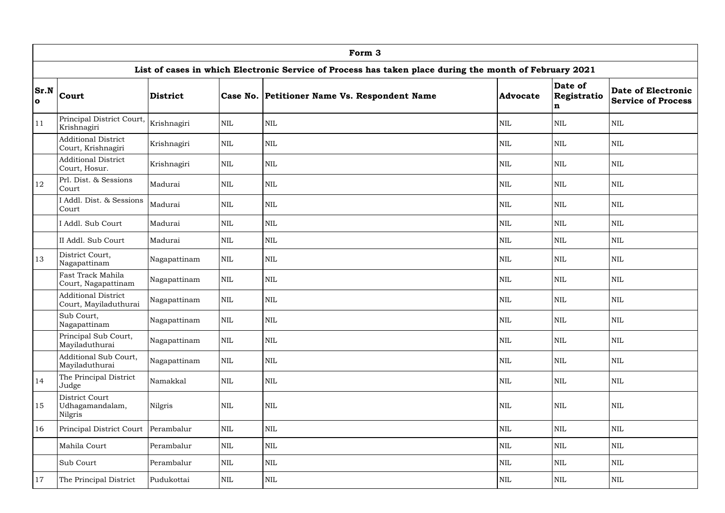|                   | Form 3                                                                                                 |                 |              |                                              |                 |                             |                                                        |  |  |  |  |
|-------------------|--------------------------------------------------------------------------------------------------------|-----------------|--------------|----------------------------------------------|-----------------|-----------------------------|--------------------------------------------------------|--|--|--|--|
|                   | List of cases in which Electronic Service of Process has taken place during the month of February 2021 |                 |              |                                              |                 |                             |                                                        |  |  |  |  |
| Sr.N<br>$\bullet$ | <b>Court</b>                                                                                           | <b>District</b> |              | Case No. Petitioner Name Vs. Respondent Name | <b>Advocate</b> | Date of<br>Registratio<br>n | <b>Date of Electronic</b><br><b>Service of Process</b> |  |  |  |  |
| 11                | Principal District Court,<br>Krishnagiri                                                               | Krishnagiri     | <b>NIL</b>   | <b>NIL</b>                                   | <b>NIL</b>      | <b>NIL</b>                  | NIL                                                    |  |  |  |  |
|                   | <b>Additional District</b><br>Court, Krishnagiri                                                       | Krishnagiri     | <b>NIL</b>   | <b>NIL</b>                                   | <b>NIL</b>      | <b>NIL</b>                  | NIL                                                    |  |  |  |  |
|                   | <b>Additional District</b><br>Court, Hosur.                                                            | Krishnagiri     | <b>NIL</b>   | <b>NIL</b>                                   | <b>NIL</b>      | <b>NIL</b>                  | NIL                                                    |  |  |  |  |
| 12                | Prl. Dist. & Sessions<br>Court                                                                         | Madurai         | $\mbox{NIL}$ | <b>NIL</b>                                   | <b>NIL</b>      | <b>NIL</b>                  | NIL                                                    |  |  |  |  |
|                   | I Addl. Dist. & Sessions<br>Court                                                                      | Madurai         | <b>NIL</b>   | $\mbox{NIL}$                                 | <b>NIL</b>      | <b>NIL</b>                  | <b>NIL</b>                                             |  |  |  |  |
|                   | I Addl. Sub Court                                                                                      | Madurai         | $\mbox{NIL}$ | $\mbox{NIL}$                                 | $\mbox{NIL}$    | NIL                         | <b>NIL</b>                                             |  |  |  |  |
|                   | II Addl. Sub Court                                                                                     | Madurai         | <b>NIL</b>   | <b>NIL</b>                                   | <b>NIL</b>      | <b>NIL</b>                  | NIL                                                    |  |  |  |  |
| 13                | District Court,<br>Nagapattinam                                                                        | Nagapattinam    | <b>NIL</b>   | <b>NIL</b>                                   | <b>NIL</b>      | <b>NIL</b>                  | NIL                                                    |  |  |  |  |
|                   | Fast Track Mahila<br>Court, Nagapattinam                                                               | Nagapattinam    | $\mbox{NIL}$ | <b>NIL</b>                                   | $\mbox{NIL}$    | <b>NIL</b>                  | NIL                                                    |  |  |  |  |
|                   | <b>Additional District</b><br>Court, Mayiladuthurai                                                    | Nagapattinam    | <b>NIL</b>   | <b>NIL</b>                                   | <b>NIL</b>      | <b>NIL</b>                  | NIL                                                    |  |  |  |  |
|                   | Sub Court,<br>Nagapattinam                                                                             | Nagapattinam    | NIL          | NIL                                          | NIL             | NIL                         | NIL                                                    |  |  |  |  |
|                   | Principal Sub Court,<br>Mayiladuthurai                                                                 | Nagapattinam    | NIL          | <b>NIL</b>                                   | $\mbox{NIL}$    | <b>NIL</b>                  | NIL                                                    |  |  |  |  |
|                   | Additional Sub Court,<br>Mayiladuthurai                                                                | Nagapattinam    | <b>NIL</b>   | <b>NIL</b>                                   | $\mbox{NIL}$    | <b>NIL</b>                  | NIL                                                    |  |  |  |  |
| 14                | The Principal District<br>Judge                                                                        | Namakkal        | NIL          | $\mbox{NIL}$                                 | $\mbox{NIL}$    | <b>NIL</b>                  | NIL                                                    |  |  |  |  |
| 15                | District Court<br>Udhagamandalam,<br>Nilgris                                                           | Nilgris         | <b>NIL</b>   | $\mbox{NIL}$                                 | $\mbox{NIL}$    | $\mbox{NIL}$                | NIL                                                    |  |  |  |  |
| 16                | Principal District Court                                                                               | Perambalur      | <b>NIL</b>   | <b>NIL</b>                                   | $\mbox{NIL}$    | <b>NIL</b>                  | NIL                                                    |  |  |  |  |
|                   | Mahila Court                                                                                           | Perambalur      | $\mbox{NIL}$ | <b>NIL</b>                                   | $\mbox{NIL}$    | <b>NIL</b>                  | NIL                                                    |  |  |  |  |
|                   | Sub Court                                                                                              | Perambalur      | $\mbox{NIL}$ | NIL                                          | $\mbox{NIL}$    | NIL                         | NIL                                                    |  |  |  |  |
| 17                | The Principal District                                                                                 | Pudukottai      | <b>NIL</b>   | NIL                                          | <b>NIL</b>      | <b>NIL</b>                  | NIL                                                    |  |  |  |  |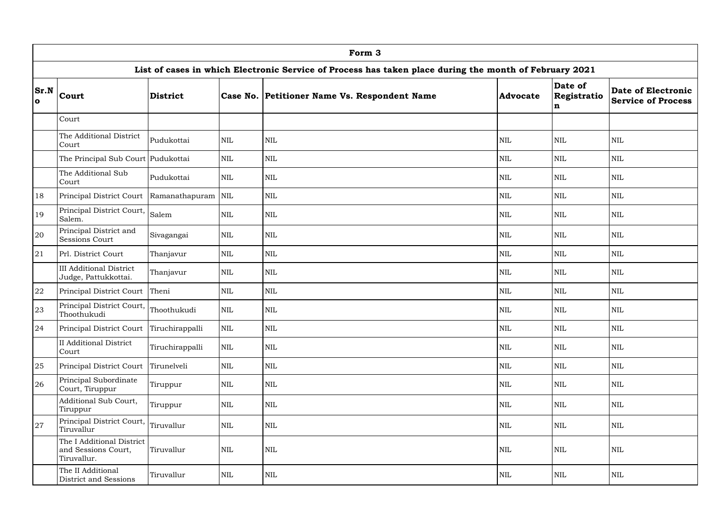|                   | Form 3                                                          |                    |              |                                                                                                        |                 |                             |                                                        |  |  |  |
|-------------------|-----------------------------------------------------------------|--------------------|--------------|--------------------------------------------------------------------------------------------------------|-----------------|-----------------------------|--------------------------------------------------------|--|--|--|
|                   |                                                                 |                    |              | List of cases in which Electronic Service of Process has taken place during the month of February 2021 |                 |                             |                                                        |  |  |  |
| Sr.N<br>$\bullet$ | <b>Court</b>                                                    | <b>District</b>    |              | Case No. Petitioner Name Vs. Respondent Name                                                           | <b>Advocate</b> | Date of<br>Registratio<br>n | <b>Date of Electronic</b><br><b>Service of Process</b> |  |  |  |
|                   | Court                                                           |                    |              |                                                                                                        |                 |                             |                                                        |  |  |  |
|                   | The Additional District<br>Court                                | Pudukottai         | <b>NIL</b>   | NIL                                                                                                    | $\mbox{NIL}$    | <b>NIL</b>                  | $\mbox{NIL}$                                           |  |  |  |
|                   | The Principal Sub Court Pudukottai                              |                    | $\mbox{NIL}$ | <b>NIL</b>                                                                                             | <b>NIL</b>      | $\mbox{NIL}$                | <b>NIL</b>                                             |  |  |  |
|                   | The Additional Sub<br>Court                                     | Pudukottai         | <b>NIL</b>   | <b>NIL</b>                                                                                             | <b>NIL</b>      | <b>NIL</b>                  | <b>NIL</b>                                             |  |  |  |
| 18                | Principal District Court                                        | Ramanathapuram NIL |              | NIL                                                                                                    | $\mbox{NIL}$    | <b>NIL</b>                  | <b>NIL</b>                                             |  |  |  |
| <sup>19</sup>     | Principal District Court, Salem<br>Salem.                       |                    | $\mbox{NIL}$ | NIL                                                                                                    | <b>NIL</b>      | $\mbox{NIL}$                | <b>NIL</b>                                             |  |  |  |
| 20                | Principal District and<br><b>Sessions Court</b>                 | Sivagangai         | <b>NIL</b>   | NIL                                                                                                    | <b>NIL</b>      | <b>NIL</b>                  | <b>NIL</b>                                             |  |  |  |
| 21                | Prl. District Court                                             | Thanjavur          | $\mbox{NIL}$ | NIL                                                                                                    | <b>NIL</b>      | $\mbox{NIL}$                | <b>NIL</b>                                             |  |  |  |
|                   | <b>III Additional District</b><br>Judge, Pattukkottai.          | Thanjavur          | <b>NIL</b>   | <b>NIL</b>                                                                                             | <b>NIL</b>      | <b>NIL</b>                  | <b>NIL</b>                                             |  |  |  |
| 22                | Principal District Court Theni                                  |                    | $\mbox{NIL}$ | NIL                                                                                                    | $\mbox{NIL}$    | <b>NIL</b>                  | $\mbox{NIL}$                                           |  |  |  |
| 23                | Principal District Court,<br>Thoothukudi                        | Thoothukudi        | $\mbox{NIL}$ | $\mbox{NIL}$                                                                                           | <b>NIL</b>      | $\mbox{NIL}$                | $\mbox{NIL}$                                           |  |  |  |
| 24                | Principal District Court                                        | Tiruchirappalli    | NIL          | $\mbox{NIL}$                                                                                           | $\mbox{NIL}$    | $\mbox{NIL}$                | <b>NIL</b>                                             |  |  |  |
|                   | <b>II</b> Additional District<br>Court                          | Tiruchirappalli    | <b>NIL</b>   | NIL                                                                                                    | $\mbox{NIL}$    | $\mbox{NIL}$                | <b>NIL</b>                                             |  |  |  |
| 25                | Principal District Court Tirunelveli                            |                    | <b>NIL</b>   | $\mbox{NIL}$                                                                                           | $\mbox{NIL}$    | $\mbox{NIL}$                | <b>NIL</b>                                             |  |  |  |
| 26                | Principal Subordinate<br>Court, Tiruppur                        | Tiruppur           | <b>NIL</b>   | $\mbox{NIL}$                                                                                           | $\mbox{NIL}$    | <b>NIL</b>                  | <b>NIL</b>                                             |  |  |  |
|                   | Additional Sub Court,<br>Tiruppur                               | Tiruppur           | <b>NIL</b>   | NIL                                                                                                    | $\mbox{NIL}$    | <b>NIL</b>                  | <b>NIL</b>                                             |  |  |  |
| 27                | Principal District Court, Tiruvallur<br>Tiruvallur              |                    | <b>NIL</b>   | NIL                                                                                                    | <b>NIL</b>      | <b>NIL</b>                  | <b>NIL</b>                                             |  |  |  |
|                   | The I Additional District<br>and Sessions Court,<br>Tiruvallur. | Tiruvallur         | <b>NIL</b>   | NIL                                                                                                    | $\mbox{NIL}$    | $\mbox{NIL}$                | <b>NIL</b>                                             |  |  |  |
|                   | The II Additional<br>District and Sessions                      | Tiruvallur         | NIL          | $\mbox{NIL}$                                                                                           | $\mbox{NIL}$    | $\mbox{NIL}$                | $\mbox{NIL}$                                           |  |  |  |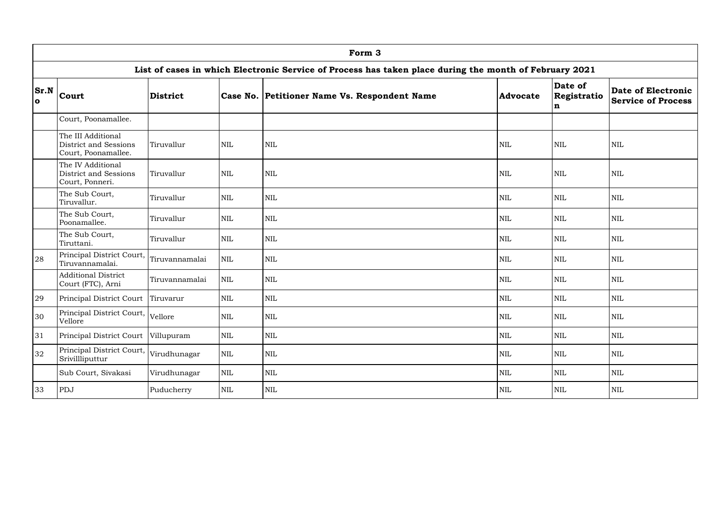|                   | Form 3                                                                                                 |                 |              |                                              |              |                             |                                                 |  |  |  |  |
|-------------------|--------------------------------------------------------------------------------------------------------|-----------------|--------------|----------------------------------------------|--------------|-----------------------------|-------------------------------------------------|--|--|--|--|
|                   | List of cases in which Electronic Service of Process has taken place during the month of February 2021 |                 |              |                                              |              |                             |                                                 |  |  |  |  |
| Sr.N<br>$\bullet$ | Court                                                                                                  | <b>District</b> |              | Case No. Petitioner Name Vs. Respondent Name | Advocate     | Date of<br>Registratio<br>n | Date of Electronic<br><b>Service of Process</b> |  |  |  |  |
|                   | Court, Poonamallee.                                                                                    |                 |              |                                              |              |                             |                                                 |  |  |  |  |
|                   | The III Additional<br>District and Sessions<br>Court, Poonamallee.                                     | Tiruvallur      | <b>NIL</b>   | <b>NIL</b>                                   | <b>NIL</b>   | <b>NIL</b>                  | NIL                                             |  |  |  |  |
|                   | The IV Additional<br>District and Sessions<br>Court, Ponneri.                                          | Tiruvallur      | <b>NIL</b>   | <b>NIL</b>                                   | <b>NIL</b>   | <b>NIL</b>                  | NIL                                             |  |  |  |  |
|                   | The Sub Court,<br>Tiruvallur.                                                                          | Tiruvallur      | <b>NIL</b>   | $\mbox{NIL}$                                 | $\mbox{NIL}$ | <b>NIL</b>                  | <b>NIL</b>                                      |  |  |  |  |
|                   | The Sub Court,<br>Poonamallee.                                                                         | Tiruvallur      | <b>NIL</b>   | <b>NIL</b>                                   | <b>NIL</b>   | <b>NIL</b>                  | <b>NIL</b>                                      |  |  |  |  |
|                   | The Sub Court,<br>Tiruttani.                                                                           | Tiruvallur      | <b>NIL</b>   | $\mbox{NIL}$                                 | $\mbox{NIL}$ | <b>NIL</b>                  | <b>NIL</b>                                      |  |  |  |  |
| 28                | Principal District Court, Tiruvannamalai<br>Tiruvannamalai.                                            |                 | $\mbox{NIL}$ | $\mbox{NIL}$                                 | <b>NIL</b>   | $\mbox{NIL}$                | <b>NIL</b>                                      |  |  |  |  |
|                   | <b>Additional District</b><br>Court (FTC), Arni                                                        | Tiruvannamalai  | <b>NIL</b>   | <b>NIL</b>                                   | <b>NIL</b>   | <b>NIL</b>                  | <b>NIL</b>                                      |  |  |  |  |
| 29                | Principal District Court                                                                               | Tiruvarur       | <b>NIL</b>   | <b>NIL</b>                                   | <b>NIL</b>   | <b>NIL</b>                  | <b>NIL</b>                                      |  |  |  |  |
| 30                | Principal District Court, Vellore<br>Vellore                                                           |                 | $\mbox{NIL}$ | $\mbox{NIL}$                                 | $\mbox{NIL}$ | $\mbox{NIL}$                | $\mbox{NIL}$                                    |  |  |  |  |
| 31                | Principal District Court                                                                               | Villupuram      | NIL          | $\mbox{NIL}$                                 | $\mbox{NIL}$ | $\mbox{NIL}$                | <b>NIL</b>                                      |  |  |  |  |
| 32                | Principal District Court, Virudhunagar<br>Srivillliputtur                                              |                 | $\mbox{NIL}$ | $\mbox{NIL}$                                 | $\mbox{NIL}$ | <b>NIL</b>                  | NIL                                             |  |  |  |  |
|                   | Sub Court, Sivakasi                                                                                    | Virudhunagar    | <b>NIL</b>   | $\mbox{NIL}$                                 | $\mbox{NIL}$ | $\mbox{NIL}$                | <b>NIL</b>                                      |  |  |  |  |
| 33                | PDJ                                                                                                    | Puducherry      | NIL          | $\mbox{NIL}$                                 | $\mbox{NIL}$ | $\mbox{NIL}$                | $\mbox{NIL}$                                    |  |  |  |  |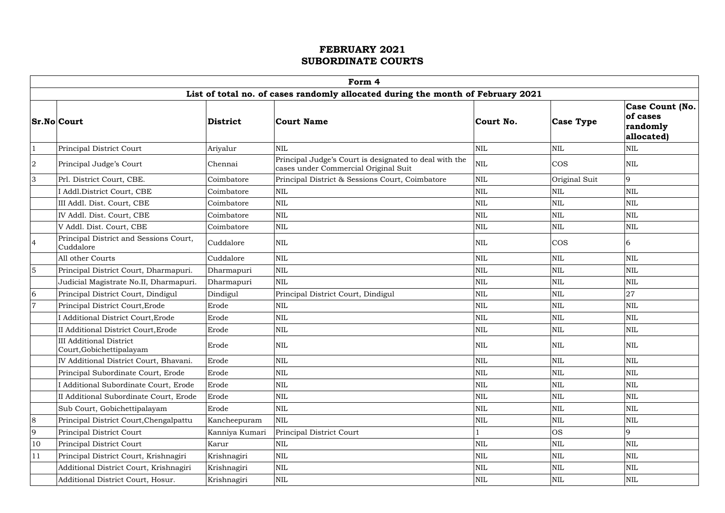|                | Form 4<br>List of total no. of cases randomly allocated during the month of February 2021 |                 |                                                                                                |              |                  |                                                               |  |  |  |  |  |
|----------------|-------------------------------------------------------------------------------------------|-----------------|------------------------------------------------------------------------------------------------|--------------|------------------|---------------------------------------------------------------|--|--|--|--|--|
|                |                                                                                           |                 |                                                                                                |              |                  |                                                               |  |  |  |  |  |
|                | <b>Sr.No Court</b>                                                                        | <b>District</b> | Court Name                                                                                     | Court No.    | <b>Case Type</b> | <b>Case Count (No.)</b><br>of cases<br>randomly<br>allocated) |  |  |  |  |  |
|                | Principal District Court                                                                  | Ariyalur        | <b>NIL</b>                                                                                     | $\mbox{NIL}$ | $\mbox{NIL}$     | <b>NIL</b>                                                    |  |  |  |  |  |
| $\overline{2}$ | Principal Judge's Court                                                                   | Chennai         | Principal Judge's Court is designated to deal with the<br>cases under Commercial Original Suit | NIL          | <b>COS</b>       | NIL                                                           |  |  |  |  |  |
| 3              | Prl. District Court, CBE.                                                                 | Coimbatore      | Principal District & Sessions Court, Coimbatore                                                | $\mbox{NIL}$ | Original Suit    | 9                                                             |  |  |  |  |  |
|                | I Addl.District Court, CBE                                                                | Coimbatore      | <b>NIL</b>                                                                                     | $\mbox{NIL}$ | $\mbox{NIL}$     | NIL                                                           |  |  |  |  |  |
|                | III Addl. Dist. Court, CBE                                                                | Coimbatore      | <b>NIL</b>                                                                                     | $\mbox{NIL}$ | <b>NIL</b>       | NIL                                                           |  |  |  |  |  |
|                | IV Addl. Dist. Court, CBE                                                                 | Coimbatore      | <b>NIL</b>                                                                                     | <b>NIL</b>   | <b>NIL</b>       | <b>NIL</b>                                                    |  |  |  |  |  |
|                | V Addl. Dist. Court, CBE                                                                  | Coimbatore      | <b>NIL</b>                                                                                     | <b>NIL</b>   | $\mbox{NIL}$     | <b>NIL</b>                                                    |  |  |  |  |  |
| $\overline{4}$ | Principal District and Sessions Court,<br>Cuddalore                                       | Cuddalore       | <b>NIL</b>                                                                                     | $\mbox{NIL}$ | <b>COS</b>       | 6                                                             |  |  |  |  |  |
|                | All other Courts                                                                          | Cuddalore       | <b>NIL</b>                                                                                     | $\mbox{NIL}$ | <b>NIL</b>       | <b>NIL</b>                                                    |  |  |  |  |  |
| $\overline{5}$ | Principal District Court, Dharmapuri.                                                     | Dharmapuri      | <b>NIL</b>                                                                                     | $\mbox{NIL}$ | $\mbox{NIL}$     | NIL                                                           |  |  |  |  |  |
|                | Judicial Magistrate No.II, Dharmapuri.                                                    | Dharmapuri      | <b>NIL</b>                                                                                     | <b>NIL</b>   | NIL              | NIL                                                           |  |  |  |  |  |
| 6              | Principal District Court, Dindigul                                                        | Dindigul        | Principal District Court, Dindigul                                                             | $\mbox{NIL}$ | <b>NIL</b>       | 27                                                            |  |  |  |  |  |
|                | Principal District Court, Erode                                                           | Erode           | <b>NIL</b>                                                                                     | $\mbox{NIL}$ | $\mbox{NIL}$     | NIL                                                           |  |  |  |  |  |
|                | I Additional District Court, Erode                                                        | Erode           | <b>NIL</b>                                                                                     | $\mbox{NIL}$ | $\mbox{NIL}$     | NIL                                                           |  |  |  |  |  |
|                | II Additional District Court, Erode                                                       | Erode           | NIL                                                                                            | <b>NIL</b>   | NIL              | NIL                                                           |  |  |  |  |  |
|                | <b>III Additional District</b><br>Court, Gobichettipalayam                                | Erode           | <b>NIL</b>                                                                                     | <b>NIL</b>   | <b>NIL</b>       | <b>NIL</b>                                                    |  |  |  |  |  |
|                | IV Additional District Court, Bhavani.                                                    | Erode           | $\text{NIL}$                                                                                   | <b>NIL</b>   | $\mbox{NIL}$     | NIL                                                           |  |  |  |  |  |
|                | Principal Subordinate Court, Erode                                                        | Erode           | <b>NIL</b>                                                                                     | $\mbox{NIL}$ | $\mbox{NIL}$     | NIL                                                           |  |  |  |  |  |
|                | I Additional Subordinate Court, Erode                                                     | Erode           | $\mbox{NIL}$                                                                                   | $\mbox{NIL}$ | $\mbox{NIL}$     | NIL                                                           |  |  |  |  |  |
|                | II Additional Subordinate Court, Erode                                                    | Erode           | <b>NIL</b>                                                                                     | NIL          | $\mbox{NIL}$     | NIL                                                           |  |  |  |  |  |
|                | Sub Court, Gobichettipalayam                                                              | Erode           | $\mbox{NIL}$                                                                                   | $\mbox{NIL}$ | NIL              | NIL                                                           |  |  |  |  |  |
| 8              | Principal District Court, Chengalpattu                                                    | Kancheepuram    | NIL                                                                                            | $\mbox{NIL}$ | $\mbox{NIL}$     | NIL                                                           |  |  |  |  |  |
| $\overline{9}$ | Principal District Court                                                                  | Kanniya Kumari  | Principal District Court                                                                       |              | <b>OS</b>        | 9                                                             |  |  |  |  |  |
| 10             | Principal District Court                                                                  | Karur           | <b>NIL</b>                                                                                     | $\mbox{NIL}$ | <b>NIL</b>       | NIL                                                           |  |  |  |  |  |
| 11             | Principal District Court, Krishnagiri                                                     | Krishnagiri     | $\mbox{NIL}$                                                                                   | $\mbox{NIL}$ | NIL              | NIL                                                           |  |  |  |  |  |
|                | Additional District Court, Krishnagiri                                                    | Krishnagiri     | NIL                                                                                            | $\mbox{NIL}$ | $\mbox{NIL}$     | NIL                                                           |  |  |  |  |  |
|                | Additional District Court, Hosur.                                                         | Krishnagiri     | <b>NIL</b>                                                                                     | NIL          | NIL              | NIL                                                           |  |  |  |  |  |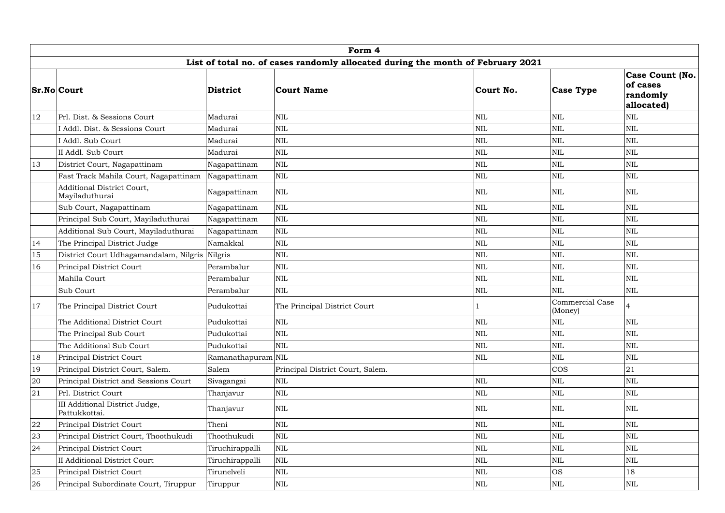|    | Form 4                                                                          |                    |                                  |              |                                   |                                                              |  |  |  |  |  |
|----|---------------------------------------------------------------------------------|--------------------|----------------------------------|--------------|-----------------------------------|--------------------------------------------------------------|--|--|--|--|--|
|    | List of total no. of cases randomly allocated during the month of February 2021 |                    |                                  |              |                                   |                                                              |  |  |  |  |  |
|    | <b>Sr.No Court</b>                                                              | District           | Court Name                       | Court No.    | <b>Case Type</b>                  | <b>Case Count (No.</b><br>of cases<br>randomly<br>allocated) |  |  |  |  |  |
| 12 | Prl. Dist. & Sessions Court                                                     | Madurai            | <b>NIL</b>                       | NIL          | <b>NIL</b>                        | NIL                                                          |  |  |  |  |  |
|    | I Addl. Dist. & Sessions Court                                                  | Madurai            | <b>NIL</b>                       | NIL          | <b>NIL</b>                        | NIL                                                          |  |  |  |  |  |
|    | I Addl. Sub Court                                                               | Madurai            | <b>NIL</b>                       | <b>NIL</b>   | <b>NIL</b>                        | NIL                                                          |  |  |  |  |  |
|    | II Addl. Sub Court                                                              | Madurai            | <b>NIL</b>                       | <b>NIL</b>   | <b>NIL</b>                        | NIL                                                          |  |  |  |  |  |
| 13 | District Court, Nagapattinam                                                    | Nagapattinam       | $\mbox{NIL}$                     | $\mbox{NIL}$ | <b>NIL</b>                        | NIL                                                          |  |  |  |  |  |
|    | Fast Track Mahila Court, Nagapattinam                                           | Nagapattinam       | <b>NIL</b>                       | $\mbox{NIL}$ | <b>NIL</b>                        | NIL                                                          |  |  |  |  |  |
|    | Additional District Court,<br>Mayiladuthurai                                    | Nagapattinam       | $\text{NIL}$                     | <b>NIL</b>   | <b>NIL</b>                        | <b>NIL</b>                                                   |  |  |  |  |  |
|    | Sub Court, Nagapattinam                                                         | Nagapattinam       | <b>NIL</b>                       | NIL          | $\mbox{NIL}$                      | NIL                                                          |  |  |  |  |  |
|    | Principal Sub Court, Mayiladuthurai                                             | Nagapattinam       | $\mbox{NIL}$                     | NIL          | <b>NIL</b>                        | NIL                                                          |  |  |  |  |  |
|    | Additional Sub Court, Mayiladuthurai                                            | Nagapattinam       | $\mbox{NIL}$                     | $\mbox{NIL}$ | $\mbox{NIL}$                      | NIL                                                          |  |  |  |  |  |
| 14 | The Principal District Judge                                                    | Namakkal           | $\mbox{NIL}$                     | <b>NIL</b>   | <b>NIL</b>                        | NIL                                                          |  |  |  |  |  |
| 15 | District Court Udhagamandalam, Nilgris Nilgris                                  |                    | <b>NIL</b>                       | NIL          | $\mbox{NIL}$                      | NIL                                                          |  |  |  |  |  |
| 16 | Principal District Court                                                        | Perambalur         | $\mbox{NIL}$                     | $\mbox{NIL}$ | $\mbox{NIL}$                      | NIL                                                          |  |  |  |  |  |
|    | Mahila Court                                                                    | Perambalur         | $\mbox{NIL}$                     | <b>NIL</b>   | $\mbox{NIL}$                      | NIL                                                          |  |  |  |  |  |
|    | Sub Court                                                                       | Perambalur         | $\mbox{NIL}$                     | <b>NIL</b>   | <b>NIL</b>                        | <b>NIL</b>                                                   |  |  |  |  |  |
| 17 | The Principal District Court                                                    | Pudukottai         | The Principal District Court     |              | <b>Commercial Case</b><br>(Money) |                                                              |  |  |  |  |  |
|    | The Additional District Court                                                   | Pudukottai         | NIL                              | $\mbox{NIL}$ | $\mbox{NIL}$                      | NIL                                                          |  |  |  |  |  |
|    | The Principal Sub Court                                                         | Pudukottai         | $\mbox{NIL}$                     | $\mbox{NIL}$ | $\mbox{NIL}$                      | NIL                                                          |  |  |  |  |  |
|    | The Additional Sub Court                                                        | Pudukottai         | NIL                              | $\mbox{NIL}$ | <b>NIL</b>                        | NIL                                                          |  |  |  |  |  |
| 18 | Principal District Court                                                        | Ramanathapuram NIL |                                  | $\mbox{NIL}$ | <b>NIL</b>                        | NIL                                                          |  |  |  |  |  |
| 19 | Principal District Court, Salem.                                                | Salem              | Principal District Court, Salem. |              | <b>COS</b>                        | 21                                                           |  |  |  |  |  |
| 20 | Principal District and Sessions Court                                           | Sivagangai         | NIL                              | <b>NIL</b>   | $\mbox{NIL}$                      | NIL                                                          |  |  |  |  |  |
| 21 | Prl. District Court                                                             | Thanjavur          | NIL                              | $\mbox{NIL}$ | $\mbox{NIL}$                      | NIL                                                          |  |  |  |  |  |
|    | III Additional District Judge,<br>Pattukkottai.                                 | Thanjavur          | $\mbox{NIL}$                     | <b>NIL</b>   | <b>NIL</b>                        | NIL                                                          |  |  |  |  |  |
| 22 | Principal District Court                                                        | Theni              | NIL                              | <b>NIL</b>   | <b>NIL</b>                        | <b>NIL</b>                                                   |  |  |  |  |  |
| 23 | Principal District Court, Thoothukudi                                           | Thoothukudi        | $\mbox{NIL}$                     | <b>NIL</b>   | <b>NIL</b>                        | NIL                                                          |  |  |  |  |  |
| 24 | Principal District Court                                                        | Tiruchirappalli    | $\mbox{NIL}$                     | $\mbox{NIL}$ | <b>NIL</b>                        | NIL                                                          |  |  |  |  |  |
|    | <b>II Additional District Court</b>                                             | Tiruchirappalli    | $\rm NIL$                        | $\mbox{NIL}$ | $\mbox{NIL}$                      | NIL                                                          |  |  |  |  |  |
| 25 | Principal District Court                                                        | Tirunelveli        | NIL                              | <b>NIL</b>   | <b>OS</b>                         | 18                                                           |  |  |  |  |  |
| 26 | Principal Subordinate Court, Tiruppur                                           | Tiruppur           | $\mbox{NIL}$                     | NIL          | <b>NIL</b>                        | NIL                                                          |  |  |  |  |  |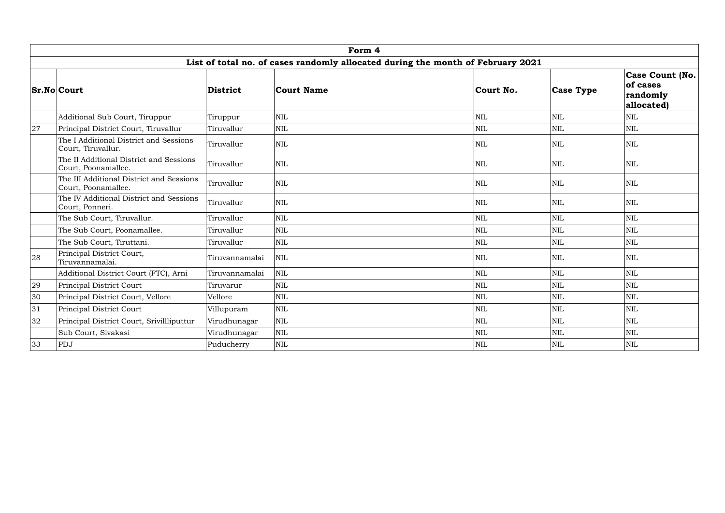|    | Form 4                                                                          |                |              |  |              |                  |                                                               |  |  |  |  |
|----|---------------------------------------------------------------------------------|----------------|--------------|--|--------------|------------------|---------------------------------------------------------------|--|--|--|--|
|    | List of total no. of cases randomly allocated during the month of February 2021 |                |              |  |              |                  |                                                               |  |  |  |  |
|    | <b>Sr.No Court</b>                                                              | District       | Court Name   |  | Court No.    | <b>Case Type</b> | <b>Case Count (No.)</b><br>of cases<br>randomly<br>allocated) |  |  |  |  |
|    | Additional Sub Court, Tiruppur                                                  | Tiruppur       | <b>NIL</b>   |  | NIL          | <b>NIL</b>       | NIL                                                           |  |  |  |  |
| 27 | Principal District Court, Tiruvallur                                            | Tiruvallur     | <b>NIL</b>   |  | $\mbox{NIL}$ | <b>NIL</b>       | NIL                                                           |  |  |  |  |
|    | The I Additional District and Sessions<br>Court, Tiruvallur.                    | Tiruvallur     | $\text{NIL}$ |  | $\mbox{NIL}$ | <b>NIL</b>       | NIL                                                           |  |  |  |  |
|    | The II Additional District and Sessions<br>Court, Poonamallee.                  | Tiruvallur     | NIL          |  | $\mbox{NIL}$ | <b>NIL</b>       | NIL                                                           |  |  |  |  |
|    | The III Additional District and Sessions<br>Court, Poonamallee.                 | Tiruvallur     | $\text{NIL}$ |  | <b>NIL</b>   | <b>NIL</b>       | NIL                                                           |  |  |  |  |
|    | The IV Additional District and Sessions<br>Court, Ponneri.                      | Tiruvallur     | $\text{NIL}$ |  | NIL          | <b>NIL</b>       | NIL                                                           |  |  |  |  |
|    | The Sub Court, Tiruvallur.                                                      | Tiruvallur     | <b>NIL</b>   |  | <b>NIL</b>   | <b>NIL</b>       | NIL                                                           |  |  |  |  |
|    | The Sub Court, Poonamallee.                                                     | Tiruvallur     | <b>NIL</b>   |  | $\mbox{NIL}$ | <b>NIL</b>       | NIL                                                           |  |  |  |  |
|    | The Sub Court, Tiruttani.                                                       | Tiruvallur     | NIL          |  | $\mbox{NIL}$ | <b>NIL</b>       | NIL                                                           |  |  |  |  |
| 28 | Principal District Court,<br>Tiruvannamalai.                                    | Tiruvannamalai | $\text{NIL}$ |  | <b>NIL</b>   | <b>NIL</b>       | NIL                                                           |  |  |  |  |
|    | Additional District Court (FTC), Arni                                           | Tiruvannamalai | <b>NIL</b>   |  | $\mbox{NIL}$ | <b>NIL</b>       | NIL                                                           |  |  |  |  |
| 29 | Principal District Court                                                        | Tiruvarur      | <b>NIL</b>   |  | NIL          | <b>NIL</b>       | NIL                                                           |  |  |  |  |
| 30 | Principal District Court, Vellore                                               | Vellore        | <b>NIL</b>   |  | NIL          | <b>NIL</b>       | NIL                                                           |  |  |  |  |
| 31 | Principal District Court                                                        | Villupuram     | <b>NIL</b>   |  | <b>NIL</b>   | NIL              | NIL                                                           |  |  |  |  |
| 32 | Principal District Court, Srivillliputtur                                       | Virudhunagar   | $\text{NIL}$ |  | <b>NIL</b>   | <b>NIL</b>       | <b>NIL</b>                                                    |  |  |  |  |
|    | Sub Court, Sivakasi                                                             | Virudhunagar   | $\mbox{NIL}$ |  | $\mbox{NIL}$ | <b>NIL</b>       | NIL                                                           |  |  |  |  |
| 33 | PDJ                                                                             | Puducherry     | <b>NIL</b>   |  | $\mbox{NIL}$ | <b>NIL</b>       | NIL                                                           |  |  |  |  |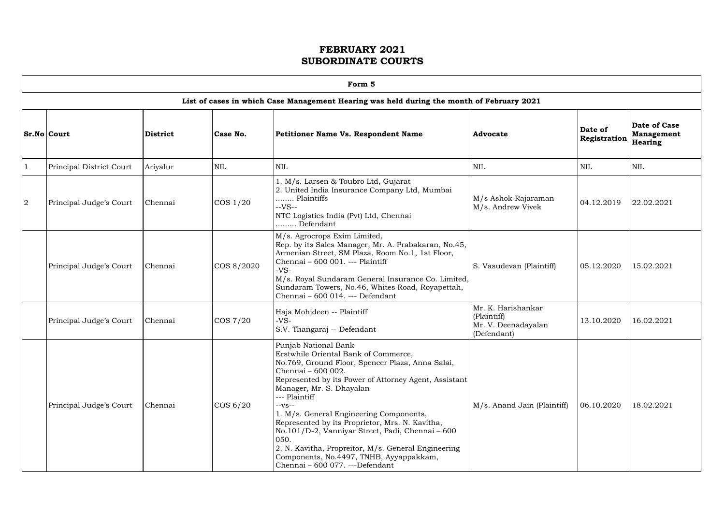| ۲<br>г |  |
|--------|--|
|        |  |

- Г

|                | Form 5                   |                 |             |                                                                                                                                                                                                                                                                                                                                                                                                                                                                                                                                                       |                                                                         |                         |                                              |  |  |  |
|----------------|--------------------------|-----------------|-------------|-------------------------------------------------------------------------------------------------------------------------------------------------------------------------------------------------------------------------------------------------------------------------------------------------------------------------------------------------------------------------------------------------------------------------------------------------------------------------------------------------------------------------------------------------------|-------------------------------------------------------------------------|-------------------------|----------------------------------------------|--|--|--|
|                |                          |                 |             | List of cases in which Case Management Hearing was held during the month of February 2021                                                                                                                                                                                                                                                                                                                                                                                                                                                             |                                                                         |                         |                                              |  |  |  |
|                | Sr.No Court              | <b>District</b> | Case No.    | <b>Petitioner Name Vs. Respondent Name</b>                                                                                                                                                                                                                                                                                                                                                                                                                                                                                                            | <b>Advocate</b>                                                         | Date of<br>Registration | <b>Date of Case</b><br>Management<br>Hearing |  |  |  |
|                | Principal District Court | Ariyalur        | <b>NIL</b>  | <b>NIL</b>                                                                                                                                                                                                                                                                                                                                                                                                                                                                                                                                            | <b>NIL</b>                                                              | <b>NIL</b>              | NIL                                          |  |  |  |
| $\overline{2}$ | Principal Judge's Court  | Chennai         | $\cos 1/20$ | 1. M/s. Larsen & Toubro Ltd, Gujarat<br>2. United India Insurance Company Ltd, Mumbai<br>Plaintiffs<br>$-VS-$<br>NTC Logistics India (Pvt) Ltd, Chennai<br>Defendant                                                                                                                                                                                                                                                                                                                                                                                  | M/s Ashok Rajaraman<br>M/s. Andrew Vivek                                | 04.12.2019              | 22.02.2021                                   |  |  |  |
|                | Principal Judge's Court  | Chennai         | COS 8/2020  | M/s. Agrocrops Exim Limited,<br>Rep. by its Sales Manager, Mr. A. Prabakaran, No.45,<br>Armenian Street, SM Plaza, Room No.1, 1st Floor,<br>Chennai - 600 001. --- Plaintiff<br>$-VS-$<br>M/s. Royal Sundaram General Insurance Co. Limited,<br>Sundaram Towers, No.46, Whites Road, Royapettah,<br>Chennai - 600 014. --- Defendant                                                                                                                                                                                                                  | S. Vasudevan (Plaintiff)                                                | 05.12.2020              | 15.02.2021                                   |  |  |  |
|                | Principal Judge's Court  | Chennai         | COS 7/20    | Haja Mohideen -- Plaintiff<br>$-VS-$<br>S.V. Thangaraj -- Defendant                                                                                                                                                                                                                                                                                                                                                                                                                                                                                   | Mr. K. Harishankar<br>(Plaintiff)<br>Mr. V. Deenadayalan<br>(Defendant) | 13.10.2020              | 16.02.2021                                   |  |  |  |
|                | Principal Judge's Court  | Chennai         | $\cos 6/20$ | Punjab National Bank<br>Erstwhile Oriental Bank of Commerce,<br>No.769, Ground Floor, Spencer Plaza, Anna Salai,<br>Chennai - 600 002.<br>Represented by its Power of Attorney Agent, Assistant<br>Manager, Mr. S. Dhayalan<br>--- Plaintiff<br>$-vs-$<br>1. M/s. General Engineering Components,<br>Represented by its Proprietor, Mrs. N. Kavitha,<br>No.101/D-2, Vanniyar Street, Padi, Chennai - 600<br>050.<br>2. N. Kavitha, Propreitor, M/s. General Engineering<br>Components, No.4497, TNHB, Ayyappakkam,<br>Chennai - 600 077. ---Defendant | M/s. Anand Jain (Plaintiff)                                             | 06.10.2020              | 18.02.2021                                   |  |  |  |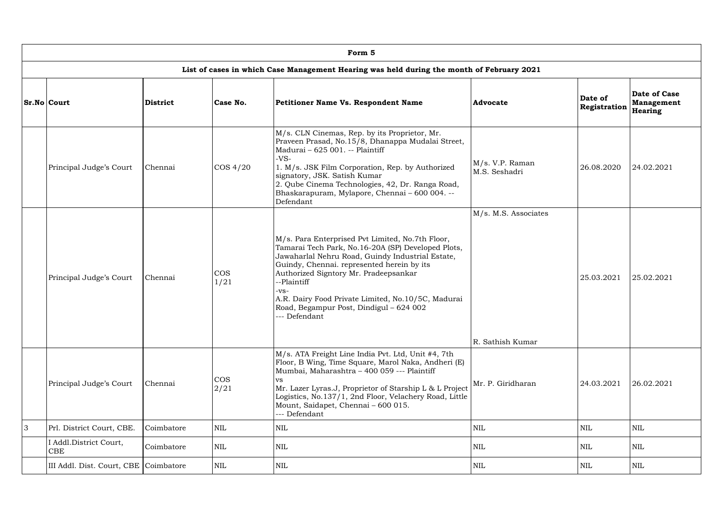|                | Form 5                                                                                    |                 |                    |                                                                                                                                                                                                                                                                                                                                                                                           |                                          |                         |                                       |  |  |  |  |  |
|----------------|-------------------------------------------------------------------------------------------|-----------------|--------------------|-------------------------------------------------------------------------------------------------------------------------------------------------------------------------------------------------------------------------------------------------------------------------------------------------------------------------------------------------------------------------------------------|------------------------------------------|-------------------------|---------------------------------------|--|--|--|--|--|
|                | List of cases in which Case Management Hearing was held during the month of February 2021 |                 |                    |                                                                                                                                                                                                                                                                                                                                                                                           |                                          |                         |                                       |  |  |  |  |  |
|                | <b>Sr.No Court</b>                                                                        | <b>District</b> | Case No.           | <b>Petitioner Name Vs. Respondent Name</b>                                                                                                                                                                                                                                                                                                                                                | <b>Advocate</b>                          | Date of<br>Registration | Date of Case<br>Management<br>Hearing |  |  |  |  |  |
|                | Principal Judge's Court                                                                   | Chennai         | $\cos 4/20$        | M/s. CLN Cinemas, Rep. by its Proprietor, Mr.<br>Praveen Prasad, No.15/8, Dhanappa Mudalai Street,<br>Madurai - 625 001. -- Plaintiff<br>$-VS-$<br>1. M/s. JSK Film Corporation, Rep. by Authorized<br>signatory, JSK. Satish Kumar<br>2. Qube Cinema Technologies, 42, Dr. Ranga Road,<br>Bhaskarapuram, Mylapore, Chennai - 600 004. --<br>Defendant                                    | $M/s$ . V.P. Raman<br>M.S. Seshadri      | 26.08.2020              | 24.02.2021                            |  |  |  |  |  |
|                | Principal Judge's Court                                                                   | Chennai         | <b>COS</b><br>1/21 | M/s. Para Enterprised Pvt Limited, No.7th Floor,<br>Tamarai Tech Park, No.16-20A (SP) Developed Plots,<br>Jawaharlal Nehru Road, Guindy Industrial Estate,<br>Guindy, Chennai. represented herein by its<br>Authorized Signtory Mr. Pradeepsankar<br>--Plaintiff<br>-VS-<br>A.R. Dairy Food Private Limited, No.10/5C, Madurai<br>Road, Begampur Post, Dindigul - 624 002<br>-- Defendant | M/s. M.S. Associates<br>R. Sathish Kumar | 25.03.2021              | 25.02.2021                            |  |  |  |  |  |
|                | Principal Judge's Court                                                                   | Chennai         | <b>COS</b><br>2/21 | M/s. ATA Freight Line India Pvt. Ltd, Unit #4, 7th<br>Floor, B Wing, Time Square, Marol Naka, Andheri (E)<br>Mumbai, Maharashtra - 400 059 --- Plaintiff<br>VS.<br>Mr. Lazer Lyras.J, Proprietor of Starship L & L Project<br>Logistics, No.137/1, 2nd Floor, Velachery Road, Little<br>Mount, Saidapet, Chennai - 600 015.<br>--- Defendant                                              | Mr. P. Giridharan                        | 24.03.2021              | 26.02.2021                            |  |  |  |  |  |
| $\overline{3}$ | Prl. District Court, CBE.                                                                 | Coimbatore      | <b>NIL</b>         | <b>NIL</b>                                                                                                                                                                                                                                                                                                                                                                                | <b>NIL</b>                               | <b>NIL</b>              | NIL                                   |  |  |  |  |  |
|                | I Addl.District Court,<br>CBE                                                             | Coimbatore      | <b>NIL</b>         | <b>NIL</b>                                                                                                                                                                                                                                                                                                                                                                                | <b>NIL</b>                               | $\mbox{NIL}$            | NIL                                   |  |  |  |  |  |
|                | III Addl. Dist. Court, CBE Coimbatore                                                     |                 | <b>NIL</b>         | <b>NIL</b>                                                                                                                                                                                                                                                                                                                                                                                | <b>NIL</b>                               | NIL                     | NIL                                   |  |  |  |  |  |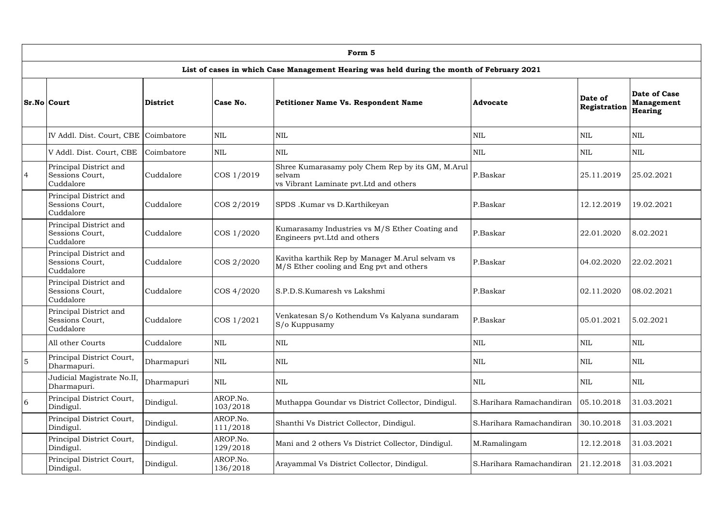|                | Form 5                                                 |            |                      |                                                                                                       |                          |                         |                                              |  |  |  |  |  |
|----------------|--------------------------------------------------------|------------|----------------------|-------------------------------------------------------------------------------------------------------|--------------------------|-------------------------|----------------------------------------------|--|--|--|--|--|
|                |                                                        |            |                      | List of cases in which Case Management Hearing was held during the month of February 2021             |                          |                         |                                              |  |  |  |  |  |
|                | <b>Sr.No Court</b>                                     | District   | Case No.             | Petitioner Name Vs. Respondent Name                                                                   | <b>Advocate</b>          | Date of<br>Registration | Date of Case<br><b>Management</b><br>Hearing |  |  |  |  |  |
|                | IV Addl. Dist. Court, CBE Coimbatore                   |            | $\mbox{NIL}$         | $\mbox{NIL}$                                                                                          | $\textsc{nil}$           | $\mbox{NIL}$            | <b>NIL</b>                                   |  |  |  |  |  |
|                | V Addl. Dist. Court, CBE                               | Coimbatore | <b>NIL</b>           | $\mbox{NIL}$                                                                                          | <b>NIL</b>               | $\mbox{NIL}$            | <b>NIL</b>                                   |  |  |  |  |  |
| $\overline{4}$ | Principal District and<br>Sessions Court,<br>Cuddalore | Cuddalore  | COS 1/2019           | Shree Kumarasamy poly Chem Rep by its GM, M.Arul<br>selvam<br>vs Vibrant Laminate pvt. Ltd and others | P.Baskar                 | 25.11.2019              | 25.02.2021                                   |  |  |  |  |  |
|                | Principal District and<br>Sessions Court,<br>Cuddalore | Cuddalore  | COS 2/2019           | SPDS .Kumar vs D.Karthikeyan                                                                          | P.Baskar                 | 12.12.2019              | 19.02.2021                                   |  |  |  |  |  |
|                | Principal District and<br>Sessions Court,<br>Cuddalore | Cuddalore  | COS 1/2020           | Kumarasamy Industries vs M/S Ether Coating and<br>Engineers pvt. Ltd and others                       | P.Baskar                 | 22.01.2020              | 8.02.2021                                    |  |  |  |  |  |
|                | Principal District and<br>Sessions Court,<br>Cuddalore | Cuddalore  | COS 2/2020           | Kavitha karthik Rep by Manager M.Arul selvam vs<br>M/S Ether cooling and Eng pvt and others           | P.Baskar                 | 04.02.2020              | 22.02.2021                                   |  |  |  |  |  |
|                | Principal District and<br>Sessions Court,<br>Cuddalore | Cuddalore  | COS 4/2020           | S.P.D.S.Kumaresh vs Lakshmi                                                                           | P.Baskar                 | 02.11.2020              | 08.02.2021                                   |  |  |  |  |  |
|                | Principal District and<br>Sessions Court,<br>Cuddalore | Cuddalore  | COS 1/2021           | Venkatesan S/o Kothendum Vs Kalyana sundaram<br>S/o Kuppusamy                                         | P.Baskar                 | 05.01.2021              | 5.02.2021                                    |  |  |  |  |  |
|                | All other Courts                                       | Cuddalore  | <b>NIL</b>           | $\mbox{NIL}$                                                                                          | NIL                      | $\mbox{NIL}$            | <b>NIL</b>                                   |  |  |  |  |  |
| $\overline{5}$ | Principal District Court,<br>Dharmapuri.               | Dharmapuri | <b>NIL</b>           | $\mbox{NIL}$                                                                                          | NIL                      | $\mbox{NIL}$            | <b>NIL</b>                                   |  |  |  |  |  |
|                | Judicial Magistrate No.II,<br>Dharmapuri.              | Dharmapuri | <b>NIL</b>           | <b>NIL</b>                                                                                            | $\textsc{nil}$           | $\mbox{NIL}$            | <b>NIL</b>                                   |  |  |  |  |  |
| 6              | Principal District Court,<br>Dindigul.                 | Dindigul.  | AROP.No.<br>103/2018 | Muthappa Goundar vs District Collector, Dindigul.                                                     | S.Harihara Ramachandiran | 05.10.2018              | 31.03.2021                                   |  |  |  |  |  |
|                | Principal District Court,<br>Dindigul.                 | Dindigul.  | AROP.No.<br>111/2018 | Shanthi Vs District Collector, Dindigul.                                                              | S.Harihara Ramachandiran | 30.10.2018              | 31.03.2021                                   |  |  |  |  |  |
|                | Principal District Court,<br>Dindigul.                 | Dindigul.  | AROP.No.<br>129/2018 | Mani and 2 others Vs District Collector, Dindigul.                                                    | M.Ramalingam             | 12.12.2018              | 31.03.2021                                   |  |  |  |  |  |
|                | Principal District Court,<br>Dindigul.                 | Dindigul.  | AROP.No.<br>136/2018 | Arayammal Vs District Collector, Dindigul.                                                            | S.Harihara Ramachandiran | 21.12.2018              | 31.03.2021                                   |  |  |  |  |  |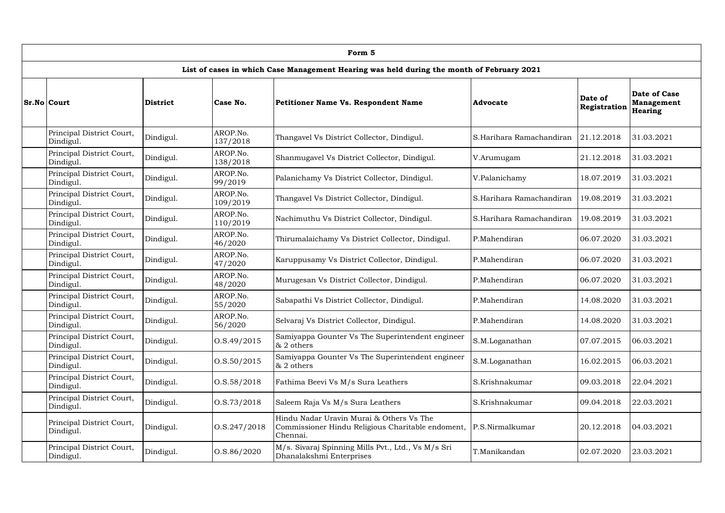| Form 5                                                                                    |                 |                      |                                                                                                           |                          |                         |                                                     |  |  |  |  |  |
|-------------------------------------------------------------------------------------------|-----------------|----------------------|-----------------------------------------------------------------------------------------------------------|--------------------------|-------------------------|-----------------------------------------------------|--|--|--|--|--|
| List of cases in which Case Management Hearing was held during the month of February 2021 |                 |                      |                                                                                                           |                          |                         |                                                     |  |  |  |  |  |
| <b>Sr.No Court</b>                                                                        | <b>District</b> | Case No.             | <b>Petitioner Name Vs. Respondent Name</b>                                                                | <b>Advocate</b>          | Date of<br>Registration | Date of Case<br><b>Management</b><br><b>Hearing</b> |  |  |  |  |  |
| Principal District Court,<br>Dindigul.                                                    | Dindigul.       | AROP.No.<br>137/2018 | Thangavel Vs District Collector, Dindigul.                                                                | S.Harihara Ramachandiran | 21.12.2018              | 31.03.2021                                          |  |  |  |  |  |
| Principal District Court,<br>Dindigul.                                                    | Dindigul.       | AROP.No.<br>138/2018 | Shanmugavel Vs District Collector, Dindigul.                                                              | V.Arumugam               | 21.12.2018              | 31.03.2021                                          |  |  |  |  |  |
| Principal District Court,<br>Dindigul.                                                    | Dindigul.       | AROP.No.<br>99/2019  | Palanichamy Vs District Collector, Dindigul.                                                              | V.Palanichamy            | 18.07.2019              | 31.03.2021                                          |  |  |  |  |  |
| Principal District Court,<br>Dindigul.                                                    | Dindigul.       | AROP.No.<br>109/2019 | Thangavel Vs District Collector, Dindigul.                                                                | S.Harihara Ramachandiran | 19.08.2019              | 31.03.2021                                          |  |  |  |  |  |
| Principal District Court,<br>Dindigul.                                                    | Dindigul.       | AROP.No.<br>110/2019 | Nachimuthu Vs District Collector, Dindigul.                                                               | S.Harihara Ramachandiran | 19.08.2019              | 31.03.2021                                          |  |  |  |  |  |
| Principal District Court,<br>Dindigul.                                                    | Dindigul.       | AROP.No.<br>46/2020  | Thirumalaichamy Vs District Collector, Dindigul.                                                          | P.Mahendiran             | 06.07.2020              | 31.03.2021                                          |  |  |  |  |  |
| Principal District Court,<br>Dindigul.                                                    | Dindigul.       | AROP.No.<br>47/2020  | Karuppusamy Vs District Collector, Dindigul.                                                              | P.Mahendiran             | 06.07.2020              | 31.03.2021                                          |  |  |  |  |  |
| Principal District Court,<br>Dindigul.                                                    | Dindigul.       | AROP.No.<br>48/2020  | Murugesan Vs District Collector, Dindigul.                                                                | P.Mahendiran             | 06.07.2020              | 31.03.2021                                          |  |  |  |  |  |
| Principal District Court,<br>Dindigul.                                                    | Dindigul.       | AROP.No.<br>55/2020  | Sabapathi Vs District Collector, Dindigul.                                                                | P.Mahendiran             | 14.08.2020              | 31.03.2021                                          |  |  |  |  |  |
| Principal District Court,<br>Dindigul.                                                    | Dindigul.       | AROP.No.<br>56/2020  | Selvaraj Vs District Collector, Dindigul.                                                                 | P.Mahendiran             | 14.08.2020              | 31.03.2021                                          |  |  |  |  |  |
| Principal District Court,<br>Dindigul.                                                    | Dindigul.       | 0. S.49 / 2015       | Samiyappa Gounter Vs The Superintendent engineer<br>& 2 others                                            | S.M.Loganathan           | 07.07.2015              | 06.03.2021                                          |  |  |  |  |  |
| Principal District Court,<br>Dindigul.                                                    | Dindigul.       | 0. S. 50 / 2015      | Samiyappa Gounter Vs The Superintendent engineer<br>& 2 others                                            | S.M.Loganathan           | 16.02.2015              | 06.03.2021                                          |  |  |  |  |  |
| Principal District Court,<br>Dindigul.                                                    | Dindigul.       | 0. S. 58 / 2018      | Fathima Beevi Vs M/s Sura Leathers                                                                        | S.Krishnakumar           | 09.03.2018              | 22.04.2021                                          |  |  |  |  |  |
| Principal District Court,<br>Dindigul.                                                    | Dindigul.       | 0. S. 73/2018        | Saleem Raja Vs M/s Sura Leathers                                                                          | S.Krishnakumar           | 09.04.2018              | 22.03.2021                                          |  |  |  |  |  |
| Principal District Court,<br>Dindigul.                                                    | Dindigul.       | 0. S. 247 / 2018     | Hindu Nadar Uravin Murai & Others Vs The<br>Commissioner Hindu Religious Charitable endoment,<br>Chennai. | P.S.Nirmalkumar          | 20.12.2018              | 04.03.2021                                          |  |  |  |  |  |
| Principal District Court,<br>Dindigul.                                                    | Dindigul.       | 0. S. 86 / 2020      | M/s. Sivaraj Spinning Mills Pvt., Ltd., Vs M/s Sri<br>Dhanalakshmi Enterprises                            | T.Manikandan             | 02.07.2020              | 23.03.2021                                          |  |  |  |  |  |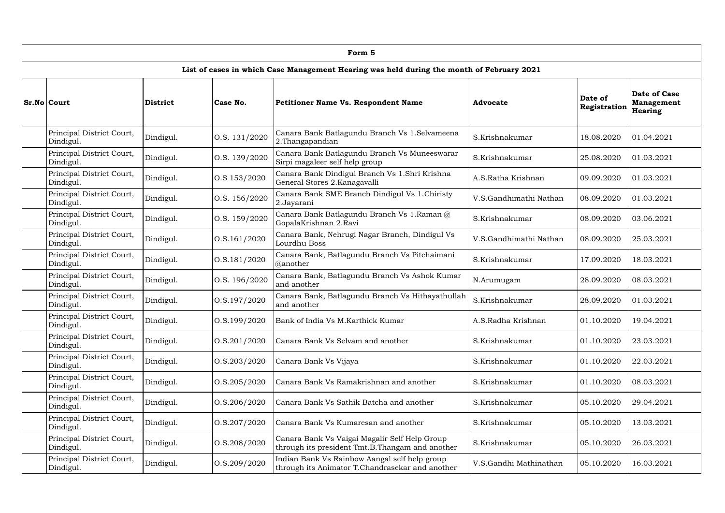| Form 5                                 |                 |                                   |                                                                                                  |                        |                         |                                              |  |  |  |  |
|----------------------------------------|-----------------|-----------------------------------|--------------------------------------------------------------------------------------------------|------------------------|-------------------------|----------------------------------------------|--|--|--|--|
|                                        |                 |                                   | List of cases in which Case Management Hearing was held during the month of February 2021        |                        |                         |                                              |  |  |  |  |
| Sr.No Court                            | <b>District</b> | Case No.                          | <b>Petitioner Name Vs. Respondent Name</b>                                                       | <b>Advocate</b>        | Date of<br>Registration | Date of Case<br><b>Management</b><br>Hearing |  |  |  |  |
| Principal District Court,<br>Dindigul. | Dindigul.       | O.S. 131/2020                     | Canara Bank Batlagundu Branch Vs 1.Selvameena<br>2. Thangapandian                                | S.Krishnakumar         | 18.08.2020              | 01.04.2021                                   |  |  |  |  |
| Principal District Court,<br>Dindigul. | Dindigul.       | O.S. 139/2020                     | Canara Bank Batlagundu Branch Vs Muneeswarar<br>Sirpi magaleer self help group                   | S.Krishnakumar         | 25.08.2020              | 01.03.2021                                   |  |  |  |  |
| Principal District Court,<br>Dindigul. | Dindigul.       | O.S 153/2020                      | Canara Bank Dindigul Branch Vs 1.Shri Krishna<br>General Stores 2. Kanagavalli                   | A.S.Ratha Krishnan     | 09.09.2020              | 01.03.2021                                   |  |  |  |  |
| Principal District Court,<br>Dindigul. | Dindigul.       | O.S. 156/2020                     | Canara Bank SME Branch Dindigul Vs 1. Chiristy<br>2.Jayarani                                     | V.S.Gandhimathi Nathan | 08.09.2020              | 01.03.2021                                   |  |  |  |  |
| Principal District Court,<br>Dindigul. | Dindigul.       | O.S. 159/2020                     | Canara Bank Batlagundu Branch Vs 1.Raman @<br>GopalaKrishnan 2.Ravi                              | S.Krishnakumar         | 08.09.2020              | 03.06.2021                                   |  |  |  |  |
| Principal District Court,<br>Dindigul. | Dindigul.       | 0. S. 161 / 2020                  | Canara Bank, Nehrugi Nagar Branch, Dindigul Vs<br>Lourdhu Boss                                   | V.S.Gandhimathi Nathan | 08.09.2020              | 25.03.2021                                   |  |  |  |  |
| Principal District Court,<br>Dindigul. | Dindigul.       | 0. S. 181 / 2020                  | Canara Bank, Batlagundu Branch Vs Pitchaimani<br>@another                                        | S.Krishnakumar         | 17.09.2020              | 18.03.2021                                   |  |  |  |  |
| Principal District Court,<br>Dindigul. | Dindigul.       | 0. S. 196 / 2020                  | Canara Bank, Batlagundu Branch Vs Ashok Kumar<br>and another                                     | N.Arumugam             | 28.09.2020              | 08.03.2021                                   |  |  |  |  |
| Principal District Court,<br>Dindigul. | Dindigul.       | 0. S. 197 / 2020                  | Canara Bank, Batlagundu Branch Vs Hithayathullah<br>and another                                  | S.Krishnakumar         | 28.09.2020              | 01.03.2021                                   |  |  |  |  |
| Principal District Court,<br>Dindigul. | Dindigul.       | 0. S. 199 / 2020                  | Bank of India Vs M.Karthick Kumar                                                                | A.S.Radha Krishnan     | 01.10.2020              | 19.04.2021                                   |  |  |  |  |
| Principal District Court,<br>Dindigul. | Dindigul.       | 0. S. 201 / 2020                  | Canara Bank Vs Selvam and another                                                                | S.Krishnakumar         | 01.10.2020              | 23.03.2021                                   |  |  |  |  |
| Principal District Court,<br>Dindigul. | Dindigul.       | 0. S. 203 / 2020                  | Canara Bank Vs Vijaya                                                                            | S.Krishnakumar         | 01.10.2020              | 22.03.2021                                   |  |  |  |  |
| Principal District Court,<br>Dindigul. | Dindigul.       | 0. S. 205 / 2020                  | Canara Bank Vs Ramakrishnan and another                                                          | S.Krishnakumar         | 01.10.2020              | 08.03.2021                                   |  |  |  |  |
| Principal District Court,<br>Dindigul. | Dindigul.       | 0. S. 206 / 2020                  | Canara Bank Vs Sathik Batcha and another                                                         | S.Krishnakumar         | 05.10.2020              | 29.04.2021                                   |  |  |  |  |
| Principal District Court,<br>Dindigul. | Dindigul.       | $\left  0. S. 207 / 2020 \right $ | Canara Bank Vs Kumaresan and another                                                             | S.Krishnakumar         | 05.10.2020              | 13.03.2021                                   |  |  |  |  |
| Principal District Court,<br>Dindigul. | Dindigul.       | O.S.208/2020                      | Canara Bank Vs Vaigai Magalir Self Help Group<br>through its president Tmt.B.Thangam and another | S.Krishnakumar         | 05.10.2020              | 26.03.2021                                   |  |  |  |  |
| Principal District Court,<br>Dindigul. | Dindigul.       | O.S.209/2020                      | Indian Bank Vs Rainbow Aangal self help group<br>through its Animator T.Chandrasekar and another | V.S.Gandhi Mathinathan | 05.10.2020              | 16.03.2021                                   |  |  |  |  |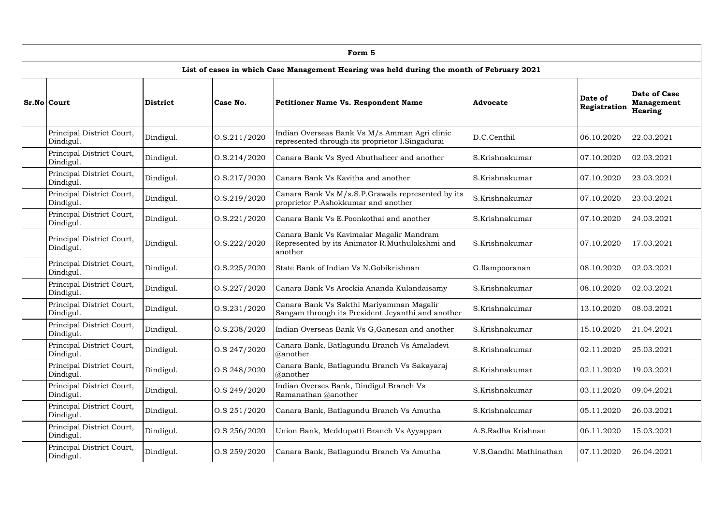| Form 5                                                                                    |           |                  |                                                                                                       |                        |                         |                                                     |  |  |  |  |  |
|-------------------------------------------------------------------------------------------|-----------|------------------|-------------------------------------------------------------------------------------------------------|------------------------|-------------------------|-----------------------------------------------------|--|--|--|--|--|
| List of cases in which Case Management Hearing was held during the month of February 2021 |           |                  |                                                                                                       |                        |                         |                                                     |  |  |  |  |  |
| Sr.No Court                                                                               | District  | Case No.         | <b>Petitioner Name Vs. Respondent Name</b>                                                            | <b>Advocate</b>        | Date of<br>Registration | <b>Date of Case</b><br><b>Management</b><br>Hearing |  |  |  |  |  |
| Principal District Court,<br>Dindigul.                                                    | Dindigul. | 0. S. 211 / 2020 | Indian Overseas Bank Vs M/s.Amman Agri clinic<br>represented through its proprietor I.Singadurai      | D.C.Centhil            | 06.10.2020              | 22.03.2021                                          |  |  |  |  |  |
| Principal District Court,<br>Dindigul.                                                    | Dindigul. | 0. S. 214 / 2020 | Canara Bank Vs Syed Abuthaheer and another                                                            | S.Krishnakumar         | 07.10.2020              | 02.03.2021                                          |  |  |  |  |  |
| Principal District Court,<br>Dindigul.                                                    | Dindigul. | 0. S. 217 / 2020 | Canara Bank Vs Kavitha and another                                                                    | S.Krishnakumar         | 07.10.2020              | 23.03.2021                                          |  |  |  |  |  |
| Principal District Court,<br>Dindigul.                                                    | Dindigul. | O.S.219/2020     | Canara Bank Vs M/s.S.P.Grawals represented by its<br>proprietor P.Ashokkumar and another              | S.Krishnakumar         | 07.10.2020              | 23.03.2021                                          |  |  |  |  |  |
| Principal District Court,<br>Dindigul.                                                    | Dindigul. | 0. S. 221 / 2020 | Canara Bank Vs E.Poonkothai and another                                                               | S.Krishnakumar         | 07.10.2020              | 24.03.2021                                          |  |  |  |  |  |
| Principal District Court,<br>Dindigul.                                                    | Dindigul. | 0. S. 222 / 2020 | Canara Bank Vs Kavimalar Magalir Mandram<br>Represented by its Animator R.Muthulakshmi and<br>another | S.Krishnakumar         | 07.10.2020              | 17.03.2021                                          |  |  |  |  |  |
| Principal District Court,<br>Dindigul.                                                    | Dindigul. | 0. S. 225 / 2020 | State Bank of Indian Vs N.Gobikrishnan                                                                | G.Ilampooranan         | 08.10.2020              | 02.03.2021                                          |  |  |  |  |  |
| Principal District Court,<br>Dindigul.                                                    | Dindigul. | 0. S. 227 / 2020 | Canara Bank Vs Arockia Ananda Kulandaisamy                                                            | S.Krishnakumar         | 08.10.2020              | 02.03.2021                                          |  |  |  |  |  |
| Principal District Court,<br>Dindigul.                                                    | Dindigul. | 0. S. 231 / 2020 | Canara Bank Vs Sakthi Mariyamman Magalir<br>Sangam through its President Jeyanthi and another         | S.Krishnakumar         | 13.10.2020              | 08.03.2021                                          |  |  |  |  |  |
| Principal District Court,<br>Dindigul.                                                    | Dindigul. | 0. S. 238 / 2020 | Indian Overseas Bank Vs G, Ganesan and another                                                        | S.Krishnakumar         | 15.10.2020              | 21.04.2021                                          |  |  |  |  |  |
| Principal District Court,<br>Dindigul.                                                    | Dindigul. | O.S 247/2020     | Canara Bank, Batlagundu Branch Vs Amaladevi<br>@another                                               | S.Krishnakumar         | 02.11.2020              | 25.03.2021                                          |  |  |  |  |  |
| Principal District Court,<br>Dindigul.                                                    | Dindigul. | O.S 248/2020     | Canara Bank, Batlagundu Branch Vs Sakayaraj<br>@another                                               | S.Krishnakumar         | 02.11.2020              | 19.03.2021                                          |  |  |  |  |  |
| Principal District Court,<br>Dindigul.                                                    | Dindigul. | O.S 249/2020     | Indian Overses Bank, Dindigul Branch Vs<br>Ramanathan @another                                        | S.Krishnakumar         | 03.11.2020              | 09.04.2021                                          |  |  |  |  |  |
| Principal District Court,<br>Dindigul.                                                    | Dindigul. | O.S 251/2020     | Canara Bank, Batlagundu Branch Vs Amutha                                                              | S.Krishnakumar         | 05.11.2020              | 26.03.2021                                          |  |  |  |  |  |
| Principal District Court,<br>Dindigul.                                                    | Dindigul. | O.S 256/2020     | Union Bank, Meddupatti Branch Vs Ayyappan                                                             | A.S.Radha Krishnan     | 06.11.2020              | 15.03.2021                                          |  |  |  |  |  |
| Principal District Court,<br>Dindigul.                                                    | Dindigul. | O.S 259/2020     | Canara Bank, Batlagundu Branch Vs Amutha                                                              | V.S.Gandhi Mathinathan | 07.11.2020              | 26.04.2021                                          |  |  |  |  |  |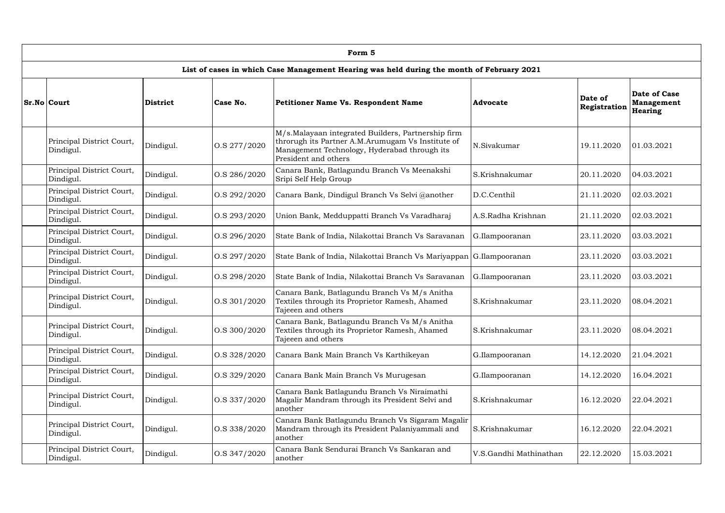| Form 5                                                                                    |           |                 |                                                                                                                                                                                 |                        |                         |                                              |  |  |  |  |  |
|-------------------------------------------------------------------------------------------|-----------|-----------------|---------------------------------------------------------------------------------------------------------------------------------------------------------------------------------|------------------------|-------------------------|----------------------------------------------|--|--|--|--|--|
| List of cases in which Case Management Hearing was held during the month of February 2021 |           |                 |                                                                                                                                                                                 |                        |                         |                                              |  |  |  |  |  |
| Sr.No Court                                                                               | District  | Case No.        | <b>Petitioner Name Vs. Respondent Name</b>                                                                                                                                      | <b>Advocate</b>        | Date of<br>Registration | <b>Date of Case</b><br>Management<br>Hearing |  |  |  |  |  |
| Principal District Court,<br>Dindigul.                                                    | Dindigul. | O.S 277/2020    | M/s.Malayaan integrated Builders, Partnership firm<br>throrugh its Partner A.M.Arumugam Vs Institute of<br>Management Technology, Hyderabad through its<br>President and others | N.Sivakumar            | 19.11.2020              | 01.03.2021                                   |  |  |  |  |  |
| Principal District Court,<br>Dindigul.                                                    | Dindigul. | O.S 286/2020    | Canara Bank, Batlagundu Branch Vs Meenakshi<br>Sripi Self Help Group                                                                                                            | S.Krishnakumar         | 20.11.2020              | 04.03.2021                                   |  |  |  |  |  |
| Principal District Court,<br>Dindigul.                                                    | Dindigul. | $\cos 292/2020$ | Canara Bank, Dindigul Branch Vs Selvi @another                                                                                                                                  | D.C.Centhil            | 21.11.2020              | 02.03.2021                                   |  |  |  |  |  |
| Principal District Court,<br>Dindigul.                                                    | Dindigul. | O.S 293/2020    | Union Bank, Medduppatti Branch Vs Varadharaj                                                                                                                                    | A.S.Radha Krishnan     | 21.11.2020              | 02.03.2021                                   |  |  |  |  |  |
| Principal District Court,<br>Dindigul.                                                    | Dindigul. | O.S 296/2020    | State Bank of India, Nilakottai Branch Vs Saravanan                                                                                                                             | G.Ilampooranan         | 23.11.2020              | 03.03.2021                                   |  |  |  |  |  |
| Principal District Court,<br>Dindigul.                                                    | Dindigul. | O.S 297/2020    | State Bank of India, Nilakottai Branch Vs Mariyappan G.Ilampooranan                                                                                                             |                        | 23.11.2020              | 03.03.2021                                   |  |  |  |  |  |
| Principal District Court,<br>Dindigul.                                                    | Dindigul. | O.S 298/2020    | State Bank of India, Nilakottai Branch Vs Saravanan                                                                                                                             | G.Ilampooranan         | 23.11.2020              | 03.03.2021                                   |  |  |  |  |  |
| Principal District Court,<br>Dindigul.                                                    | Dindigul. | $\cos 301/2020$ | Canara Bank, Batlagundu Branch Vs M/s Anitha<br>Textiles through its Proprietor Ramesh, Ahamed<br>Tajeeen and others                                                            | S.Krishnakumar         | 23.11.2020              | 08.04.2021                                   |  |  |  |  |  |
| Principal District Court,<br>Dindigul.                                                    | Dindigul. | O.S 300/2020    | Canara Bank, Batlagundu Branch Vs M/s Anitha<br>Textiles through its Proprietor Ramesh, Ahamed<br>Tajeeen and others                                                            | S.Krishnakumar         | 23.11.2020              | 08.04.2021                                   |  |  |  |  |  |
| Principal District Court,<br>Dindigul.                                                    | Dindigul. | O.S 328/2020    | Canara Bank Main Branch Vs Karthikeyan                                                                                                                                          | G.Ilampooranan         | 14.12.2020              | 21.04.2021                                   |  |  |  |  |  |
| Principal District Court,<br>Dindigul.                                                    | Dindigul. | O.S 329/2020    | Canara Bank Main Branch Vs Murugesan                                                                                                                                            | G.Ilampooranan         | 14.12.2020              | 16.04.2021                                   |  |  |  |  |  |
| Principal District Court,<br>Dindigul.                                                    | Dindigul. | O.S 337/2020    | Canara Bank Batlagundu Branch Vs Niraimathi<br>Magalir Mandram through its President Selvi and<br>another                                                                       | S.Krishnakumar         | 16.12.2020              | 22.04.2021                                   |  |  |  |  |  |
| Principal District Court,<br>Dindigul.                                                    | Dindigul. | O.S 338/2020    | Canara Bank Batlagundu Branch Vs Sigaram Magalir<br>Mandram through its President Palaniyammali and<br>another                                                                  | S.Krishnakumar         | 16.12.2020              | 22.04.2021                                   |  |  |  |  |  |
| Principal District Court,<br>Dindigul.                                                    | Dindigul. | O.S 347/2020    | Canara Bank Sendurai Branch Vs Sankaran and<br>another                                                                                                                          | V.S.Gandhi Mathinathan | 22.12.2020              | 15.03.2021                                   |  |  |  |  |  |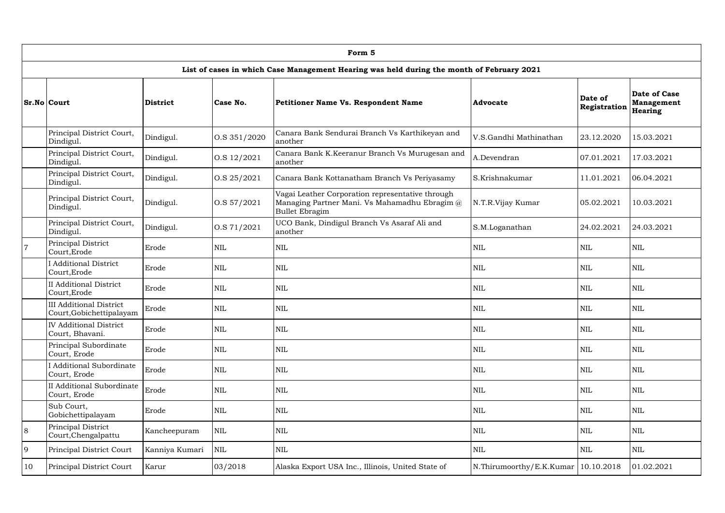|                | Form 5                                                     |                 |                |                                                                                                                            |                          |                         |                                                     |  |  |  |  |  |
|----------------|------------------------------------------------------------|-----------------|----------------|----------------------------------------------------------------------------------------------------------------------------|--------------------------|-------------------------|-----------------------------------------------------|--|--|--|--|--|
|                |                                                            |                 |                | List of cases in which Case Management Hearing was held during the month of February 2021                                  |                          |                         |                                                     |  |  |  |  |  |
|                | <b>Sr.No Court</b>                                         | <b>District</b> | Case No.       | <b>Petitioner Name Vs. Respondent Name</b>                                                                                 | <b>Advocate</b>          | Date of<br>Registration | Date of Case<br><b>Management</b><br><b>Hearing</b> |  |  |  |  |  |
|                | Principal District Court,<br>Dindigul.                     | Dindigul.       | O.S 351/2020   | Canara Bank Sendurai Branch Vs Karthikeyan and<br>another                                                                  | V.S.Gandhi Mathinathan   | 23.12.2020              | 15.03.2021                                          |  |  |  |  |  |
|                | Principal District Court,<br>Dindigul.                     | Dindigul.       | 0. S 12 / 2021 | Canara Bank K.Keeranur Branch Vs Murugesan and<br>another                                                                  | A.Devendran              | 07.01.2021              | 17.03.2021                                          |  |  |  |  |  |
|                | Principal District Court,<br>Dindigul.                     | Dindigul.       | 0.525/2021     | Canara Bank Kottanatham Branch Vs Periyasamy                                                                               | S.Krishnakumar           | 11.01.2021              | 06.04.2021                                          |  |  |  |  |  |
|                | Principal District Court,<br>Dindigul.                     | Dindigul.       | $\cos 57/2021$ | Vagai Leather Corporation representative through<br>Managing Partner Mani. Vs Mahamadhu Ebragim @<br><b>Bullet Ebragim</b> | N.T.R.Vijay Kumar        | 05.02.2021              | 10.03.2021                                          |  |  |  |  |  |
|                | Principal District Court,<br>Dindigul.                     | Dindigul.       | O.S 71/2021    | UCO Bank, Dindigul Branch Vs Asaraf Ali and<br>another                                                                     | S.M.Loganathan           | 24.02.2021              | 24.03.2021                                          |  |  |  |  |  |
| $\overline{7}$ | Principal District<br>Court, Erode                         | Erode           | <b>NIL</b>     | <b>NIL</b>                                                                                                                 | <b>NIL</b>               | $\mbox{NIL}$            | <b>NIL</b>                                          |  |  |  |  |  |
|                | <b>I</b> Additional District<br>Court, Erode               | Erode           | <b>NIL</b>     | <b>NIL</b>                                                                                                                 | <b>NIL</b>               | NIL                     | <b>NIL</b>                                          |  |  |  |  |  |
|                | <b>II</b> Additional District<br>Court, Erode              | Erode           | <b>NIL</b>     | <b>NIL</b>                                                                                                                 | <b>NIL</b>               | $\mbox{NIL}$            | <b>NIL</b>                                          |  |  |  |  |  |
|                | <b>III Additional District</b><br>Court, Gobichettipalayam | Erode           | <b>NIL</b>     | <b>NIL</b>                                                                                                                 | <b>NIL</b>               | NIL                     | <b>NIL</b>                                          |  |  |  |  |  |
|                | <b>IV Additional District</b><br>Court, Bhavani.           | Erode           | <b>NIL</b>     | <b>NIL</b>                                                                                                                 | <b>NIL</b>               | $\mbox{NIL}$            | <b>NIL</b>                                          |  |  |  |  |  |
|                | Principal Subordinate<br>Court, Erode                      | Erode           | <b>NIL</b>     | $\mbox{NIL}$                                                                                                               | <b>NIL</b>               | $\mbox{NIL}$            | <b>NIL</b>                                          |  |  |  |  |  |
|                | I Additional Subordinate<br>Court, Erode                   | Erode           | <b>NIL</b>     | $\mbox{NIL}$                                                                                                               | <b>NIL</b>               | $\mbox{NIL}$            | <b>NIL</b>                                          |  |  |  |  |  |
|                | II Additional Subordinate<br>Court, Erode                  | Erode           | <b>NIL</b>     | $\mbox{NIL}$                                                                                                               | <b>NIL</b>               | $\mbox{NIL}$            | <b>NIL</b>                                          |  |  |  |  |  |
|                | Sub Court,<br>Gobichettipalayam                            | Erode           | <b>NIL</b>     | $\mbox{NIL}$                                                                                                               | <b>NIL</b>               | $\mbox{NIL}$            | <b>NIL</b>                                          |  |  |  |  |  |
| $\overline{8}$ | Principal District<br>Court, Chengalpattu                  | Kancheepuram    | $\mbox{NIL}$   | <b>NIL</b>                                                                                                                 | <b>NIL</b>               | $\mbox{NIL}$            | <b>NIL</b>                                          |  |  |  |  |  |
| 9              | Principal District Court                                   | Kanniya Kumari  | <b>NIL</b>     | $\mbox{NIL}$                                                                                                               | <b>NIL</b>               | $\mbox{NIL}$            | <b>NIL</b>                                          |  |  |  |  |  |
| 10             | Principal District Court                                   | Karur           | 03/2018        | Alaska Export USA Inc., Illinois, United State of                                                                          | N.Thirumoorthy/E.K.Kumar | 10.10.2018              | 01.02.2021                                          |  |  |  |  |  |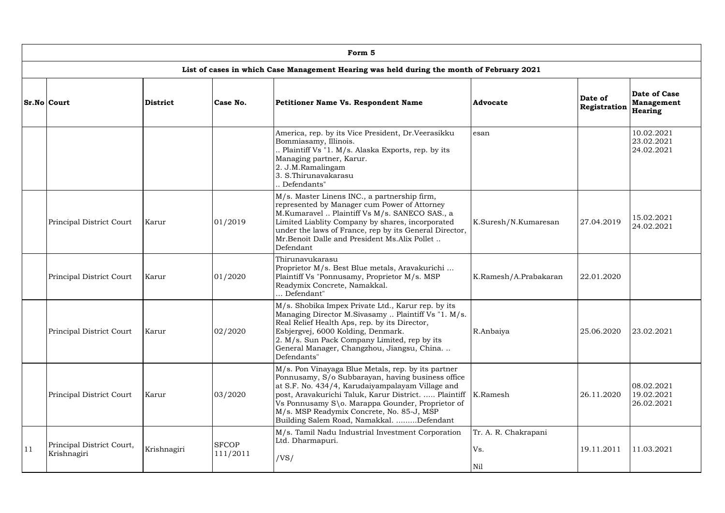|    | Form 5                                   |                 |                          |                                                                                                                                                                                                                                                                                                                                                                  |                                    |                         |                                              |  |  |  |  |
|----|------------------------------------------|-----------------|--------------------------|------------------------------------------------------------------------------------------------------------------------------------------------------------------------------------------------------------------------------------------------------------------------------------------------------------------------------------------------------------------|------------------------------------|-------------------------|----------------------------------------------|--|--|--|--|
|    |                                          |                 |                          | List of cases in which Case Management Hearing was held during the month of February 2021                                                                                                                                                                                                                                                                        |                                    |                         |                                              |  |  |  |  |
|    | <b>Sr.No Court</b>                       | <b>District</b> | Case No.                 | Petitioner Name Vs. Respondent Name                                                                                                                                                                                                                                                                                                                              | Advocate                           | Date of<br>Registration | Date of Case<br><b>Management</b><br>Hearing |  |  |  |  |
|    |                                          |                 |                          | America, rep. by its Vice President, Dr. Veerasikku<br>Bommiasamy, Illinois.<br>Plaintiff Vs "1. M/s. Alaska Exports, rep. by its<br>Managing partner, Karur.<br>2. J.M.Ramalingam<br>3. S.Thirunavakarasu<br>. Defendants"                                                                                                                                      | esan                               |                         | 10.02.2021<br>23.02.2021<br>24.02.2021       |  |  |  |  |
|    | Principal District Court                 | Karur           | 01/2019                  | M/s. Master Linens INC., a partnership firm,<br>represented by Manager cum Power of Attorney<br>M.Kumaravel  Plaintiff Vs M/s. SANECO SAS., a<br>Limited Liablity Company by shares, incorporated<br>under the laws of France, rep by its General Director,<br>Mr.Benoit Dalle and President Ms.Alix Pollet<br>Defendant                                         | K.Suresh/N.Kumaresan               | 27.04.2019              | 15.02.2021<br>24.02.2021                     |  |  |  |  |
|    | Principal District Court                 | Karur           | 01/2020                  | Thirunavukarasu<br>Proprietor M/s. Best Blue metals, Aravakurichi<br>Plaintiff Vs "Ponnusamy, Proprietor M/s. MSP<br>Readymix Concrete, Namakkal.<br>Defendant"                                                                                                                                                                                                  | K.Ramesh/A.Prabakaran              | 22.01.2020              |                                              |  |  |  |  |
|    | Principal District Court                 | Karur           | 02/2020                  | M/s. Shobika Impex Private Ltd., Karur rep. by its<br>Managing Director M.Sivasamy  Plaintiff Vs "1. M/s.<br>Real Relief Health Aps, rep. by its Director,<br>Esbjergvej, 6000 Kolding, Denmark.<br>2. M/s. Sun Pack Company Limited, rep by its<br>General Manager, Changzhou, Jiangsu, China<br>Defendants"                                                    | R.Anbaiya                          | 25.06.2020              | 23.02.2021                                   |  |  |  |  |
|    | Principal District Court                 | Karur           | 03/2020                  | M/s. Pon Vinayaga Blue Metals, rep. by its partner<br>Ponnusamy, S/o Subbarayan, having business office<br>at S.F. No. 434/4, Karudaiyampalayam Village and<br>post, Aravakurichi Taluk, Karur District.  Plaintiff<br>Vs Ponnusamy S\o. Marappa Gounder, Proprietor of<br>M/s. MSP Readymix Concrete, No. 85-J, MSP<br>Building Salem Road, Namakkal. Defendant | K.Ramesh                           | 26.11.2020              | 08.02.2021<br>19.02.2021<br>26.02.2021       |  |  |  |  |
| 11 | Principal District Court,<br>Krishnagiri | Krishnagiri     | <b>SFCOP</b><br>111/2011 | M/s. Tamil Nadu Industrial Investment Corporation<br>Ltd. Dharmapuri.<br>/VS/                                                                                                                                                                                                                                                                                    | Tr. A. R. Chakrapani<br>Vs.<br>Nil | 19.11.2011              | 11.03.2021                                   |  |  |  |  |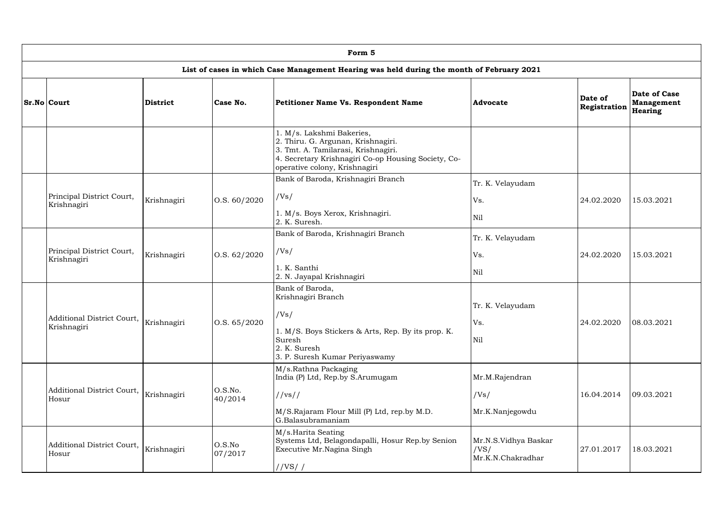| Form 5                                                              |             |                      |                                                                                                                                                                                                |                                                   |                         |                                                     |  |  |  |  |  |
|---------------------------------------------------------------------|-------------|----------------------|------------------------------------------------------------------------------------------------------------------------------------------------------------------------------------------------|---------------------------------------------------|-------------------------|-----------------------------------------------------|--|--|--|--|--|
|                                                                     |             |                      | List of cases in which Case Management Hearing was held during the month of February 2021                                                                                                      |                                                   |                         |                                                     |  |  |  |  |  |
| <b>Sr.No Court</b>                                                  | District    | Case No.             | Petitioner Name Vs. Respondent Name                                                                                                                                                            | Advocate                                          | Date of<br>Registration | <b>Date of Case</b><br><b>Management</b><br>Hearing |  |  |  |  |  |
|                                                                     |             |                      | 1. M/s. Lakshmi Bakeries,<br>2. Thiru. G. Argunan, Krishnagiri.<br>3. Tmt. A. Tamilarasi, Krishnagiri.<br>4. Secretary Krishnagiri Co-op Housing Society, Co-<br>operative colony, Krishnagiri |                                                   |                         |                                                     |  |  |  |  |  |
|                                                                     |             |                      | Bank of Baroda, Krishnagiri Branch                                                                                                                                                             | Tr. K. Velayudam                                  |                         |                                                     |  |  |  |  |  |
| Principal District Court,                                           | Krishnagiri | $\vert$ O.S. 60/2020 | /Vs/                                                                                                                                                                                           | Vs.                                               | 24.02.2020              | 15.03.2021                                          |  |  |  |  |  |
| Krishnagiri                                                         |             |                      | 1. M/s. Boys Xerox, Krishnagiri.<br>2. K. Suresh.                                                                                                                                              | <b>Nil</b>                                        |                         |                                                     |  |  |  |  |  |
|                                                                     | Krishnagiri |                      |                                                                                                                                                                                                | Bank of Baroda, Krishnagiri Branch                | Tr. K. Velayudam        |                                                     |  |  |  |  |  |
| Principal District Court,<br>Krishnagiri                            |             | $\vert$ O.S. 62/2020 | /Vs/                                                                                                                                                                                           | Vs.                                               | 24.02.2020              | 15.03.2021                                          |  |  |  |  |  |
|                                                                     |             |                      | 1. K. Santhi<br>2. N. Jayapal Krishnagiri                                                                                                                                                      | <b>Nil</b>                                        |                         |                                                     |  |  |  |  |  |
| Additional District Court, $\big _{\rm Krishnagiri}$<br>Krishnagiri |             | $\vert$ O.S. 65/2020 | Bank of Baroda,<br>Krishnagiri Branch<br>/Vs/<br>1. M/S. Boys Stickers & Arts, Rep. By its prop. K.<br>Suresh<br>2. K. Suresh<br>3. P. Suresh Kumar Periyaswamy                                | Tr. K. Velayudam<br>Vs.<br>Nil                    | 24.02.2020              | 08.03.2021                                          |  |  |  |  |  |
| Additional District Court,<br>Hosur                                 | Krishnagiri | O.S.No.<br>40/2014   | M/s.Rathna Packaging<br>India (P) Ltd, Rep.by S.Arumugam<br>//vs//<br>M/S.Rajaram Flour Mill (P) Ltd, rep.by M.D.<br>G.Balasubramaniam                                                         | Mr.M.Rajendran<br>/Vs/<br>Mr.K.Nanjegowdu         | 16.04.2014              | 09.03.2021                                          |  |  |  |  |  |
| Additional District Court,<br>Hosur                                 | Krishnagiri | O.S.No<br>07/2017    | M/s.Harita Seating<br>Systems Ltd, Belagondapalli, Hosur Rep.by Senion<br>Executive Mr.Nagina Singh<br>//VS//                                                                                  | Mr.N.S.Vidhya Baskar<br>/VS/<br>Mr.K.N.Chakradhar | 27.01.2017              | 18.03.2021                                          |  |  |  |  |  |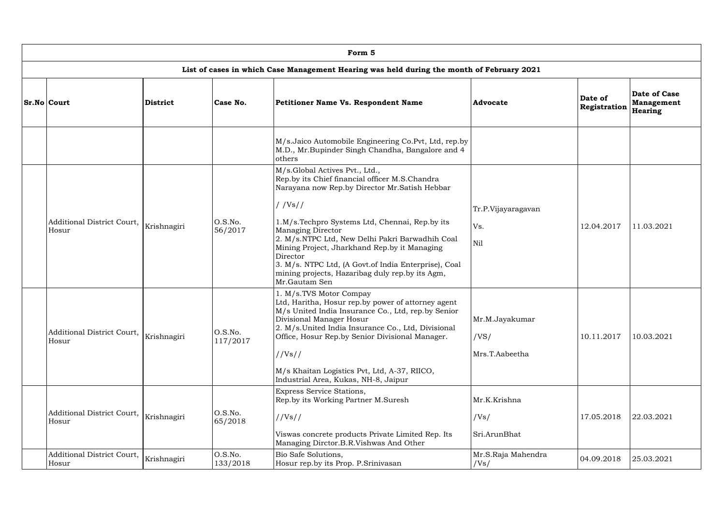| Form 5                                                                                    |                 |                     |                                                                                                                                                                                                                                                                                                                                                                                                                                                                      |                                          |                         |                                                     |  |  |  |  |
|-------------------------------------------------------------------------------------------|-----------------|---------------------|----------------------------------------------------------------------------------------------------------------------------------------------------------------------------------------------------------------------------------------------------------------------------------------------------------------------------------------------------------------------------------------------------------------------------------------------------------------------|------------------------------------------|-------------------------|-----------------------------------------------------|--|--|--|--|
| List of cases in which Case Management Hearing was held during the month of February 2021 |                 |                     |                                                                                                                                                                                                                                                                                                                                                                                                                                                                      |                                          |                         |                                                     |  |  |  |  |
| <b>Sr.No Court</b>                                                                        | <b>District</b> | Case No.            | <b>Petitioner Name Vs. Respondent Name</b>                                                                                                                                                                                                                                                                                                                                                                                                                           | <b>Advocate</b>                          | Date of<br>Registration | <b>Date of Case</b><br>Management<br><b>Hearing</b> |  |  |  |  |
|                                                                                           |                 |                     | M/s.Jaico Automobile Engineering Co.Pvt, Ltd, rep.by<br>M.D., Mr.Bupinder Singh Chandha, Bangalore and 4<br>others                                                                                                                                                                                                                                                                                                                                                   |                                          |                         |                                                     |  |  |  |  |
| Additional District Court,<br>Hosur                                                       | Krishnagiri     | O.S.No.<br>56/2017  | M/s.Global Actives Pvt., Ltd.,<br>Rep.by its Chief financial officer M.S.Chandra<br>Narayana now Rep.by Director Mr.Satish Hebbar<br>//Vs//<br>1.M/s.Techpro Systems Ltd, Chennai, Rep.by its<br><b>Managing Director</b><br>2. M/s.NTPC Ltd, New Delhi Pakri Barwadhih Coal<br>Mining Project, Jharkhand Rep.by it Managing<br>Director<br>3. M/s. NTPC Ltd, (A Govt.of India Enterprise), Coal<br>mining projects, Hazaribag duly rep.by its Agm,<br>Mr.Gautam Sen | Tr.P.Vijayaragavan<br>Vs.<br>Nil         | 12.04.2017              | 11.03.2021                                          |  |  |  |  |
| Additional District Court,<br>Hosur                                                       | Krishnagiri     | O.S.No.<br>117/2017 | 1. M/s.TVS Motor Compay<br>Ltd, Haritha, Hosur rep.by power of attorney agent<br>M/s United India Insurance Co., Ltd, rep.by Senior<br>Divisional Manager Hosur<br>2. M/s.United India Insurance Co., Ltd, Divisional<br>Office, Hosur Rep.by Senior Divisional Manager.<br>//Vs//<br>M/s Khaitan Logistics Pvt, Ltd, A-37, RIICO,<br>Industrial Area, Kukas, NH-8, Jaipur                                                                                           | Mr.M.Jayakumar<br>/VS/<br>Mrs.T.Aabeetha | 10.11.2017              | 10.03.2021                                          |  |  |  |  |
| Additional District Court,<br>Hosur                                                       | Krishnagiri     | O.S.No.<br>65/2018  | Express Service Stations,<br>Rep.by its Working Partner M.Suresh<br>//Vs//<br>Viswas concrete products Private Limited Rep. Its<br>Managing Dirctor.B.R.Vishwas And Other                                                                                                                                                                                                                                                                                            | Mr.K.Krishna<br>/Vs/<br>Sri.ArunBhat     | 17.05.2018              | 22.03.2021                                          |  |  |  |  |
| Additional District Court,<br>Hosur                                                       | Krishnagiri     | O.S.No.<br>133/2018 | Bio Safe Solutions,<br>Hosur rep.by its Prop. P.Srinivasan                                                                                                                                                                                                                                                                                                                                                                                                           | Mr.S.Raja Mahendra<br>/Vs/               | 04.09.2018              | 25.03.2021                                          |  |  |  |  |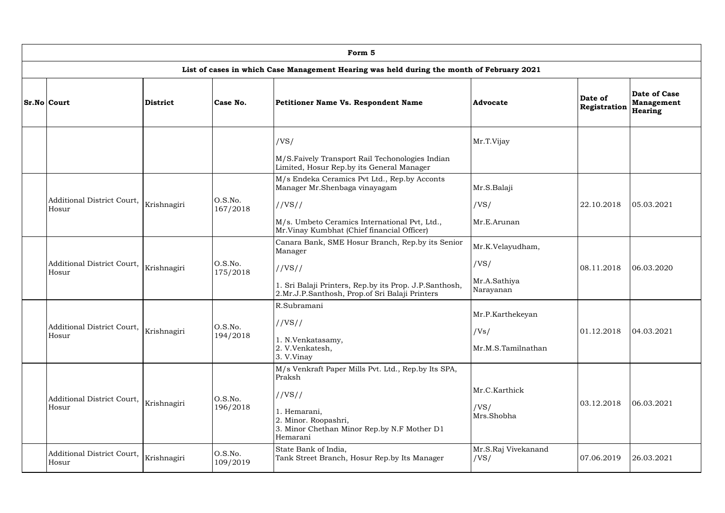| Form 5                              |             |                     |                                                                                                                                                                                         |                                                       |                         |                                                     |  |  |  |  |
|-------------------------------------|-------------|---------------------|-----------------------------------------------------------------------------------------------------------------------------------------------------------------------------------------|-------------------------------------------------------|-------------------------|-----------------------------------------------------|--|--|--|--|
|                                     |             |                     | List of cases in which Case Management Hearing was held during the month of February 2021                                                                                               |                                                       |                         |                                                     |  |  |  |  |
| <b>Sr.No Court</b>                  | District    | Case No.            | Petitioner Name Vs. Respondent Name                                                                                                                                                     | <b>Advocate</b>                                       | Date of<br>Registration | <b>Date of Case</b><br><b>Management</b><br>Hearing |  |  |  |  |
|                                     |             |                     | /VS/<br>M/S.Faively Transport Rail Techonologies Indian<br>Limited, Hosur Rep.by its General Manager                                                                                    | Mr.T.Vijay                                            |                         |                                                     |  |  |  |  |
| Additional District Court,<br>Hosur | Krishnagiri | O.S.No.<br>167/2018 | M/s Endeka Ceramics Pvt Ltd., Rep.by Acconts<br>Manager Mr.Shenbaga vinayagam<br>//VS//<br>M/s. Umbeto Ceramics International Pvt, Ltd.,<br>Mr. Vinay Kumbhat (Chief financial Officer) | Mr.S.Balaji<br>/VS/<br>Mr.E.Arunan                    | 22.10.2018              | 05.03.2021                                          |  |  |  |  |
| Additional District Court,<br>Hosur | Krishnagiri | O.S.No.<br>175/2018 | Canara Bank, SME Hosur Branch, Rep.by its Senior<br>Manager<br>//VS//<br>1. Sri Balaji Printers, Rep.by its Prop. J.P.Santhosh,<br>2.Mr.J.P.Santhosh, Prop.of Sri Balaji Printers       | Mr.K.Velayudham,<br>/VS/<br>Mr.A.Sathiya<br>Narayanan | 08.11.2018              | 06.03.2020                                          |  |  |  |  |
| Additional District Court,<br>Hosur | Krishnagiri | O.S.No.<br>194/2018 | R.Subramani<br>//VS//<br>1. N.Venkatasamy,<br>2. V.Venkatesh,<br>3. V.Vinay                                                                                                             | Mr.P.Karthekeyan<br>/Vs/<br>Mr.M.S.Tamilnathan        | 01.12.2018              | 04.03.2021                                          |  |  |  |  |
| Additional District Court,<br>Hosur | Krishnagiri | O.S.No.<br>196/2018 | M/s Venkraft Paper Mills Pvt. Ltd., Rep.by Its SPA,<br>Praksh<br>//VS//<br>1. Hemarani,<br>2. Minor. Roopashri,<br>3. Minor Chethan Minor Rep.by N.F Mother D1<br>Hemarani              | Mr.C.Karthick<br>/VS/<br>Mrs.Shobha                   | 03.12.2018              | 06.03.2021                                          |  |  |  |  |
| Additional District Court,<br>Hosur | Krishnagiri | O.S.No.<br>109/2019 | State Bank of India,<br>Tank Street Branch, Hosur Rep.by Its Manager                                                                                                                    | Mr.S.Raj Vivekanand<br>/VS/                           | 07.06.2019              | 26.03.2021                                          |  |  |  |  |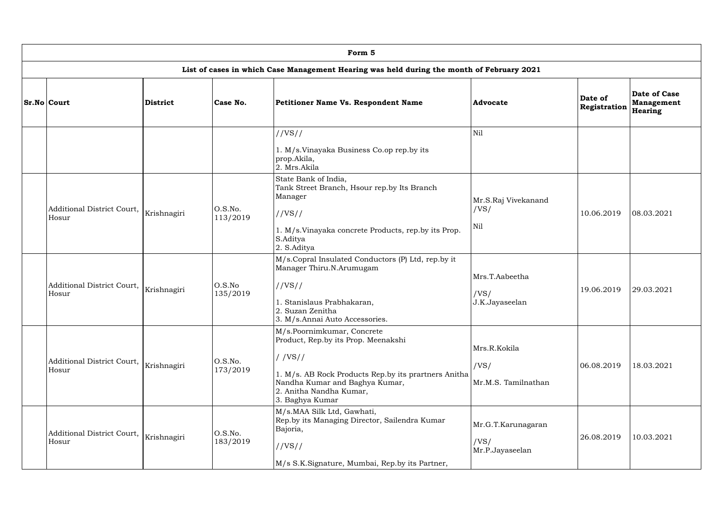| Form 5                              |             |                     |                                                                                                                                                                                                                     |                                               |                         |                                                     |  |  |  |  |
|-------------------------------------|-------------|---------------------|---------------------------------------------------------------------------------------------------------------------------------------------------------------------------------------------------------------------|-----------------------------------------------|-------------------------|-----------------------------------------------------|--|--|--|--|
|                                     |             |                     | List of cases in which Case Management Hearing was held during the month of February 2021                                                                                                                           |                                               |                         |                                                     |  |  |  |  |
| <b>Sr.No Court</b>                  | District    | Case No.            | Petitioner Name Vs. Respondent Name                                                                                                                                                                                 | Advocate                                      | Date of<br>Registration | <b>Date of Case</b><br><b>Management</b><br>Hearing |  |  |  |  |
|                                     |             |                     | //VS//<br>1. M/s.Vinayaka Business Co.op rep.by its<br>prop.Akila,<br>2. Mrs.Akila                                                                                                                                  | <b>Nil</b>                                    |                         |                                                     |  |  |  |  |
| Additional District Court,<br>Hosur | Krishnagiri | O.S.No.<br>113/2019 | State Bank of India,<br>Tank Street Branch, Hsour rep.by Its Branch<br>Manager<br>//VS//<br>1. M/s. Vinayaka concrete Products, rep.by its Prop.<br>S.Aditya<br>2. S.Aditya                                         | Mr.S.Raj Vivekanand<br>/VS/<br>Nil            | 10.06.2019              | 08.03.2021                                          |  |  |  |  |
| Additional District Court,<br>Hosur | Krishnagiri | O.S.No<br>135/2019  | M/s.Copral Insulated Conductors (P) Ltd, rep.by it<br>Manager Thiru.N.Arumugam<br>//VS//<br>1. Stanislaus Prabhakaran,<br>2. Suzan Zenitha<br>3. M/s.Annai Auto Accessories.                                        | Mrs.T.Aabeetha<br>/VS/<br>J.K.Jayaseelan      | 19.06.2019              | 29.03.2021                                          |  |  |  |  |
| Additional District Court,<br>Hosur | Krishnagiri | O.S.No.<br>173/2019 | M/s.Poornimkumar, Concrete<br>Product, Rep.by its Prop. Meenakshi<br>//VS//<br>1. M/s. AB Rock Products Rep.by its prartners Anitha<br>Nandha Kumar and Baghya Kumar,<br>2. Anitha Nandha Kumar,<br>3. Baghya Kumar | Mrs.R.Kokila<br>/VS/<br>Mr.M.S. Tamilnathan   | 06.08.2019              | 18.03.2021                                          |  |  |  |  |
| Additional District Court,<br>Hosur | Krishnagiri | O.S.No.<br>183/2019 | M/s.MAA Silk Ltd, Gawhati,<br>Rep.by its Managing Director, Sailendra Kumar<br>Bajoria,<br>//VS//<br>M/s S.K.Signature, Mumbai, Rep.by its Partner,                                                                 | Mr.G.T.Karunagaran<br>/VS/<br>Mr.P.Jayaseelan | 26.08.2019              | 10.03.2021                                          |  |  |  |  |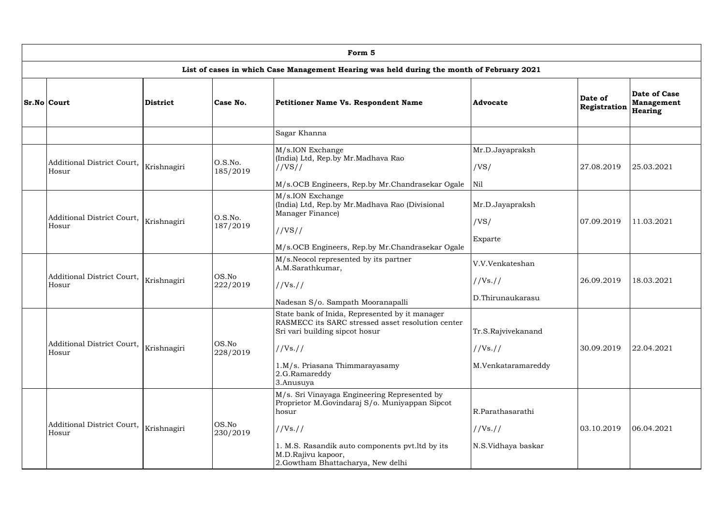| Form 5                                                                                    |                 |                     |                                                                                                                                                                                                                                    |                                                      |                         |                                                     |  |  |  |  |
|-------------------------------------------------------------------------------------------|-----------------|---------------------|------------------------------------------------------------------------------------------------------------------------------------------------------------------------------------------------------------------------------------|------------------------------------------------------|-------------------------|-----------------------------------------------------|--|--|--|--|
| List of cases in which Case Management Hearing was held during the month of February 2021 |                 |                     |                                                                                                                                                                                                                                    |                                                      |                         |                                                     |  |  |  |  |
| <b>Sr.No Court</b>                                                                        | <b>District</b> | Case No.            | <b>Petitioner Name Vs. Respondent Name</b>                                                                                                                                                                                         | Advocate                                             | Date of<br>Registration | <b>Date of Case</b><br><b>Management</b><br>Hearing |  |  |  |  |
|                                                                                           |                 |                     | Sagar Khanna                                                                                                                                                                                                                       |                                                      |                         |                                                     |  |  |  |  |
| Additional District Court,<br>Hosur                                                       | Krishnagiri     | O.S.No.<br>185/2019 | M/s.ION Exchange<br>(India) Ltd, Rep.by Mr.Madhava Rao<br>//VS//<br>M/s.OCB Engineers, Rep.by Mr.Chandrasekar Ogale                                                                                                                | Mr.D.Jayapraksh<br>/VS/<br>Nil                       | 27.08.2019              | 25.03.2021                                          |  |  |  |  |
| Additional District Court,<br>Hosur                                                       | Krishnagiri     | O.S.No.<br>187/2019 | M/s.ION Exchange<br>(India) Ltd, Rep.by Mr.Madhava Rao (Divisional<br>Manager Finance)<br>//VS//<br>M/s.OCB Engineers, Rep.by Mr.Chandrasekar Ogale                                                                                | Mr.D.Jayapraksh<br>/VS/<br>Exparte                   | 07.09.2019              | 11.03.2021                                          |  |  |  |  |
| Additional District Court,<br>Hosur                                                       | Krishnagiri     | OS.No<br>222/2019   | M/s. Neocol represented by its partner<br>A.M.Sarathkumar,<br>//Vs. //<br>Nadesan S/o. Sampath Mooranapalli                                                                                                                        | V.V.Venkateshan<br>//Vs. //<br>D.Thirunaukarasu      | 26.09.2019              | 18.03.2021                                          |  |  |  |  |
| Additional District Court,<br>Hosur                                                       | Krishnagiri     | OS.No<br>228/2019   | State bank of Inida, Represented by it manager<br>RASMECC its SARC stressed asset resolution center<br>Sri vari building sipcot hosur<br>//Vs. //<br>1.M/s. Priasana Thimmarayasamy<br>2.G.Ramareddy<br>3.Anusuya                  | Tr.S.Rajvivekanand<br>//Vs. //<br>M.Venkataramareddy | 30.09.2019              | 22.04.2021                                          |  |  |  |  |
| Additional District Court,<br>Hosur                                                       | Krishnagiri     | OS.No<br>230/2019   | M/s. Sri Vinayaga Engineering Represented by<br>Proprietor M.Govindaraj S/o. Muniyappan Sipcot<br>hosur<br>//Vs. //<br>1. M.S. Rasandik auto components pvt. ltd by its<br>M.D.Rajivu kapoor,<br>2.Gowtham Bhattacharya, New delhi | R.Parathasarathi<br>//Vs. //<br>N.S.Vidhaya baskar   | 03.10.2019              | 06.04.2021                                          |  |  |  |  |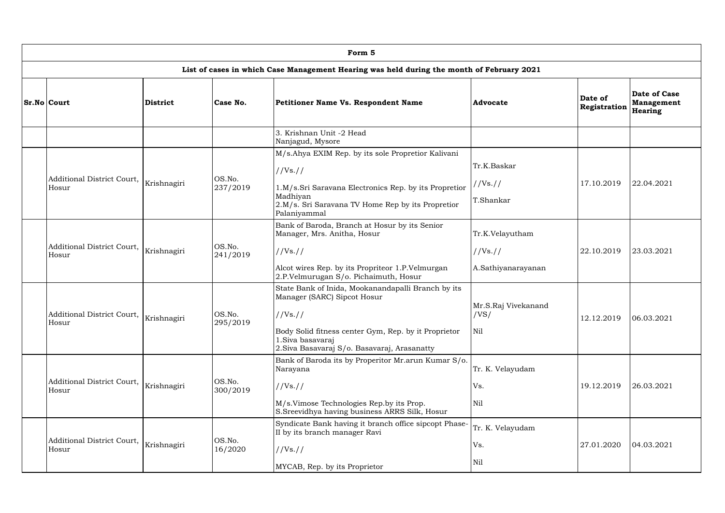| Form 5                              |                 |                    |                                                                                                                                                                                                                            |                                                        |                         |                                                     |  |  |  |  |  |
|-------------------------------------|-----------------|--------------------|----------------------------------------------------------------------------------------------------------------------------------------------------------------------------------------------------------------------------|--------------------------------------------------------|-------------------------|-----------------------------------------------------|--|--|--|--|--|
|                                     |                 |                    | List of cases in which Case Management Hearing was held during the month of February 2021                                                                                                                                  |                                                        |                         |                                                     |  |  |  |  |  |
| <b>Sr.No Court</b>                  | <b>District</b> | Case No.           | <b>Petitioner Name Vs. Respondent Name</b>                                                                                                                                                                                 | Advocate                                               | Date of<br>Registration | <b>Date of Case</b><br><b>Management</b><br>Hearing |  |  |  |  |  |
|                                     |                 |                    | 3. Krishnan Unit -2 Head<br>Nanjagud, Mysore                                                                                                                                                                               |                                                        |                         |                                                     |  |  |  |  |  |
| Additional District Court,<br>Hosur | Krishnagiri     | OS.No.<br>237/2019 | M/s.Ahya EXIM Rep. by its sole Propretior Kalivani<br>//Vs. //<br>1.M/s.Sri Saravana Electronics Rep. by its Propretior<br>Madhiyan<br>2.M/s. Sri Saravana TV Home Rep by its Propretior<br>Palaniyammal                   | Tr.K.Baskar<br>//Vs.//<br>T.Shankar                    | 17.10.2019              | 22.04.2021                                          |  |  |  |  |  |
| Additional District Court,<br>Hosur | Krishnagiri     | OS.No.<br>241/2019 | Bank of Baroda, Branch at Hosur by its Senior<br>Manager, Mrs. Anitha, Hosur<br>//Vs. //<br>Alcot wires Rep. by its Propriteor 1.P.Velmurgan<br>2.P.Velmurugan S/o. Pichaimuth, Hosur                                      | Tr.K.Velayutham<br>//Vs. //<br>A.Sathiyanarayanan      | 22.10.2019              | 23.03.2021                                          |  |  |  |  |  |
| Additional District Court,<br>Hosur | Krishnagiri     | OS.No.<br>295/2019 | State Bank of Inida, Mookanandapalli Branch by its<br>Manager (SARC) Sipcot Hosur<br>//Vs. //<br>Body Solid fitness center Gym, Rep. by it Proprietor<br>1. Siva basavaraj<br>2. Siva Basavaraj S/o. Basavaraj, Arasanatty | Mr.S.Raj Vivekanand<br>/VS/<br>$\overline{\text{Nil}}$ | 12.12.2019              | 06.03.2021                                          |  |  |  |  |  |
| Additional District Court,<br>Hosur | Krishnagiri     | OS.No.<br>300/2019 | Bank of Baroda its by Properitor Mr.arun Kumar S/o.<br>Narayana<br>//Vs. //<br>M/s.Vimose Technologies Rep.by its Prop.<br>S. Sreevidhya having business ARRS Silk, Hosur                                                  | Tr. K. Velayudam<br>Vs.<br>Nil                         | 19.12.2019              | 26.03.2021                                          |  |  |  |  |  |
| Additional District Court,<br>Hosur | Krishnagiri     | OS.No.<br>16/2020  | Syndicate Bank having it branch office sipcopt Phase-<br>II by its branch manager Ravi<br>//Vs. //<br>MYCAB, Rep. by its Proprietor                                                                                        | Tr. K. Velayudam<br>Vs.<br>Nil                         | 27.01.2020              | 04.03.2021                                          |  |  |  |  |  |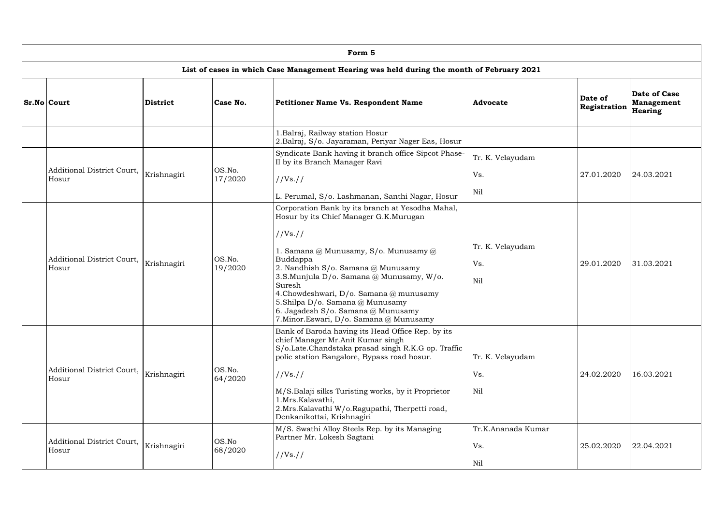| Form 5                              |                 |                   |                                                                                                                                                                                                                                                                                                                                                                                                                           |                                  |                         |                                              |  |  |  |  |
|-------------------------------------|-----------------|-------------------|---------------------------------------------------------------------------------------------------------------------------------------------------------------------------------------------------------------------------------------------------------------------------------------------------------------------------------------------------------------------------------------------------------------------------|----------------------------------|-------------------------|----------------------------------------------|--|--|--|--|
|                                     |                 |                   | List of cases in which Case Management Hearing was held during the month of February 2021                                                                                                                                                                                                                                                                                                                                 |                                  |                         |                                              |  |  |  |  |
| <b>Sr.No Court</b>                  | <b>District</b> | Case No.          | <b>Petitioner Name Vs. Respondent Name</b>                                                                                                                                                                                                                                                                                                                                                                                | Advocate                         | Date of<br>Registration | <b>Date of Case</b><br>Management<br>Hearing |  |  |  |  |
|                                     |                 |                   | 1. Balraj, Railway station Hosur<br>2.Balraj, S/o. Jayaraman, Periyar Nager Eas, Hosur                                                                                                                                                                                                                                                                                                                                    |                                  |                         |                                              |  |  |  |  |
| Additional District Court,<br>Hosur | Krishnagiri     | OS.No.<br>17/2020 | Syndicate Bank having it branch office Sipcot Phase-<br>II by its Branch Manager Ravi<br>//Vs. //<br>L. Perumal, S/o. Lashmanan, Santhi Nagar, Hosur                                                                                                                                                                                                                                                                      | Tr. K. Velayudam<br>Vs.<br>Nil   | 27.01.2020              | 24.03.2021                                   |  |  |  |  |
| Additional District Court,<br>Hosur | Krishnagiri     | OS.No.<br>19/2020 | Corporation Bank by its branch at Yesodha Mahal,<br>Hosur by its Chief Manager G.K.Murugan<br>//Vs. //<br>1. Samana @ Munusamy, S/o. Munusamy @<br>Buddappa<br>2. Nandhish S/o. Samana @ Munusamy<br>3.S.Munjula D/o. Samana @ Munusamy, W/o.<br>Suresh<br>4. Chowdeshwari, D/o. Samana @ munusamy<br>5.Shilpa D/o. Samana @ Munusamy<br>6. Jagadesh S/o. Samana $@$ Munusamy<br>7. Minor. Eswari, D/o. Samana @ Munusamy | Tr. K. Velayudam<br>Vs.<br>Nil   | 29.01.2020              | 31.03.2021                                   |  |  |  |  |
| Additional District Court,<br>Hosur | Krishnagiri     | OS.No.<br>64/2020 | Bank of Baroda having its Head Office Rep. by its<br>chief Manager Mr.Anit Kumar singh<br>S/o.Late.Chandstaka prasad singh R.K.G op. Traffic<br>polic station Bangalore, Bypass road hosur.<br>//Vs. //<br>M/S.Balaji silks Turisting works, by it Proprietor<br>1.Mrs.Kalavathi,<br>2.Mrs.Kalavathi W/o.Ragupathi, Therpetti road,<br>Denkanikottai, Krishnagiri                                                         | Tr. K. Velayudam<br>Vs.<br>Nil   | 24.02.2020              | 16.03.2021                                   |  |  |  |  |
| Additional District Court,<br>Hosur | Krishnagiri     | OS.No<br>68/2020  | M/S. Swathi Alloy Steels Rep. by its Managing<br>Partner Mr. Lokesh Sagtani<br>//Vs. //                                                                                                                                                                                                                                                                                                                                   | Tr.K.Ananada Kumar<br>Vs.<br>Nil | 25.02.2020              | 22.04.2021                                   |  |  |  |  |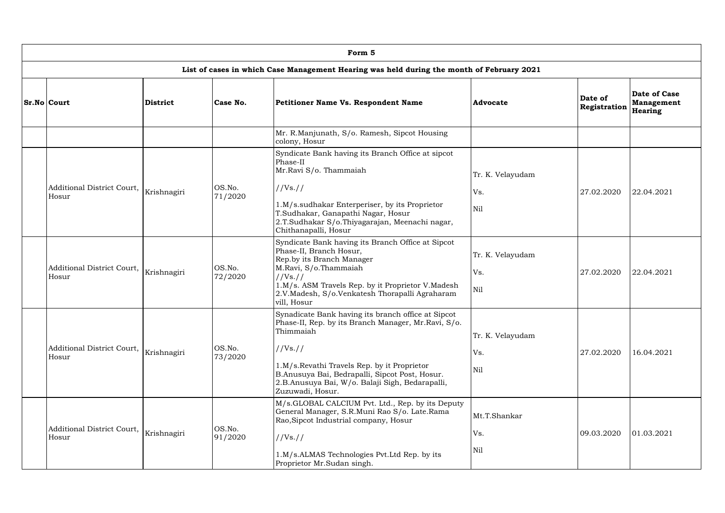| Form 5                                     |                 |                   |                                                                                                                                                                                                                                                                                                            |                                |                         |                                                     |  |  |  |  |
|--------------------------------------------|-----------------|-------------------|------------------------------------------------------------------------------------------------------------------------------------------------------------------------------------------------------------------------------------------------------------------------------------------------------------|--------------------------------|-------------------------|-----------------------------------------------------|--|--|--|--|
|                                            |                 |                   | List of cases in which Case Management Hearing was held during the month of February 2021                                                                                                                                                                                                                  |                                |                         |                                                     |  |  |  |  |
| <b>Sr.No Court</b>                         | <b>District</b> | Case No.          | Petitioner Name Vs. Respondent Name                                                                                                                                                                                                                                                                        | <b>Advocate</b>                | Date of<br>Registration | <b>Date of Case</b><br><b>Management</b><br>Hearing |  |  |  |  |
|                                            |                 |                   | Mr. R.Manjunath, S/o. Ramesh, Sipcot Housing<br>colony, Hosur                                                                                                                                                                                                                                              |                                |                         |                                                     |  |  |  |  |
| Additional District Court,<br>Hosur        | Krishnagiri     | OS.No.<br>71/2020 | Syndicate Bank having its Branch Office at sipcot<br>Phase-II<br>Mr.Ravi S/o. Thammaiah<br>//Vs. //<br>1.M/s.sudhakar Enterperiser, by its Proprietor<br>T.Sudhakar, Ganapathi Nagar, Hosur<br>2.T.Sudhakar S/o.Thiyagarajan, Meenachi nagar,<br>Chithanapalli, Hosur                                      | Tr. K. Velayudam<br>Vs.<br>Nil | 27.02.2020              | 22.04.2021                                          |  |  |  |  |
| <b>Additional District Court,</b><br>Hosur | Krishnagiri     | OS.No.<br>72/2020 | Syndicate Bank having its Branch Office at Sipcot<br>Phase-II, Branch Hosur,<br>Rep.by its Branch Manager<br>M.Ravi, S/o.Thammaiah<br>//Vs. //<br>1.M/s. ASM Travels Rep. by it Proprietor V.Madesh<br>2.V.Madesh, S/o.Venkatesh Thorapalli Agraharam<br>vill, Hosur                                       | Tr. K. Velayudam<br>Vs.<br>Nil | 27.02.2020              | 22.04.2021                                          |  |  |  |  |
| Additional District Court,<br>Hosur        | Krishnagiri     | OS.No.<br>73/2020 | Synadicate Bank having its branch office at Sipcot<br>Phase-II, Rep. by its Branch Manager, Mr.Ravi, S/o.<br>Thimmaiah<br>//Vs. //<br>1.M/s.Revathi Travels Rep. by it Proprietor<br>B.Anusuya Bai, Bedrapalli, Sipcot Post, Hosur.<br>2.B.Anusuya Bai, W/o. Balaji Sigh, Bedarapalli,<br>Zuzuwadi, Hosur. | Tr. K. Velayudam<br>Vs.<br>Nil | 27.02.2020              | 16.04.2021                                          |  |  |  |  |
| Additional District Court,<br>Hosur        | Krishnagiri     | OS.No.<br>91/2020 | M/s.GLOBAL CALCIUM Pvt. Ltd., Rep. by its Deputy<br>General Manager, S.R.Muni Rao S/o. Late.Rama<br>Rao, Sipcot Industrial company, Hosur<br>//Vs. //<br>1.M/s.ALMAS Technologies Pvt.Ltd Rep. by its<br>Proprietor Mr.Sudan singh.                                                                        | Mt.T.Shankar<br>Vs.<br>Nil     | 09.03.2020              | 01.03.2021                                          |  |  |  |  |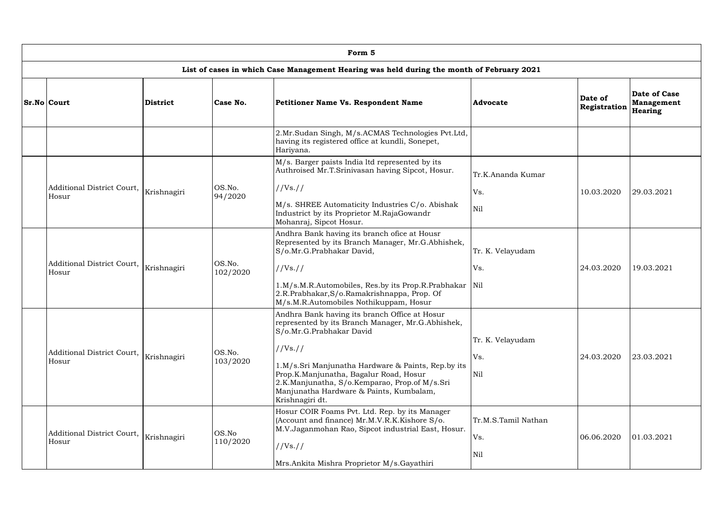|  | Form 5                              |                 |                    |                                                                                                                                                                                                                                                                                                                                                           |                                   |                         |                                              |  |  |  |  |
|--|-------------------------------------|-----------------|--------------------|-----------------------------------------------------------------------------------------------------------------------------------------------------------------------------------------------------------------------------------------------------------------------------------------------------------------------------------------------------------|-----------------------------------|-------------------------|----------------------------------------------|--|--|--|--|
|  |                                     |                 |                    | List of cases in which Case Management Hearing was held during the month of February 2021                                                                                                                                                                                                                                                                 |                                   |                         |                                              |  |  |  |  |
|  | <b>Sr.No Court</b>                  | <b>District</b> | Case No.           | <b>Petitioner Name Vs. Respondent Name</b>                                                                                                                                                                                                                                                                                                                | Advocate                          | Date of<br>Registration | Date of Case<br><b>Management</b><br>Hearing |  |  |  |  |
|  |                                     |                 |                    | 2.Mr.Sudan Singh, M/s.ACMAS Technologies Pvt.Ltd,<br>having its registered office at kundli, Sonepet,<br>Hariyana.                                                                                                                                                                                                                                        |                                   |                         |                                              |  |  |  |  |
|  | Additional District Court,<br>Hosur |                 |                    | M/s. Barger paists India ltd represented by its<br>Authroised Mr.T.Srinivasan having Sipcot, Hosur.                                                                                                                                                                                                                                                       | Tr.K.Ananda Kumar                 |                         |                                              |  |  |  |  |
|  |                                     | Krishnagiri     | OS.No.<br>94/2020  | //Vs. //<br>M/s. SHREE Automaticity Industries C/o. Abishak<br>Industrict by its Proprietor M.RajaGowandr<br>Mohanraj, Sipcot Hosur.                                                                                                                                                                                                                      | Vs.<br>Nil                        | 10.03.2020              | 29.03.2021                                   |  |  |  |  |
|  | Additional District Court,<br>Hosur | Krishnagiri     | OS.No.<br>102/2020 | Andhra Bank having its branch ofice at Housr<br>Represented by its Branch Manager, Mr.G.Abhishek,<br>S/o.Mr.G.Prabhakar David,<br>//Vs. //<br>1.M/s.M.R.Automobiles, Res.by its Prop.R.Prabhakar                                                                                                                                                          | Tr. K. Velayudam<br>Vs.<br>Nil    | 24.03.2020              | 19.03.2021                                   |  |  |  |  |
|  |                                     |                 |                    | 2.R.Prabhakar, S/o.Ramakrishnappa, Prop. Of<br>M/s.M.R.Automobiles Nothikuppam, Hosur                                                                                                                                                                                                                                                                     |                                   |                         |                                              |  |  |  |  |
|  | Additional District Court,<br>Hosur | Krishnagiri     | OS.No.<br>103/2020 | Andhra Bank having its branch Office at Hosur<br>represented by its Branch Manager, Mr.G.Abhishek,<br>S/o.Mr.G.Prabhakar David<br>//Vs. //<br>1.M/s.Sri Manjunatha Hardware & Paints, Rep.by its<br>Prop.K.Manjunatha, Bagalur Road, Hosur<br>2.K.Manjunatha, S/o.Kemparao, Prop.of M/s.Sri<br>Manjunatha Hardware & Paints, Kumbalam,<br>Krishnagiri dt. | Tr. K. Velayudam<br>Vs.<br>Nil    | 24.03.2020              | 23.03.2021                                   |  |  |  |  |
|  | Additional District Court,<br>Hosur | Krishnagiri     | OS.No<br>110/2020  | Hosur COIR Foams Pvt. Ltd. Rep. by its Manager<br>(Account and finance) Mr.M.V.R.K.Kishore S/o.<br>M.V.Jaganmohan Rao, Sipcot industrial East, Hosur.<br>//Vs. //<br>Mrs.Ankita Mishra Proprietor M/s.Gayathiri                                                                                                                                           | Tr.M.S.Tamil Nathan<br>Vs.<br>Nil | 06.06.2020              | 01.03.2021                                   |  |  |  |  |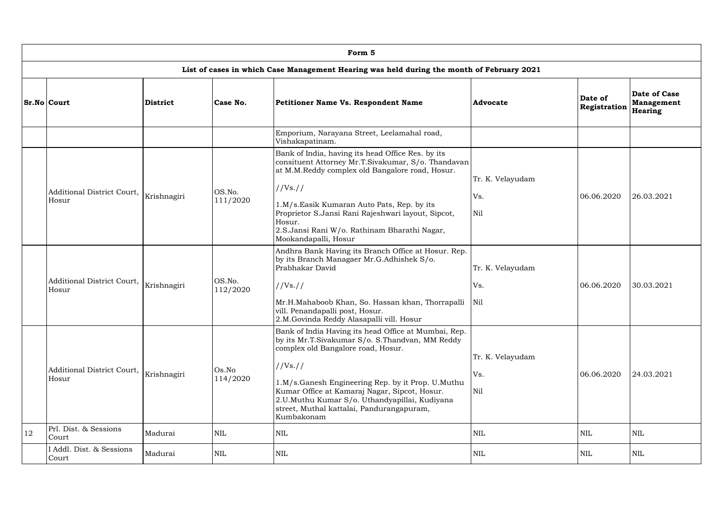|    | Form 5                              |                 |                    |                                                                                                                                                                                                                                                                                                                                                                             |                                |                         |                                              |  |  |  |  |
|----|-------------------------------------|-----------------|--------------------|-----------------------------------------------------------------------------------------------------------------------------------------------------------------------------------------------------------------------------------------------------------------------------------------------------------------------------------------------------------------------------|--------------------------------|-------------------------|----------------------------------------------|--|--|--|--|
|    |                                     |                 |                    | List of cases in which Case Management Hearing was held during the month of February 2021                                                                                                                                                                                                                                                                                   |                                |                         |                                              |  |  |  |  |
|    | <b>Sr.No Court</b>                  | <b>District</b> | Case No.           | Petitioner Name Vs. Respondent Name                                                                                                                                                                                                                                                                                                                                         | Advocate                       | Date of<br>Registration | Date of Case<br><b>Management</b><br>Hearing |  |  |  |  |
|    |                                     |                 |                    | Emporium, Narayana Street, Leelamahal road,<br>Vishakapatinam.                                                                                                                                                                                                                                                                                                              |                                |                         |                                              |  |  |  |  |
|    | Additional District Court,<br>Hosur | Krishnagiri     | OS.No.<br>111/2020 | Bank of India, having its head Office Res. by its<br>consituent Attorney Mr.T.Sivakumar, S/o. Thandavan<br>at M.M.Reddy complex old Bangalore road, Hosur.<br>//Vs. //<br>1.M/s.Easik Kumaran Auto Pats, Rep. by its<br>Proprietor S.Jansi Rani Rajeshwari layout, Sipcot,<br>Hosur.<br>2.S.Jansi Rani W/o. Rathinam Bharathi Nagar,<br>Mookandapalli, Hosur                | Tr. K. Velayudam<br>Vs.<br>Nil | 06.06.2020              | 26.03.2021                                   |  |  |  |  |
|    | Additional District Court,<br>Hosur | Krishnagiri     | OS.No.<br>112/2020 | Andhra Bank Having its Branch Office at Hosur. Rep.<br>by its Branch Managaer Mr.G.Adhishek S/o.<br>Prabhakar David<br>//Vs. //<br>Mr.H.Mahaboob Khan, So. Hassan khan, Thorrapalli<br>vill. Penandapalli post, Hosur.<br>2.M.Govinda Reddy Alasapalli vill. Hosur                                                                                                          | Tr. K. Velayudam<br>Vs.<br>Nil | 06.06.2020              | 30.03.2021                                   |  |  |  |  |
|    | Additional District Court,<br>Hosur | Krishnagiri     | Os.No<br>114/2020  | Bank of India Having its head Office at Mumbai, Rep.<br>by its Mr.T.Sivakumar S/o. S.Thandvan, MM Reddy<br>complex old Bangalore road, Hosur.<br>//Vs. //<br>1.M/s.Ganesh Engineering Rep. by it Prop. U.Muthu<br>Kumar Office at Kamaraj Nagar, Sipcot, Hosur.<br>2.U.Muthu Kumar S/o. Uthandyapillai, Kudiyana<br>street, Muthal kattalai, Pandurangapuram,<br>Kumbakonam | Tr. K. Velayudam<br>Vs.<br>Nil | 06.06.2020              | 24.03.2021                                   |  |  |  |  |
| 12 | Prl. Dist. & Sessions<br>Court      | Madurai         | <b>NIL</b>         | <b>NIL</b>                                                                                                                                                                                                                                                                                                                                                                  | <b>NIL</b>                     | $\mbox{NIL}$            | <b>NIL</b>                                   |  |  |  |  |
|    | I Addl. Dist. & Sessions<br>Court   | Madurai         | <b>NIL</b>         | <b>NIL</b>                                                                                                                                                                                                                                                                                                                                                                  | <b>NIL</b>                     | $\mbox{NIL}$            | <b>NIL</b>                                   |  |  |  |  |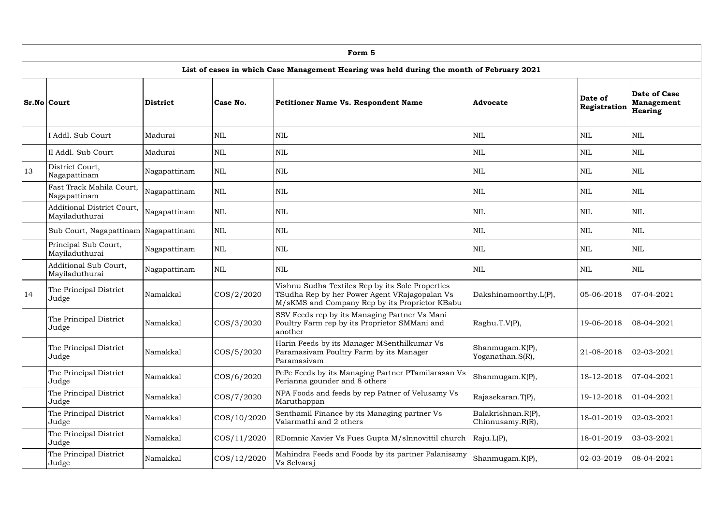|    | Form 5                                                                                    |                 |                |                                                                                                                                                     |                                        |                         |                                              |  |  |  |  |  |
|----|-------------------------------------------------------------------------------------------|-----------------|----------------|-----------------------------------------------------------------------------------------------------------------------------------------------------|----------------------------------------|-------------------------|----------------------------------------------|--|--|--|--|--|
|    | List of cases in which Case Management Hearing was held during the month of February 2021 |                 |                |                                                                                                                                                     |                                        |                         |                                              |  |  |  |  |  |
|    | Sr.No Court                                                                               | <b>District</b> | Case No.       | <b>Petitioner Name Vs. Respondent Name</b>                                                                                                          | <b>Advocate</b>                        | Date of<br>Registration | Date of Case<br><b>Management</b><br>Hearing |  |  |  |  |  |
|    | I Addl. Sub Court                                                                         | Madurai         | <b>NIL</b>     | <b>NIL</b>                                                                                                                                          | $\mbox{NIL}$                           | <b>NIL</b>              | <b>NIL</b>                                   |  |  |  |  |  |
|    | II Addl. Sub Court                                                                        | Madurai         | <b>NIL</b>     | <b>NIL</b>                                                                                                                                          | <b>NIL</b>                             | <b>NIL</b>              | <b>NIL</b>                                   |  |  |  |  |  |
| 13 | District Court,<br>Nagapattinam                                                           | Nagapattinam    | <b>NIL</b>     | $\mbox{NIL}$                                                                                                                                        | <b>NIL</b>                             | NIL                     | <b>NIL</b>                                   |  |  |  |  |  |
|    | Fast Track Mahila Court,<br>Nagapattinam                                                  | Nagapattinam    | <b>NIL</b>     | <b>NIL</b>                                                                                                                                          | <b>NIL</b>                             | <b>NIL</b>              | <b>NIL</b>                                   |  |  |  |  |  |
|    | <b>Additional District Court,</b><br>Mayiladuthurai                                       | Nagapattinam    | <b>NIL</b>     | <b>NIL</b>                                                                                                                                          | <b>NIL</b>                             | <b>NIL</b>              | <b>NIL</b>                                   |  |  |  |  |  |
|    | Sub Court, Nagapattinam Nagapattinam                                                      |                 | <b>NIL</b>     | <b>NIL</b>                                                                                                                                          | $\mbox{NIL}$                           | <b>NIL</b>              | <b>NIL</b>                                   |  |  |  |  |  |
|    | Principal Sub Court,<br>Mayiladuthurai                                                    | Nagapattinam    | <b>NIL</b>     | <b>NIL</b>                                                                                                                                          | <b>NIL</b>                             | <b>NIL</b>              | <b>NIL</b>                                   |  |  |  |  |  |
|    | <b>Additional Sub Court,</b><br>Mayiladuthurai                                            | Nagapattinam    | <b>NIL</b>     | <b>NIL</b>                                                                                                                                          | <b>NIL</b>                             | <b>NIL</b>              | <b>NIL</b>                                   |  |  |  |  |  |
| 14 | The Principal District<br>Judge                                                           | Namakkal        | $\cos/2/2020$  | Vishnu Sudha Textiles Rep by its Sole Properties<br>TSudha Rep by her Power Agent VRajagopalan Vs<br>M/sKMS and Company Rep by its Proprietor KBabu | Dakshinamoorthy.L(P),                  | 05-06-2018              | $ 07-04-2021$                                |  |  |  |  |  |
|    | The Principal District<br>Judge                                                           | Namakkal        | COS/3/2020     | SSV Feeds rep by its Managing Partner Vs Mani<br>Poultry Farm rep by its Proprietor SMMani and<br>another                                           | Raghu.T.V(P),                          | 19-06-2018              | $ 08-04-2021$                                |  |  |  |  |  |
|    | The Principal District<br>Judge                                                           | Namakkal        | $\cos/5/2020$  | Harin Feeds by its Manager MSenthilkumar Vs<br>Paramasivam Poultry Farm by its Manager<br>Paramasivam                                               | Shanmugam.K(P),<br>Yoganathan.S(R),    | 21-08-2018              | $ 02 - 03 - 2021 $                           |  |  |  |  |  |
|    | The Principal District<br>Judge                                                           | Namakkal        | COS/6/2020     | PePe Feeds by its Managing Partner PTamilarasan Vs<br>Perianna gounder and 8 others                                                                 | Shanmugam.K(P),                        | 18-12-2018              | $ 07-04-2021$                                |  |  |  |  |  |
|    | The Principal District<br>Judge                                                           | Namakkal        | $\cos/7/2020$  | NPA Foods and feeds by rep Patner of Velusamy Vs<br>Maruthappan                                                                                     | Rajasekaran.T(P),                      | 19-12-2018              | $ 01-04-2021$                                |  |  |  |  |  |
|    | The Principal District<br>Judge                                                           | Namakkal        | COS/10/2020    | Senthamil Finance by its Managing partner Vs<br>Valarmathi and 2 others                                                                             | Balakrishnan.R(P),<br>Chinnusamy.R(R), | 18-01-2019              | $ 02 - 03 - 2021$                            |  |  |  |  |  |
|    | The Principal District<br>Judge                                                           | Namakkal        | $\cos/11/2020$ | RDomnic Xavier Vs Fues Gupta M/sInnovittil church                                                                                                   | Raju.L(P),                             | 18-01-2019              | $ 03-03-2021$                                |  |  |  |  |  |
|    | The Principal District<br>Judge                                                           | Namakkal        | $\cos/12/2020$ | Mahindra Feeds and Foods by its partner Palanisamy<br>Vs Selvaraj                                                                                   | Shanmugam.K(P),                        | 02-03-2019              | $ 08-04-2021$                                |  |  |  |  |  |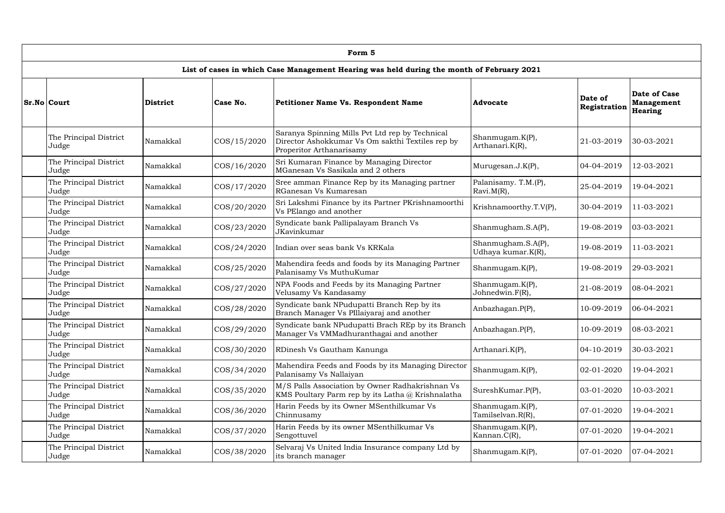| Form 5                                                                                    |                 |                 |                                                                                                                                 |                                          |                         |                                                     |  |  |  |  |  |
|-------------------------------------------------------------------------------------------|-----------------|-----------------|---------------------------------------------------------------------------------------------------------------------------------|------------------------------------------|-------------------------|-----------------------------------------------------|--|--|--|--|--|
| List of cases in which Case Management Hearing was held during the month of February 2021 |                 |                 |                                                                                                                                 |                                          |                         |                                                     |  |  |  |  |  |
| Sr.No Court                                                                               | <b>District</b> | <b>Case No.</b> | <b>Petitioner Name Vs. Respondent Name</b>                                                                                      | <b>Advocate</b>                          | Date of<br>Registration | <b>Date of Case</b><br>Management<br><b>Hearing</b> |  |  |  |  |  |
| The Principal District<br>Judge                                                           | Namakkal        | COS/15/2020     | Saranya Spinning Mills Pvt Ltd rep by Technical<br>Director Ashokkumar Vs Om sakthi Textiles rep by<br>Properitor Arthanarisamy | Shanmugam.K(P),<br>Arthanari.K(R),       | $21 - 03 - 2019$        | 30-03-2021                                          |  |  |  |  |  |
| The Principal District<br>Judge                                                           | Namakkal        | COS/16/2020     | Sri Kumaran Finance by Managing Director<br>MGanesan Vs Sasikala and 2 others                                                   | Murugesan.J.K(P),                        | $04 - 04 - 2019$        | 12-03-2021                                          |  |  |  |  |  |
| The Principal District<br>Judge                                                           | Namakkal        | COS/17/2020     | Sree amman Finance Rep by its Managing partner<br>RGanesan Vs Kumaresan                                                         | Palanisamy. T.M.(P),<br>$Rxvi.M(R)$ ,    | 25-04-2019              | 19-04-2021                                          |  |  |  |  |  |
| The Principal District<br>Judge                                                           | Namakkal        | COS/20/2020     | Sri Lakshmi Finance by its Partner PKrishnamoorthi<br>Vs PElango and another                                                    | Krishnamoorthy.T.V(P),                   | 30-04-2019              | 11-03-2021                                          |  |  |  |  |  |
| The Principal District<br>Judge                                                           | Namakkal        | COS/23/2020     | Syndicate bank Pallipalayam Branch Vs<br>JKavinkumar                                                                            | Shanmugham.S.A(P),                       | 19-08-2019              | $ 03-03-2021$                                       |  |  |  |  |  |
| The Principal District<br>Judge                                                           | Namakkal        | COS/24/2020     | Indian over seas bank Vs KRKala                                                                                                 | Shanmugham.S.A(P),<br>Udhaya kumar.K(R), | 19-08-2019              | 11-03-2021                                          |  |  |  |  |  |
| The Principal District<br>Judge                                                           | Namakkal        | COS/25/2020     | Mahendira feeds and foods by its Managing Partner<br>Palanisamy Vs MuthuKumar                                                   | Shanmugam.K(P),                          | 19-08-2019              | 29-03-2021                                          |  |  |  |  |  |
| The Principal District<br>Judge                                                           | Namakkal        | COS/27/2020     | NPA Foods and Feeds by its Managing Partner<br>Velusamy Vs Kandasamy                                                            | Shanmugam.K(P),<br>Johnedwin.F(R),       | 21-08-2019              | $ 08-04-2021$                                       |  |  |  |  |  |
| The Principal District<br>Judge                                                           | Namakkal        | COS/28/2020     | Syndicate bank NPudupatti Branch Rep by its<br>Branch Manager Vs PIllaiyaraj and another                                        | Anbazhagan.P(P),                         | 10-09-2019              | $ 06-04-2021$                                       |  |  |  |  |  |
| The Principal District<br>Judge                                                           | Namakkal        | COS/29/2020     | Syndicate bank NPudupatti Brach REp by its Branch<br>Manager Vs VMMadhuranthagai and another                                    | Anbazhagan.P(P),                         | 10-09-2019              | $ 08-03-2021$                                       |  |  |  |  |  |
| The Principal District<br>Judge                                                           | Namakkal        | COS/30/2020     | RDinesh Vs Gautham Kanunga                                                                                                      | Arthanari.K(P),                          | 04-10-2019              | 30-03-2021                                          |  |  |  |  |  |
| The Principal District<br>Judge                                                           | Namakkal        | COS/34/2020     | Mahendira Feeds and Foods by its Managing Director<br>Palanisamy Vs Nallaiyan                                                   | Shanmugam.K(P),                          | 02-01-2020              | 19-04-2021                                          |  |  |  |  |  |
| The Principal District<br>Judge                                                           | Namakkal        | COS/35/2020     | M/S Palls Association by Owner Radhakrishnan Vs<br>KMS Poultary Parm rep by its Latha @ Krishnalatha                            | SureshKumar.P(P),                        | 03-01-2020              | 10-03-2021                                          |  |  |  |  |  |
| The Principal District<br>Judge                                                           | Namakkal        | COS/36/2020     | Harin Feeds by its Owner MSenthilkumar Vs<br>Chinnusamy                                                                         | Shanmugam.K(P),<br>Tamilselvan.R(R),     | 07-01-2020              | 19-04-2021                                          |  |  |  |  |  |
| The Principal District<br>Judge                                                           | Namakkal        | COS/37/2020     | Harin Feeds by its owner MSenthilkumar Vs<br>Sengottuvel                                                                        | Shanmugam.K(P),<br>Kannan.C(R),          | 07-01-2020              | 19-04-2021                                          |  |  |  |  |  |
| The Principal District<br>Judge                                                           | Namakkal        | COS/38/2020     | Selvaraj Vs United India Insurance company Ltd by<br>its branch manager                                                         | Shanmugam.K(P),                          | 07-01-2020              | $ 07-04-2021$                                       |  |  |  |  |  |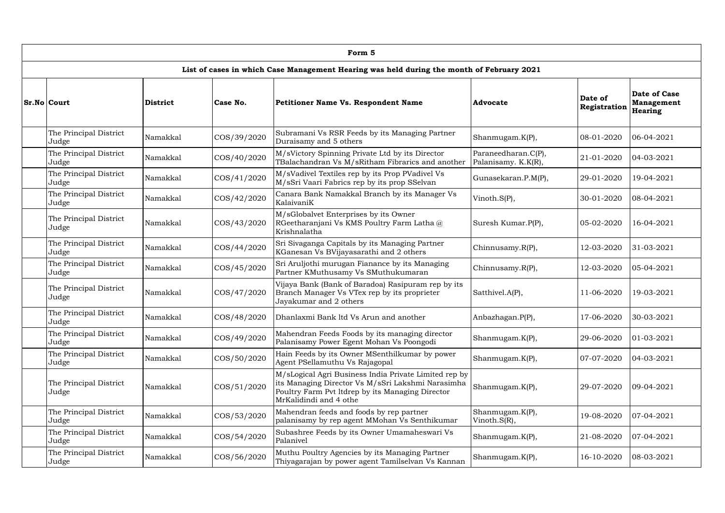| Form 5                          |          |             |                                                                                                                                                                                          |                                            |                         |                                                     |  |  |  |  |
|---------------------------------|----------|-------------|------------------------------------------------------------------------------------------------------------------------------------------------------------------------------------------|--------------------------------------------|-------------------------|-----------------------------------------------------|--|--|--|--|
|                                 |          |             | List of cases in which Case Management Hearing was held during the month of February 2021                                                                                                |                                            |                         |                                                     |  |  |  |  |
| Sr.No Court                     | District | Case No.    | <b>Petitioner Name Vs. Respondent Name</b>                                                                                                                                               | <b>Advocate</b>                            | Date of<br>Registration | Date of Case<br><b>Management</b><br><b>Hearing</b> |  |  |  |  |
| The Principal District<br>Judge | Namakkal | COS/39/2020 | Subramani Vs RSR Feeds by its Managing Partner<br>Duraisamy and 5 others                                                                                                                 | Shanmugam.K(P),                            | 08-01-2020              | $ 06-04-2021 $                                      |  |  |  |  |
| The Principal District<br>Judge | Namakkal | COS/40/2020 | M/sVictory Spinning Private Ltd by its Director<br>TBalachandran Vs M/sRitham Fibrarics and another                                                                                      | Paraneedharan.C(P),<br>Palanisamy. K.K(R), | 21-01-2020              | $ 04-03-2021 $                                      |  |  |  |  |
| The Principal District<br>Judge | Namakkal | COS/41/2020 | M/sVadivel Textiles rep by its Prop PVadivel Vs<br>M/sSri Vaari Fabrics rep by its prop SSelvan                                                                                          | Gunasekaran.P.M(P),                        | 29-01-2020              | 19-04-2021                                          |  |  |  |  |
| The Principal District<br>Judge | Namakkal | COS/42/2020 | Canara Bank Namakkal Branch by its Manager Vs<br>KalaivaniK                                                                                                                              | Vinoth. $S(P)$ ,                           | 30-01-2020              | $ 08-04-2021$                                       |  |  |  |  |
| The Principal District<br>Judge | Namakkal | COS/43/2020 | M/sGlobalvet Enterprises by its Owner<br>RGeetharanjani Vs KMS Poultry Farm Latha@<br>Krishnalatha                                                                                       | Suresh Kumar.P(P),                         | 05-02-2020              | 16-04-2021                                          |  |  |  |  |
| The Principal District<br>Judge | Namakkal | COS/44/2020 | Sri Sivaganga Capitals by its Managing Partner<br>KGanesan Vs BVijayasarathi and 2 others                                                                                                | Chinnusamy.R(P),                           | 12-03-2020              | 31-03-2021                                          |  |  |  |  |
| The Principal District<br>Judge | Namakkal | COS/45/2020 | Sri Aruljothi murugan Fianance by its Managing<br>Partner KMuthusamy Vs SMuthukumaran                                                                                                    | Chinnusamy.R(P),                           | 12-03-2020              | $ 05-04-2021$                                       |  |  |  |  |
| The Principal District<br>Judge | Namakkal | COS/47/2020 | Vijaya Bank (Bank of Baradoa) Rasipuram rep by its<br>Branch Manager Vs VTex rep by its proprieter<br>Jayakumar and 2 others                                                             | Satthivel.A(P),                            | 11-06-2020              | 19-03-2021                                          |  |  |  |  |
| The Principal District<br>Judge | Namakkal |             | COS/48/2020   Dhanlaxmi Bank ltd Vs Arun and another                                                                                                                                     | Anbazhagan.P(P),                           | 17-06-2020              | $30-03-2021$                                        |  |  |  |  |
| The Principal District<br>Judge | Namakkal | COS/49/2020 | Mahendran Feeds Foods by its managing director<br>Palanisamy Power Egent Mohan Vs Poongodi                                                                                               | Shanmugam.K(P),                            | 29-06-2020              | $ 01-03-2021$                                       |  |  |  |  |
| The Principal District<br>Judge | Namakkal | COS/50/2020 | Hain Feeds by its Owner MSenthilkumar by power<br>Agent PSellamuthu Vs Rajagopal                                                                                                         | Shanmugam.K(P),                            | 07-07-2020              | $ 04-03-2021$                                       |  |  |  |  |
| The Principal District<br>Judge | Namakkal | COS/51/2020 | M/sLogical Agri Business India Private Limited rep by<br>its Managing Director Vs M/sSri Lakshmi Narasimha<br>Poultry Farm Pvt ltdrep by its Managing Director<br>MrKalidindi and 4 othe | Shanmugam.K(P),                            | 29-07-2020              | $ 09-04-2021$                                       |  |  |  |  |
| The Principal District<br>Judge | Namakkal | COS/53/2020 | Mahendran feeds and foods by rep partner<br>palanisamy by rep agent MMohan Vs Senthikumar                                                                                                | Shanmugam.K(P),<br>Vinoth. $S(R)$ ,        | 19-08-2020              | $ 07-04-2021$                                       |  |  |  |  |
| The Principal District<br>Judge | Namakkal | COS/54/2020 | Subashree Feeds by its Owner Umamaheswari Vs<br>Palanivel                                                                                                                                | Shanmugam.K(P),                            | 21-08-2020              | $ 07-04-2021$                                       |  |  |  |  |
| The Principal District<br>Judge | Namakkal | COS/56/2020 | Muthu Poultry Agencies by its Managing Partner<br>Thiyagarajan by power agent Tamilselvan Vs Kannan                                                                                      | Shanmugam.K(P),                            | 16-10-2020              | $ 08-03-2021$                                       |  |  |  |  |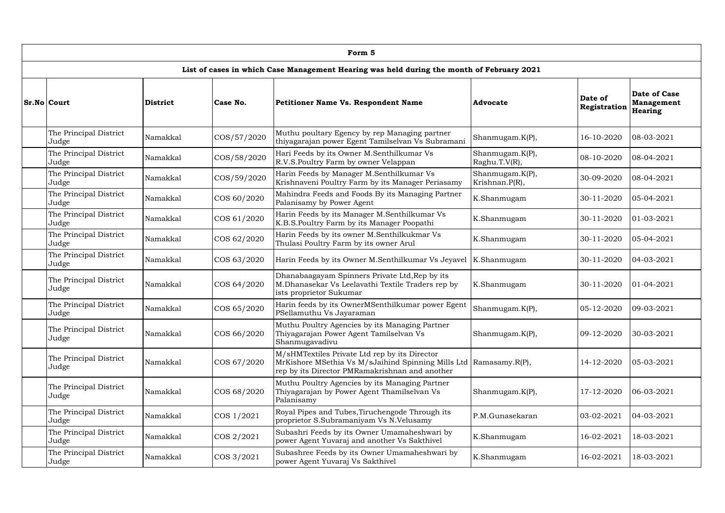| Form 5                          |          |             |                                                                                                                                                                        |                                   |                         |                                                     |  |  |  |  |
|---------------------------------|----------|-------------|------------------------------------------------------------------------------------------------------------------------------------------------------------------------|-----------------------------------|-------------------------|-----------------------------------------------------|--|--|--|--|
|                                 |          |             | List of cases in which Case Management Hearing was held during the month of February 2021                                                                              |                                   |                         |                                                     |  |  |  |  |
| Sr.No Court                     | District | Case No.    | <b>Petitioner Name Vs. Respondent Name</b>                                                                                                                             | <b>Advocate</b>                   | Date of<br>Registration | <b>Date of Case</b><br><b>Management</b><br>Hearing |  |  |  |  |
| The Principal District<br>Judge | Namakkal | COS/57/2020 | Muthu poultary Egency by rep Managing partner<br>thiyagarajan power Egent Tamilselvan Vs Subramani                                                                     | Shanmugam.K(P),                   | 16-10-2020              | $ 08-03-2021$                                       |  |  |  |  |
| The Principal District<br>Judge | Namakkal | COS/58/2020 | Hari Feeds by its Owner M.Senthilkumar Vs<br>R.V.S.Poultry Farm by owner Velappan                                                                                      | Shanmugam.K(P),<br>Raghu.T.V(R),  | 08-10-2020              | $ 08-04-2021 $                                      |  |  |  |  |
| The Principal District<br>Judge | Namakkal | COS/59/2020 | Harin Feeds by Manager M.Senthilkumar Vs<br>Krishnaveni Poultry Farm by its Manager Periasamy                                                                          | Shanmugam.K(P),<br>Krishnan.P(R), | 30-09-2020              | $ 08-04-2021$                                       |  |  |  |  |
| The Principal District<br>Judge | Namakkal | COS 60/2020 | Mahindra Feeds and Foods By its Managing Partner<br>Palanisamy by Power Agent                                                                                          | K.Shanmugam                       | 30-11-2020              | $ 05-04-2021$                                       |  |  |  |  |
| The Principal District<br>Judge | Namakkal | COS 61/2020 | Harin Feeds by its Manager M.Senthilkumar Vs<br>K.B.S.Poultry Farm by its Manager Poopathi                                                                             | K.Shanmugam                       | 30-11-2020              | $ 01-03-2021$                                       |  |  |  |  |
| The Principal District<br>Judge | Namakkal | COS 62/2020 | Harin Feeds by its owner M.Senthilkukmar Vs<br>Thulasi Poultry Farm by its owner Arul                                                                                  | K.Shanmugam                       | 30-11-2020              | $ 05-04-2021$                                       |  |  |  |  |
| The Principal District<br>Judge | Namakkal | COS 63/2020 | Harin Feeds by its Owner M.Senthilkumar Vs Jeyavel                                                                                                                     | K.Shanmugam                       | 30-11-2020              | $ 04-03-2021$                                       |  |  |  |  |
| The Principal District<br>Judge | Namakkal | COS 64/2020 | Dhanabaagayam Spinners Private Ltd, Rep by its<br>M.Dhanasekar Vs Leelavathi Textile Traders rep by<br>ists proprietor Sukumar                                         | K.Shanmugam                       | 30-11-2020              | $ 01-04-2021$                                       |  |  |  |  |
| The Principal District<br>Judge | Namakkal | COS 65/2020 | Harin feeds by its OwnerMSenthilkumar power Egent<br>PSellamuthu Vs Jayaraman                                                                                          | Shanmugam.K(P),                   | 05-12-2020              | $ 09-03-2021$                                       |  |  |  |  |
| The Principal District<br>Judge | Namakkal | COS 66/2020 | Muthu Poultry Agencies by its Managing Partner<br>Thiyagarajan Power Agent Tamilselvan Vs<br>Shanmugavadivu                                                            | Shanmugam.K(P),                   | 09-12-2020              | 30-03-2021                                          |  |  |  |  |
| The Principal District<br>Judge | Namakkal | COS 67/2020 | M/sHMTextiles Private Ltd rep by its Director<br>MrKishore MSethia Vs M/sJaihind Spinning Mills Ltd   Ramasamy.R(P),<br>rep by its Director PMRamakrishnan and another |                                   | 14-12-2020              | $ 05-03-2021 $                                      |  |  |  |  |
| The Principal District<br>Judge | Namakkal | COS 68/2020 | Muthu Poultry Agencies by its Managing Partner<br>Thiyagarajan by Power Agent Thamilselvan Vs<br>Palanisamy                                                            | Shanmugam.K(P),                   | 17-12-2020              | $ 06-03-2021$                                       |  |  |  |  |
| The Principal District<br>Judge | Namakkal | COS 1/2021  | Royal Pipes and Tubes, Tiruchengode Through its<br>proprietor S.Subramaniyam Vs N.Velusamy                                                                             | P.M.Gunasekaran                   | 03-02-2021              | $ 04-03-2021$                                       |  |  |  |  |
| The Principal District<br>Judge | Namakkal | COS 2/2021  | Subashri Feeds by its Owner Umamaheshwari by<br>power Agent Yuvaraj and another Vs Sakthivel                                                                           | K.Shanmugam                       | 16-02-2021              | 18-03-2021                                          |  |  |  |  |
| The Principal District<br>Judge | Namakkal | COS 3/2021  | Subashree Feeds by its Owner Umamaheshwari by<br>power Agent Yuvaraj Vs Sakthivel                                                                                      | K.Shanmugam                       | 16-02-2021              | 18-03-2021                                          |  |  |  |  |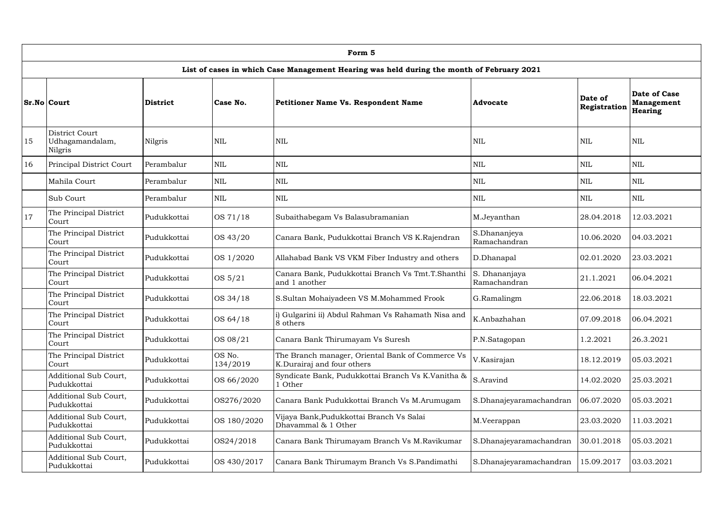|    | Form 5                                       |                 |                    |                                                                                           |                               |                         |                                              |  |  |  |  |  |
|----|----------------------------------------------|-----------------|--------------------|-------------------------------------------------------------------------------------------|-------------------------------|-------------------------|----------------------------------------------|--|--|--|--|--|
|    |                                              |                 |                    | List of cases in which Case Management Hearing was held during the month of February 2021 |                               |                         |                                              |  |  |  |  |  |
|    | Sr.No Court                                  | <b>District</b> | Case No.           | <b>Petitioner Name Vs. Respondent Name</b>                                                | <b>Advocate</b>               | Date of<br>Registration | <b>Date of Case</b><br>Management<br>Hearing |  |  |  |  |  |
| 15 | District Court<br>Udhagamandalam,<br>Nilgris | <b>Nilgris</b>  | NIL                | $\mbox{NIL}$                                                                              | <b>NIL</b>                    | <b>NIL</b>              | <b>NIL</b>                                   |  |  |  |  |  |
| 16 | Principal District Court                     | Perambalur      | $\mbox{NIL}$       | $\mbox{NIL}$                                                                              | $\mbox{NIL}$                  | $\mbox{NIL}$            | <b>NIL</b>                                   |  |  |  |  |  |
|    | Mahila Court                                 | Perambalur      | <b>NIL</b>         | $\mbox{NIL}$                                                                              | $\mbox{NIL}$                  | $\mbox{NIL}$            | <b>NIL</b>                                   |  |  |  |  |  |
|    | Sub Court                                    | Perambalur      | $\mbox{NIL}$       | $\mbox{NIL}$                                                                              | <b>NIL</b>                    | $\mbox{NIL}$            | <b>NIL</b>                                   |  |  |  |  |  |
| 17 | The Principal District<br>Court              | Pudukkottai     | OS 71/18           | Subaithabegam Vs Balasubramanian                                                          | M.Jeyanthan                   | 28.04.2018              | 12.03.2021                                   |  |  |  |  |  |
|    | The Principal District<br>Court              | Pudukkottai     | OS 43/20           | Canara Bank, Pudukkottai Branch VS K.Rajendran                                            | S.Dhananjeya<br>Ramachandran  | 10.06.2020              | 04.03.2021                                   |  |  |  |  |  |
|    | The Principal District<br>Court              | Pudukkottai     | OS 1/2020          | Allahabad Bank VS VKM Fiber Industry and others                                           | D.Dhanapal                    | 02.01.2020              | 23.03.2021                                   |  |  |  |  |  |
|    | The Principal District<br>Court              | Pudukkottai     | OS 5/21            | Canara Bank, Pudukkottai Branch Vs Tmt.T.Shanthi<br>and 1 another                         | S. Dhananjaya<br>Ramachandran | 21.1.2021               | 06.04.2021                                   |  |  |  |  |  |
|    | The Principal District<br>Court              | Pudukkottai     | OS 34/18           | S.Sultan Mohaiyadeen VS M.Mohammed Frook                                                  | G.Ramalingm                   | 22.06.2018              | 18.03.2021                                   |  |  |  |  |  |
|    | The Principal District<br>Court              | Pudukkottai     | OS 64/18           | i) Gulgarini ii) Abdul Rahman Vs Rahamath Nisa and<br>8 others                            | K.Anbazhahan                  | 07.09.2018              | 06.04.2021                                   |  |  |  |  |  |
|    | The Principal District<br>Court              | Pudukkottai     | OS 08/21           | Canara Bank Thirumayam Vs Suresh                                                          | P.N.Satagopan                 | 1.2.2021                | 26.3.2021                                    |  |  |  |  |  |
|    | The Principal District<br>Court              | Pudukkottai     | OS No.<br>134/2019 | The Branch manager, Oriental Bank of Commerce Vs<br>K.Durairaj and four others            | V.Kasirajan                   | 18.12.2019              | 05.03.2021                                   |  |  |  |  |  |
|    | <b>Additional Sub Court,</b><br>Pudukkottai  | Pudukkottai     | OS 66/2020         | Syndicate Bank, Pudukkottai Branch Vs K.Vanitha &<br>l Other                              | S.Aravind                     | 14.02.2020              | 25.03.2021                                   |  |  |  |  |  |
|    | <b>Additional Sub Court,</b><br>Pudukkottai  | Pudukkottai     | OS276/2020         | Canara Bank Pudukkottai Branch Vs M.Arumugam                                              | S.Dhanajeyaramachandran       | 06.07.2020              | 05.03.2021                                   |  |  |  |  |  |
|    | Additional Sub Court,<br>Pudukkottai         | Pudukkottai     | OS 180/2020        | Vijaya Bank, Pudukkottai Branch Vs Salai<br>Dhavammal & 1 Other                           | M.Veerappan                   | 23.03.2020              | 11.03.2021                                   |  |  |  |  |  |
|    | <b>Additional Sub Court,</b><br>Pudukkottai  | Pudukkottai     | OS24/2018          | Canara Bank Thirumayam Branch Vs M.Ravikumar                                              | S.Dhanajeyaramachandran       | 30.01.2018              | 05.03.2021                                   |  |  |  |  |  |
|    | <b>Additional Sub Court,</b><br>Pudukkottai  | Pudukkottai     | OS 430/2017        | Canara Bank Thirumaym Branch Vs S.Pandimathi                                              | S.Dhanajeyaramachandran       | 15.09.2017              | 03.03.2021                                   |  |  |  |  |  |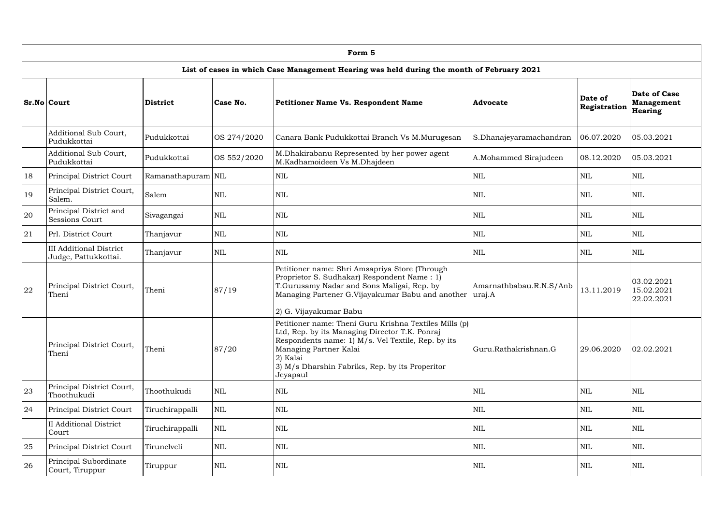|               | Form 5                                                 |                    |             |                                                                                                                                                                                                                                                                     |                                   |                         |                                                     |  |  |  |  |  |
|---------------|--------------------------------------------------------|--------------------|-------------|---------------------------------------------------------------------------------------------------------------------------------------------------------------------------------------------------------------------------------------------------------------------|-----------------------------------|-------------------------|-----------------------------------------------------|--|--|--|--|--|
|               |                                                        |                    |             | List of cases in which Case Management Hearing was held during the month of February 2021                                                                                                                                                                           |                                   |                         |                                                     |  |  |  |  |  |
|               | <b>Sr.No Court</b>                                     | <b>District</b>    | Case No.    | <b>Petitioner Name Vs. Respondent Name</b>                                                                                                                                                                                                                          | <b>Advocate</b>                   | Date of<br>Registration | <b>Date of Case</b><br>Management<br><b>Hearing</b> |  |  |  |  |  |
|               | Additional Sub Court,<br>Pudukkottai                   | Pudukkottai        | OS 274/2020 | Canara Bank Pudukkottai Branch Vs M.Murugesan                                                                                                                                                                                                                       | S.Dhanajeyaramachandran           | 06.07.2020              | 05.03.2021                                          |  |  |  |  |  |
|               | Additional Sub Court,<br>Pudukkottai                   | Pudukkottai        | OS 552/2020 | M.Dhakirabanu Represented by her power agent<br>M.Kadhamoideen Vs M.Dhajdeen                                                                                                                                                                                        | A.Mohammed Sirajudeen             | 08.12.2020              | 05.03.2021                                          |  |  |  |  |  |
| 18            | Principal District Court                               | Ramanathapuram NIL |             | <b>NIL</b>                                                                                                                                                                                                                                                          | $\mbox{NIL}$                      | <b>NIL</b>              | $\mbox{NIL}$                                        |  |  |  |  |  |
| <sup>19</sup> | Principal District Court,<br>Salem.                    | Salem              | <b>NIL</b>  | $\mbox{NIL}$                                                                                                                                                                                                                                                        | $\mbox{NIL}$                      | <b>NIL</b>              | <b>NIL</b>                                          |  |  |  |  |  |
| 20            | Principal District and<br><b>Sessions Court</b>        | Sivagangai         | <b>NIL</b>  | <b>NIL</b>                                                                                                                                                                                                                                                          | <b>NIL</b>                        | <b>NIL</b>              | <b>NIL</b>                                          |  |  |  |  |  |
| 21            | Prl. District Court                                    | Thanjavur          | <b>NIL</b>  | <b>NIL</b>                                                                                                                                                                                                                                                          | <b>NIL</b>                        | <b>NIL</b>              | <b>NIL</b>                                          |  |  |  |  |  |
|               | <b>III Additional District</b><br>Judge, Pattukkottai. | Thanjavur          | <b>NIL</b>  | $\mbox{NIL}$                                                                                                                                                                                                                                                        | $\mbox{NIL}$                      | <b>NIL</b>              | <b>NIL</b>                                          |  |  |  |  |  |
| 22            | Principal District Court,<br>Theni                     | Theni              | 87/19       | Petitioner name: Shri Amsapriya Store (Through<br>Proprietor S. Sudhakar) Respondent Name: 1)<br>T.Gurusamy Nadar and Sons Maligai, Rep. by<br>Managing Partener G.Vijayakumar Babu and another<br>2) G. Vijayakumar Babu                                           | Amarnathbabau.R.N.S/Anb<br>uraj.A | 13.11.2019              | 03.02.2021<br>15.02.2021<br>22.02.2021              |  |  |  |  |  |
|               | Principal District Court,<br>Theni                     | Theni              | 87/20       | Petitioner name: Theni Guru Krishna Textiles Mills (p)<br>Ltd, Rep. by its Managing Director T.K. Ponraj<br>Respondents name: 1) M/s. Vel Textile, Rep. by its<br>Managing Partner Kalai<br>2) Kalai<br>3) M/s Dharshin Fabriks, Rep. by its Properitor<br>Jeyapaul | Guru.Rathakrishnan.G              | 29.06.2020              | 02.02.2021                                          |  |  |  |  |  |
| 23            | Principal District Court,<br>Thoothukudi               | Thoothukudi        | <b>NIL</b>  | $\mbox{NIL}$                                                                                                                                                                                                                                                        | <b>NIL</b>                        | <b>NIL</b>              | NIL                                                 |  |  |  |  |  |
| 24            | Principal District Court                               | Tiruchirappalli    | <b>NIL</b>  | $\mbox{NIL}$                                                                                                                                                                                                                                                        | $\mbox{NIL}$                      | $\mbox{NIL}$            | $\mbox{NIL}$                                        |  |  |  |  |  |
|               | <b>II</b> Additional District<br>Court                 | Tiruchirappalli    | <b>NIL</b>  | <b>NIL</b>                                                                                                                                                                                                                                                          | <b>NIL</b>                        | <b>NIL</b>              | <b>NIL</b>                                          |  |  |  |  |  |
| 25            | Principal District Court                               | Tirunelveli        | <b>NIL</b>  | NIL                                                                                                                                                                                                                                                                 | $\mbox{NIL}$                      | <b>NIL</b>              | <b>NIL</b>                                          |  |  |  |  |  |
| 26            | Principal Subordinate<br>Court, Tiruppur               | Tiruppur           | <b>NIL</b>  | <b>NIL</b>                                                                                                                                                                                                                                                          | <b>NIL</b>                        | <b>NIL</b>              | NIL                                                 |  |  |  |  |  |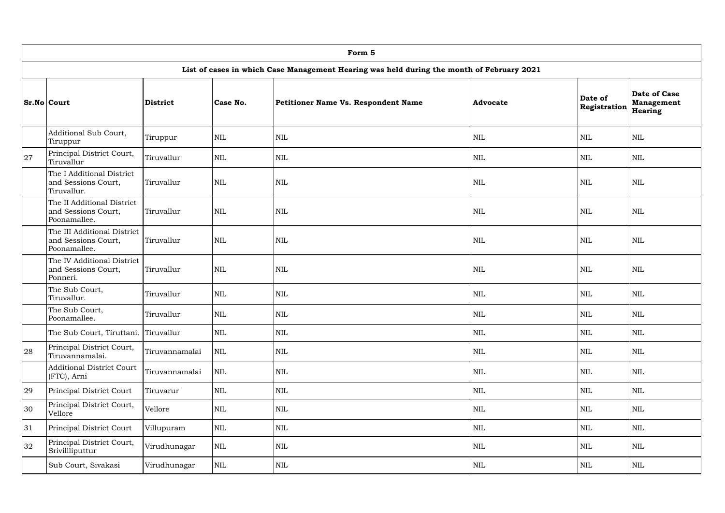|    | Form 5                                                             |                          |            |                                                                                           |                 |                         |                                              |  |  |  |  |  |
|----|--------------------------------------------------------------------|--------------------------|------------|-------------------------------------------------------------------------------------------|-----------------|-------------------------|----------------------------------------------|--|--|--|--|--|
|    |                                                                    |                          |            | List of cases in which Case Management Hearing was held during the month of February 2021 |                 |                         |                                              |  |  |  |  |  |
|    | <b>Sr.No Court</b>                                                 | <b>District</b>          | Case No.   | Petitioner Name Vs. Respondent Name                                                       | <b>Advocate</b> | Date of<br>Registration | <b>Date of Case</b><br>Management<br>Hearing |  |  |  |  |  |
|    | Additional Sub Court,<br>Tiruppur                                  | Tiruppur                 | <b>NIL</b> | $\mbox{NIL}$                                                                              | $\mbox{NIL}$    | <b>NIL</b>              | <b>NIL</b>                                   |  |  |  |  |  |
| 27 | Principal District Court,<br>Tiruvallur                            | Tiruvallur               | <b>NIL</b> | $\mbox{NIL}$                                                                              | $\mbox{NIL}$    | <b>NIL</b>              | <b>NIL</b>                                   |  |  |  |  |  |
|    | The I Additional District<br>and Sessions Court,<br>Tiruvallur.    | Tiruvallur               | <b>NIL</b> | $\mbox{NIL}$                                                                              | <b>NIL</b>      | <b>NIL</b>              | <b>NIL</b>                                   |  |  |  |  |  |
|    | The II Additional District<br>and Sessions Court,<br>Poonamallee.  | Tiruvallur               | <b>NIL</b> | $\mbox{NIL}$                                                                              | <b>NIL</b>      | <b>NIL</b>              | <b>NIL</b>                                   |  |  |  |  |  |
|    | The III Additional District<br>and Sessions Court,<br>Poonamallee. | <b>NIL</b><br>Tiruvallur |            | <b>NIL</b>                                                                                | <b>NIL</b>      | <b>NIL</b>              | <b>NIL</b>                                   |  |  |  |  |  |
|    | The IV Additional District<br>and Sessions Court,<br>Ponneri.      | Tiruvallur               | <b>NIL</b> | $\mbox{NIL}$                                                                              | <b>NIL</b>      | <b>NIL</b>              | <b>NIL</b>                                   |  |  |  |  |  |
|    | The Sub Court,<br>Tiruvallur.                                      | Tiruvallur               | <b>NIL</b> | $\mbox{NIL}$                                                                              | <b>NIL</b>      | NIL                     | $\mbox{NIL}$                                 |  |  |  |  |  |
|    | The Sub Court,<br>Poonamallee.                                     | Tiruvallur               | NIL        | <b>NIL</b>                                                                                | <b>NIL</b>      | NIL                     | NIL                                          |  |  |  |  |  |
|    | The Sub Court, Tiruttani.                                          | Tiruvallur               | <b>NIL</b> | $\mbox{NIL}$                                                                              | <b>NIL</b>      | <b>NIL</b>              | NIL                                          |  |  |  |  |  |
| 28 | Principal District Court,<br>Tiruvannamalai.                       | Tiruvannamalai           | <b>NIL</b> | $\mbox{NIL}$                                                                              | <b>NIL</b>      | $\mbox{NIL}$            | NIL                                          |  |  |  |  |  |
|    | <b>Additional District Court</b><br>(FTC), Arni                    | Tiruvannamalai           | <b>NIL</b> | $\mbox{NIL}$                                                                              | $\mbox{NIL}$    | $\mbox{NIL}$            | NIL                                          |  |  |  |  |  |
| 29 | Principal District Court                                           | Tiruvarur                | <b>NIL</b> | $\mbox{NIL}$                                                                              | <b>NIL</b>      | $\mbox{NIL}$            | <b>NIL</b>                                   |  |  |  |  |  |
| 30 | Principal District Court,<br>Vellore                               | Vellore                  | <b>NIL</b> | $\mbox{NIL}$                                                                              | $\mbox{NIL}$    | $\mbox{NIL}$            | NIL                                          |  |  |  |  |  |
| 31 | Principal District Court                                           | Villupuram               | <b>NIL</b> | $\mbox{NIL}$                                                                              | <b>NIL</b>      | $\mbox{NIL}$            | NIL                                          |  |  |  |  |  |
| 32 | Principal District Court,<br>Srivillliputtur                       | Virudhunagar             | <b>NIL</b> | $\mbox{NIL}$                                                                              | $\mbox{NIL}$    | $\mbox{NIL}$            | <b>NIL</b>                                   |  |  |  |  |  |
|    | Sub Court, Sivakasi                                                | Virudhunagar             | NIL        | NIL                                                                                       | <b>NIL</b>      | <b>NIL</b>              | $\mbox{NIL}$                                 |  |  |  |  |  |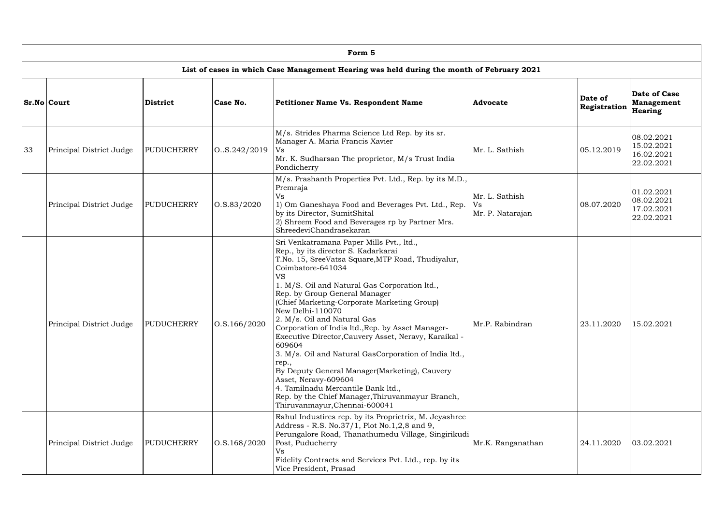|    | Form 5                   |                                       |                  |                                                                                                                                                                                                                                                                                                                                                                                                                                                                                                                                                                                                                                                                                                                                                          |                                          |                         |                                                      |  |  |  |  |  |  |
|----|--------------------------|---------------------------------------|------------------|----------------------------------------------------------------------------------------------------------------------------------------------------------------------------------------------------------------------------------------------------------------------------------------------------------------------------------------------------------------------------------------------------------------------------------------------------------------------------------------------------------------------------------------------------------------------------------------------------------------------------------------------------------------------------------------------------------------------------------------------------------|------------------------------------------|-------------------------|------------------------------------------------------|--|--|--|--|--|--|
|    |                          |                                       |                  | List of cases in which Case Management Hearing was held during the month of February 2021                                                                                                                                                                                                                                                                                                                                                                                                                                                                                                                                                                                                                                                                |                                          |                         |                                                      |  |  |  |  |  |  |
|    | <b>Sr.No Court</b>       | <b>District</b>                       | Case No.         | <b>Petitioner Name Vs. Respondent Name</b>                                                                                                                                                                                                                                                                                                                                                                                                                                                                                                                                                                                                                                                                                                               | Advocate                                 | Date of<br>Registration | Date of Case<br>Management<br>Hearing                |  |  |  |  |  |  |
| 33 | Principal District Judge | <b>PUDUCHERRY</b>                     | 0. S.242/2019    | M/s. Strides Pharma Science Ltd Rep. by its sr.<br>Manager A. Maria Francis Xavier<br>Vs<br>Mr. K. Sudharsan The proprietor, M/s Trust India<br>Pondicherry                                                                                                                                                                                                                                                                                                                                                                                                                                                                                                                                                                                              | Mr. L. Sathish                           | 05.12.2019              | 08.02.2021<br>15.02.2021<br>16.02.2021<br>22.02.2021 |  |  |  |  |  |  |
|    | Principal District Judge | <b>PUDUCHERRY</b>                     | 0. S. 83 / 2020  | M/s. Prashanth Properties Pvt. Ltd., Rep. by its M.D.,<br>Premraja<br><b>Vs</b><br>1) Om Ganeshaya Food and Beverages Pvt. Ltd., Rep.<br>by its Director, SumitShital<br>2) Shreem Food and Beverages rp by Partner Mrs.<br>ShreedeviChandrasekaran                                                                                                                                                                                                                                                                                                                                                                                                                                                                                                      | Mr. L. Sathish<br>Vs<br>Mr. P. Natarajan | 08.07.2020              | 01.02.2021<br>08.02.2021<br>17.02.2021<br>22.02.2021 |  |  |  |  |  |  |
|    | Principal District Judge | 0. S. 166 / 2020<br><b>PUDUCHERRY</b> |                  | Sri Venkatramana Paper Mills Pvt., ltd.,<br>Rep., by its director S. Kadarkarai<br>T.No. 15, SreeVatsa Square, MTP Road, Thudiyalur,<br>Coimbatore-641034<br><b>VS</b><br>1. M/S. Oil and Natural Gas Corporation ltd.,<br>Rep. by Group General Manager<br>(Chief Marketing-Corporate Marketing Group)<br>New Delhi-110070<br>2. M/s. Oil and Natural Gas<br>Corporation of India ltd., Rep. by Asset Manager-<br>Executive Director, Cauvery Asset, Neravy, Karaikal -<br>609604<br>3. M/s. Oil and Natural GasCorporation of India ltd.,<br>rep.,<br>By Deputy General Manager(Marketing), Cauvery<br>Asset, Neravy-609604<br>4. Tamilnadu Mercantile Bank ltd.,<br>Rep. by the Chief Manager, Thiruvanmayur Branch,<br>Thiruvanmayur, Chennai-600041 | Mr.P. Rabindran                          | 23.11.2020              | 15.02.2021                                           |  |  |  |  |  |  |
|    | Principal District Judge | <b>PUDUCHERRY</b>                     | 0. S. 168 / 2020 | Rahul Industires rep. by its Proprietrix, M. Jeyashree<br>Address - R.S. No.37/1, Plot No.1,2,8 and 9,<br>Perungalore Road, Thanathumedu Village, Singirikudi<br>Post, Puducherry<br><b>Vs</b><br>Fidelity Contracts and Services Pvt. Ltd., rep. by its<br>Vice President, Prasad                                                                                                                                                                                                                                                                                                                                                                                                                                                                       | Mr.K. Ranganathan                        | 24.11.2020              | 03.02.2021                                           |  |  |  |  |  |  |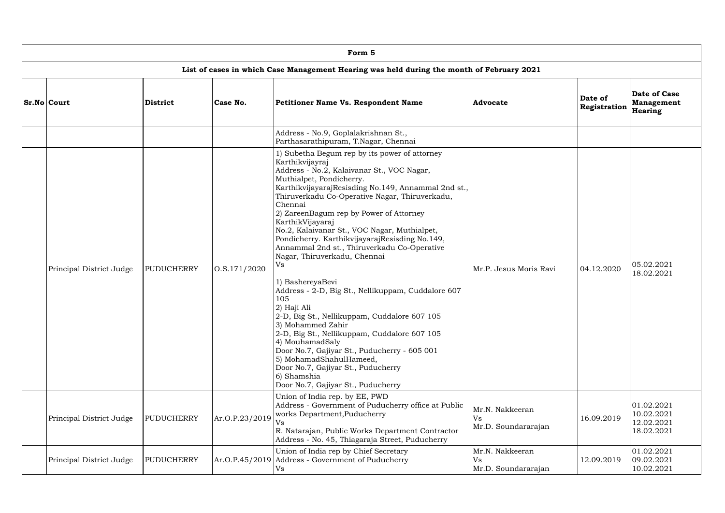| Form 5                   |                   |                  |                                                                                                                                                                                                                                                                                                                                                                                                                                                                                                                                                                                                                                                                                                                                                                                                                                                                                                                                    |                                                                                |            |                                                      |  |  |  |  |  |
|--------------------------|-------------------|------------------|------------------------------------------------------------------------------------------------------------------------------------------------------------------------------------------------------------------------------------------------------------------------------------------------------------------------------------------------------------------------------------------------------------------------------------------------------------------------------------------------------------------------------------------------------------------------------------------------------------------------------------------------------------------------------------------------------------------------------------------------------------------------------------------------------------------------------------------------------------------------------------------------------------------------------------|--------------------------------------------------------------------------------|------------|------------------------------------------------------|--|--|--|--|--|
|                          |                   |                  | List of cases in which Case Management Hearing was held during the month of February 2021                                                                                                                                                                                                                                                                                                                                                                                                                                                                                                                                                                                                                                                                                                                                                                                                                                          |                                                                                |            |                                                      |  |  |  |  |  |
| <b>Sr.No Court</b>       | <b>District</b>   | Case No.         | <b>Advocate</b>                                                                                                                                                                                                                                                                                                                                                                                                                                                                                                                                                                                                                                                                                                                                                                                                                                                                                                                    | Date of Case<br>Date of<br><b>Management</b><br>Registration<br><b>Hearing</b> |            |                                                      |  |  |  |  |  |
|                          |                   |                  | Address - No.9, Goplalakrishnan St.,<br>Parthasarathipuram, T.Nagar, Chennai                                                                                                                                                                                                                                                                                                                                                                                                                                                                                                                                                                                                                                                                                                                                                                                                                                                       |                                                                                |            |                                                      |  |  |  |  |  |
| Principal District Judge | PUDUCHERRY        | 0. S. 171 / 2020 | 1) Subetha Begum rep by its power of attorney<br>Karthikvijayraj<br>Address - No.2, Kalaivanar St., VOC Nagar,<br>Muthialpet, Pondicherry.<br>KarthikvijayarajResisding No.149, Annammal 2nd st.,<br>Thiruverkadu Co-Operative Nagar, Thiruverkadu,<br>Chennai<br>2) ZareenBagum rep by Power of Attorney<br>KarthikVijayaraj<br>No.2, Kalaivanar St., VOC Nagar, Muthialpet,<br>Pondicherry. KarthikvijayarajResisding No.149,<br>Annammal 2nd st., Thiruverkadu Co-Operative<br>Nagar, Thiruverkadu, Chennai<br>Vs<br>1) BashereyaBevi<br>Address - 2-D, Big St., Nellikuppam, Cuddalore 607<br>105<br>2) Haji Ali<br>2-D, Big St., Nellikuppam, Cuddalore 607 105<br>3) Mohammed Zahir<br>2-D, Big St., Nellikuppam, Cuddalore 607 105<br>4) MouhamadSaly<br>Door No.7, Gajiyar St., Puducherry - 605 001<br>5) MohamadShahulHameed,<br>Door No.7, Gajiyar St., Puducherry<br>6) Shamshia<br>Door No.7, Gajiyar St., Puducherry | Mr.P. Jesus Moris Ravi                                                         | 04.12.2020 | 05.02.2021<br>18.02.2021                             |  |  |  |  |  |
| Principal District Judge | PUDUCHERRY        | Ar.O.P.23/2019   | Union of India rep. by EE, PWD<br>Address - Government of Puducherry office at Public<br>works Department, Puducherry<br><b>Vs</b><br>R. Natarajan, Public Works Department Contractor<br>Address - No. 45, Thiagaraja Street, Puducherry                                                                                                                                                                                                                                                                                                                                                                                                                                                                                                                                                                                                                                                                                          | Mr.N. Nakkeeran<br>Vs<br>Mr.D. Soundararajan                                   | 16.09.2019 | 01.02.2021<br>10.02.2021<br>12.02.2021<br>18.02.2021 |  |  |  |  |  |
| Principal District Judge | <b>PUDUCHERRY</b> |                  | Union of India rep by Chief Secretary<br>Ar.O.P.45/2019   Address - Government of Puducherry<br>V <sub>S</sub>                                                                                                                                                                                                                                                                                                                                                                                                                                                                                                                                                                                                                                                                                                                                                                                                                     | Mr.N. Nakkeeran<br>Vs<br>Mr.D. Soundararajan                                   | 12.09.2019 | 01.02.2021<br>09.02.2021<br>10.02.2021               |  |  |  |  |  |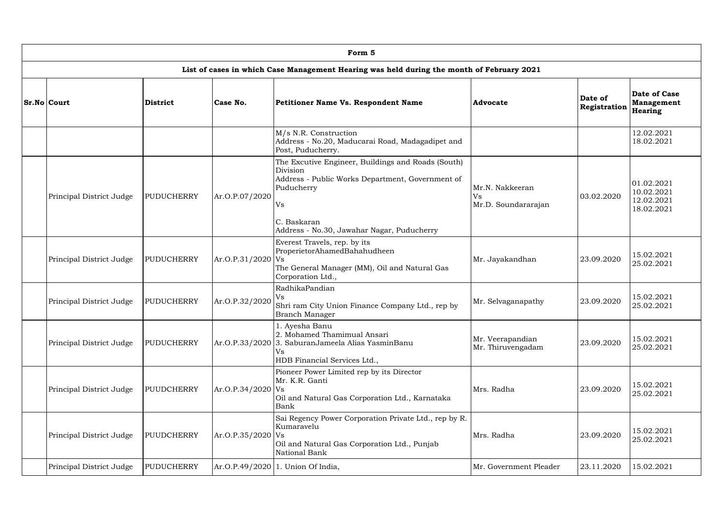| Form 5                   |                   |                     |                                                                                                                                                                                                     |                                              |                                                            |                                                      |  |  |  |  |  |  |
|--------------------------|-------------------|---------------------|-----------------------------------------------------------------------------------------------------------------------------------------------------------------------------------------------------|----------------------------------------------|------------------------------------------------------------|------------------------------------------------------|--|--|--|--|--|--|
|                          |                   |                     | List of cases in which Case Management Hearing was held during the month of February 2021                                                                                                           |                                              |                                                            |                                                      |  |  |  |  |  |  |
| <b>Sr.No Court</b>       | <b>District</b>   | Case No.            | Advocate                                                                                                                                                                                            | Date of<br>Registration                      | <b>Date of Case</b><br><b>Management</b><br><b>Hearing</b> |                                                      |  |  |  |  |  |  |
|                          |                   |                     | M/s N.R. Construction<br>Address - No.20, Maducarai Road, Madagadipet and<br>Post, Puducherry.                                                                                                      |                                              |                                                            | 12.02.2021<br>18.02.2021                             |  |  |  |  |  |  |
| Principal District Judge | <b>PUDUCHERRY</b> | Ar.O.P.07/2020      | The Excutive Engineer, Buildings and Roads (South)<br>Division<br>Address - Public Works Department, Government of<br>Puducherry<br>Vs<br>C. Baskaran<br>Address - No.30, Jawahar Nagar, Puducherry | Mr.N. Nakkeeran<br>Vs<br>Mr.D. Soundararajan | 03.02.2020                                                 | 01.02.2021<br>10.02.2021<br>12.02.2021<br>18.02.2021 |  |  |  |  |  |  |
| Principal District Judge | <b>PUDUCHERRY</b> | $Ar.O.P.31/2020$ Vs | Everest Travels, rep. by its<br>ProperietorAhamedBahahudheen<br>The General Manager (MM), Oil and Natural Gas<br>Corporation Ltd.,                                                                  | Mr. Jayakandhan                              | 23.09.2020                                                 | 15.02.2021<br>25.02.2021                             |  |  |  |  |  |  |
| Principal District Judge | <b>PUDUCHERRY</b> | Ar.O.P.32/2020      | RadhikaPandian<br>Vs<br>Shri ram City Union Finance Company Ltd., rep by<br><b>Branch Manager</b>                                                                                                   | Mr. Selvaganapathy                           | 23.09.2020                                                 | 15.02.2021<br>25.02.2021                             |  |  |  |  |  |  |
| Principal District Judge | <b>PUDUCHERRY</b> |                     | 1. Ayesha Banu<br>2. Mohamed Thamimual Ansari<br>Ar.O.P.33/2020 3. SaburanJameela Alias YasminBanu<br>Vs<br>HDB Financial Services Ltd.,                                                            | Mr. Veerapandian<br>Mr. Thiruvengadam        | 23.09.2020                                                 | 15.02.2021<br>25.02.2021                             |  |  |  |  |  |  |
| Principal District Judge | PUUDCHERRY        | $Ar.O.P.34/2020$ Vs | Pioneer Power Limited rep by its Director<br>Mr. K.R. Ganti<br>Oil and Natural Gas Corporation Ltd., Karnataka<br>Bank                                                                              | Mrs. Radha                                   | 23.09.2020                                                 | 15.02.2021<br>25.02.2021                             |  |  |  |  |  |  |
| Principal District Judge | PUUDCHERRY        | $Ar.O.P.35/2020$ Vs | Sai Regency Power Corporation Private Ltd., rep by R.<br>Kumaravelu<br>Oil and Natural Gas Corporation Ltd., Punjab<br>National Bank                                                                | Mrs. Radha                                   | 23.09.2020                                                 | 15.02.2021<br>25.02.2021                             |  |  |  |  |  |  |
| Principal District Judge | <b>PUDUCHERRY</b> | Ar.O.P.49/2020 1    | . Union Of India,                                                                                                                                                                                   | Mr. Government Pleader                       | 23.11.2020                                                 | 15.02.2021                                           |  |  |  |  |  |  |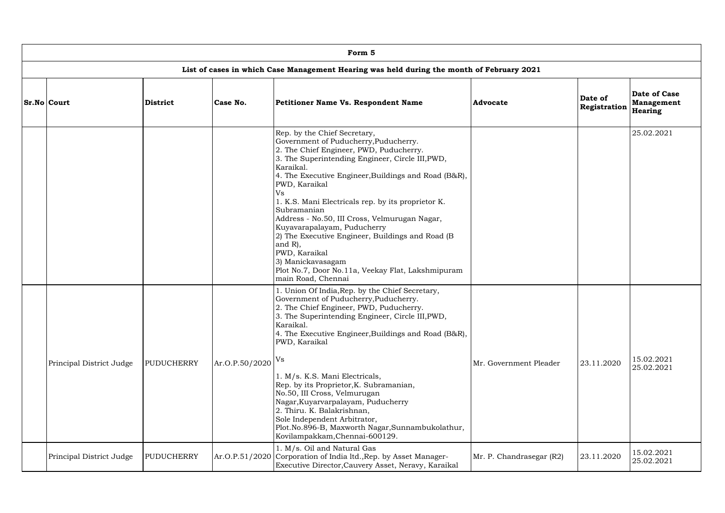| Form 5                   |                 |                                                                  |                                                                                                                                                                                                                                                                                                                                                                                                                                                                                                                                                                                                           |                          |                         |                                                     |  |  |  |  |  |  |
|--------------------------|-----------------|------------------------------------------------------------------|-----------------------------------------------------------------------------------------------------------------------------------------------------------------------------------------------------------------------------------------------------------------------------------------------------------------------------------------------------------------------------------------------------------------------------------------------------------------------------------------------------------------------------------------------------------------------------------------------------------|--------------------------|-------------------------|-----------------------------------------------------|--|--|--|--|--|--|
|                          |                 |                                                                  | List of cases in which Case Management Hearing was held during the month of February 2021                                                                                                                                                                                                                                                                                                                                                                                                                                                                                                                 |                          |                         |                                                     |  |  |  |  |  |  |
| <b>Sr.No Court</b>       | <b>District</b> | Case No.                                                         | <b>Petitioner Name Vs. Respondent Name</b>                                                                                                                                                                                                                                                                                                                                                                                                                                                                                                                                                                | <b>Advocate</b>          | Date of<br>Registration | <b>Date of Case</b><br><b>Management</b><br>Hearing |  |  |  |  |  |  |
|                          |                 |                                                                  | Rep. by the Chief Secretary,<br>Government of Puducherry, Puducherry.<br>2. The Chief Engineer, PWD, Puducherry.<br>3. The Superintending Engineer, Circle III, PWD,<br>Karaikal.<br>4. The Executive Engineer, Buildings and Road (B&R),<br>PWD, Karaikal<br>Vs<br>1. K.S. Mani Electricals rep. by its proprietor K.<br>Subramanian<br>Address - No.50, III Cross, Velmurugan Nagar,<br>Kuyavarapalayam, Puducherry<br>2) The Executive Engineer, Buildings and Road (B)<br>and $R$ ),<br>PWD, Karaikal<br>3) Manickavasagam<br>Plot No.7, Door No.11a, Veekay Flat, Lakshmipuram<br>main Road, Chennai |                          |                         | 25.02.2021                                          |  |  |  |  |  |  |
| Principal District Judge | PUDUCHERRY      | $\left \right. \mathrm{Ar. O. P. 50 / 2020} \right  \mathrm{Vs}$ | 1. Union Of India, Rep. by the Chief Secretary,<br>Government of Puducherry, Puducherry.<br>2. The Chief Engineer, PWD, Puducherry.<br>3. The Superintending Engineer, Circle III, PWD,<br>Karaikal.<br>4. The Executive Engineer, Buildings and Road (B&R),<br>PWD, Karaikal<br>1. M/s. K.S. Mani Electricals,<br>Rep. by its Proprietor, K. Subramanian,<br>No.50, III Cross, Velmurugan<br>Nagar, Kuyarvarpalayam, Puducherry<br>2. Thiru. K. Balakrishnan,<br>Sole Independent Arbitrator,<br>Plot.No.896-B, Maxworth Nagar, Sunnambukolathur,<br>Kovilampakkam, Chennai-600129.                      | Mr. Government Pleader   | 23.11.2020              | 15.02.2021<br>25.02.2021                            |  |  |  |  |  |  |
| Principal District Judge | PUDUCHERRY      |                                                                  | 1. M/s. Oil and Natural Gas<br>Ar.O.P.51/2020 Corporation of India ltd., Rep. by Asset Manager-<br>Executive Director, Cauvery Asset, Neravy, Karaikal                                                                                                                                                                                                                                                                                                                                                                                                                                                    | Mr. P. Chandrasegar (R2) | 23.11.2020              | 15.02.2021<br>25.02.2021                            |  |  |  |  |  |  |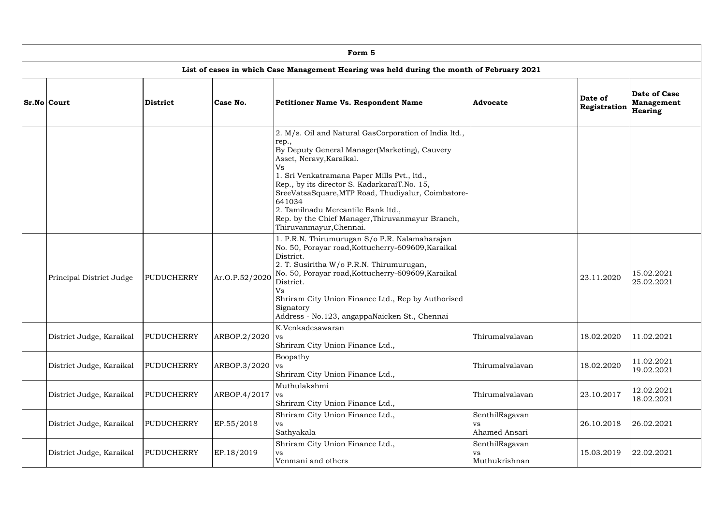| Form 5                   |                   |                |                                                                                                                                                                                                                                                                                                                                                                                                                                       |                                        |                         |                                       |  |  |  |  |  |  |
|--------------------------|-------------------|----------------|---------------------------------------------------------------------------------------------------------------------------------------------------------------------------------------------------------------------------------------------------------------------------------------------------------------------------------------------------------------------------------------------------------------------------------------|----------------------------------------|-------------------------|---------------------------------------|--|--|--|--|--|--|
|                          |                   |                | List of cases in which Case Management Hearing was held during the month of February 2021                                                                                                                                                                                                                                                                                                                                             |                                        |                         |                                       |  |  |  |  |  |  |
| <b>Sr.No Court</b>       | <b>District</b>   | Case No.       | <b>Petitioner Name Vs. Respondent Name</b>                                                                                                                                                                                                                                                                                                                                                                                            | Advocate                               | Date of<br>Registration | Date of Case<br>Management<br>Hearing |  |  |  |  |  |  |
|                          |                   |                | 2. M/s. Oil and Natural GasCorporation of India ltd.,<br>rep.,<br>By Deputy General Manager(Marketing), Cauvery<br>Asset, Neravy, Karaikal.<br>Vs<br>1. Sri Venkatramana Paper Mills Pvt., ltd.,<br>Rep., by its director S. KadarkaraiT.No. 15,<br>SreeVatsaSquare, MTP Road, Thudiyalur, Coimbatore-<br>641034<br>2. Tamilnadu Mercantile Bank ltd.,<br>Rep. by the Chief Manager, Thiruvanmayur Branch,<br>Thiruvanmayur, Chennai. |                                        |                         |                                       |  |  |  |  |  |  |
| Principal District Judge | <b>PUDUCHERRY</b> | Ar.O.P.52/2020 | 1. P.R.N. Thirumurugan S/o P.R. Nalamaharajan<br>No. 50, Porayar road, Kottucherry-609609, Karaikal<br>District.<br>2. T. Susiritha W/o P.R.N. Thirumurugan,<br>No. 50, Porayar road, Kottucherry-609609, Karaikal<br>District.<br>Vs<br>Shriram City Union Finance Ltd., Rep by Authorised<br>Signatory<br>Address - No.123, angappaNaicken St., Chennai                                                                             |                                        | 23.11.2020              | 15.02.2021<br>25.02.2021              |  |  |  |  |  |  |
| District Judge, Karaikal | <b>PUDUCHERRY</b> | ARBOP.2/2020   | K.Venkadesawaran<br><b>VS</b><br>Shriram City Union Finance Ltd.,                                                                                                                                                                                                                                                                                                                                                                     | Thirumalvalavan                        | 18.02.2020              | 11.02.2021                            |  |  |  |  |  |  |
| District Judge, Karaikal | <b>PUDUCHERRY</b> | ARBOP.3/2020   | Boopathy<br><b>VS</b><br>Shriram City Union Finance Ltd.,                                                                                                                                                                                                                                                                                                                                                                             | Thirumalvalavan                        | 18.02.2020              | 11.02.2021<br>19.02.2021              |  |  |  |  |  |  |
| District Judge, Karaikal | <b>PUDUCHERRY</b> | ARBOP.4/2017   | Muthulakshmi<br><b>VS</b><br>Shriram City Union Finance Ltd.,                                                                                                                                                                                                                                                                                                                                                                         | Thirumalvalavan                        | 23.10.2017              | 12.02.2021<br>18.02.2021              |  |  |  |  |  |  |
| District Judge, Karaikal | <b>PUDUCHERRY</b> | EP.55/2018     | Shriram City Union Finance Ltd.,<br>VS.<br>Sathyakala                                                                                                                                                                                                                                                                                                                                                                                 | SenthilRagavan<br>VS<br>Ahamed Ansari  | 26.10.2018              | 26.02.2021                            |  |  |  |  |  |  |
| District Judge, Karaikal | <b>PUDUCHERRY</b> | EP.18/2019     | Shriram City Union Finance Ltd.,<br>VS.<br>Venmani and others                                                                                                                                                                                                                                                                                                                                                                         | SenthilRagavan<br>VS.<br>Muthukrishnan | 15.03.2019              | 22.02.2021                            |  |  |  |  |  |  |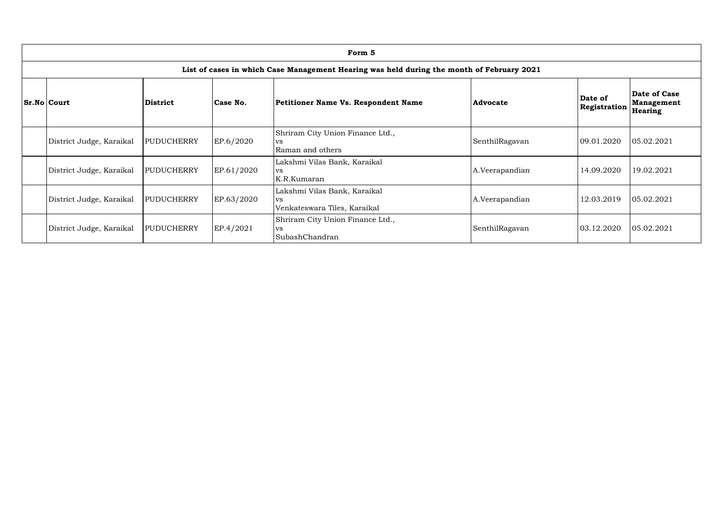| Form 5                                                                                    |                   |            |                                                                           |                |                                |                                              |  |  |  |  |  |  |
|-------------------------------------------------------------------------------------------|-------------------|------------|---------------------------------------------------------------------------|----------------|--------------------------------|----------------------------------------------|--|--|--|--|--|--|
| List of cases in which Case Management Hearing was held during the month of February 2021 |                   |            |                                                                           |                |                                |                                              |  |  |  |  |  |  |
| <b>Sr.No Court</b>                                                                        | <b>District</b>   | Case No.   | <b>Petitioner Name Vs. Respondent Name</b>                                | Advocate       | Date of<br><b>Registration</b> | Date of Case<br>Management<br><b>Hearing</b> |  |  |  |  |  |  |
| District Judge, Karaikal                                                                  | <b>PUDUCHERRY</b> | EP.6/2020  | Shriram City Union Finance Ltd.,<br><b>VS</b><br>Raman and others         | SenthilRagavan | 09.01.2020                     | 05.02.2021                                   |  |  |  |  |  |  |
| District Judge, Karaikal                                                                  | <b>PUDUCHERRY</b> | EP.61/2020 | Lakshmi Vilas Bank, Karaikal<br><b>VS</b><br>K.R.Kumaran                  | A.Veerapandian | 14.09.2020                     | 19.02.2021                                   |  |  |  |  |  |  |
| District Judge, Karaikal                                                                  | <b>PUDUCHERRY</b> | EP.63/2020 | Lakshmi Vilas Bank, Karaikal<br><b>VS</b><br>Venkateswara Tiles, Karaikal | A.Veerapandian | 12.03.2019                     | 05.02.2021                                   |  |  |  |  |  |  |
| District Judge, Karaikal                                                                  | <b>PUDUCHERRY</b> | EP.4/2021  | Shriram City Union Finance Ltd.,<br><b>VS</b><br>SubashChandran           | SenthilRagavan | 03.12.2020                     | 05.02.2021                                   |  |  |  |  |  |  |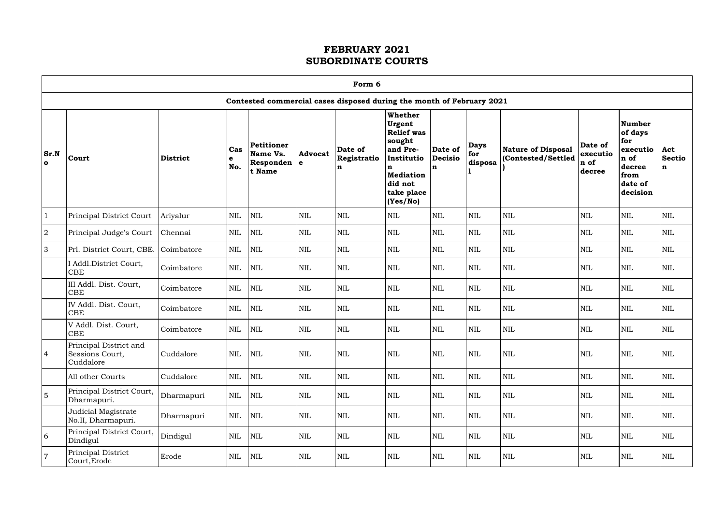| г |  |
|---|--|

|                      | Form 6                                                 |                 |                 |                                               |                       |                                                                       |                                                                                                                                                 |                                |                               |                                         |                                       |                                                                                              |                           |
|----------------------|--------------------------------------------------------|-----------------|-----------------|-----------------------------------------------|-----------------------|-----------------------------------------------------------------------|-------------------------------------------------------------------------------------------------------------------------------------------------|--------------------------------|-------------------------------|-----------------------------------------|---------------------------------------|----------------------------------------------------------------------------------------------|---------------------------|
|                      |                                                        |                 |                 |                                               |                       | Contested commercial cases disposed during the month of February 2021 |                                                                                                                                                 |                                |                               |                                         |                                       |                                                                                              |                           |
| Sr.N<br>$\mathbf{o}$ | Court                                                  | <b>District</b> | Cas<br>e<br>No. | Petitioner<br>Name Vs.<br>Responden<br>t Name | <b>Advocat</b><br>l e | Date of<br>Registratio<br>n                                           | Whether<br><b>Urgent</b><br><b>Relief was</b><br>sought<br>and Pre-<br>Institutio<br>n<br><b>Mediation</b><br>did not<br>take place<br>(Yes/No) | Date of<br><b>Decisio</b><br>n | <b>Days</b><br>for<br>disposa | Nature of Disposal<br>Contested/Settled | Date of<br>executio<br>n of<br>decree | <b>Number</b><br>of days<br>for<br>executio<br>n of<br>decree<br>from<br>date of<br>decision | Act<br><b>Sectio</b><br>n |
|                      | Principal District Court                               | Ariyalur        | <b>NIL</b>      | <b>NIL</b>                                    | $\mbox{NIL}$          | <b>NIL</b>                                                            | <b>NIL</b>                                                                                                                                      | <b>NIL</b>                     | $\mbox{NIL}$                  | <b>NIL</b>                              | <b>NIL</b>                            | <b>NIL</b>                                                                                   | $\mbox{NIL}$              |
| $\sqrt{2}$           | Principal Judge's Court                                | Chennai         | <b>NIL</b>      | $\mbox{NIL}$                                  | $\mbox{NIL}$          | <b>NIL</b>                                                            | <b>NIL</b>                                                                                                                                      | <b>NIL</b>                     | $\mbox{NIL}$                  | <b>NIL</b>                              | <b>NIL</b>                            | <b>NIL</b>                                                                                   | $\mbox{NIL}$              |
| 3                    | Prl. District Court, CBE.                              | Coimbatore      | $\mbox{NIL}$    | <b>NIL</b>                                    | $\mbox{NIL}$          | $\mbox{NIL}$                                                          | <b>NIL</b>                                                                                                                                      | <b>NIL</b>                     | $\mbox{NIL}$                  | <b>NIL</b>                              | <b>NIL</b>                            | <b>NIL</b>                                                                                   | $\mbox{NIL}$              |
|                      | I Addl.District Court,<br><b>CBE</b>                   | Coimbatore      | $\mbox{NIL}$    | <b>NIL</b>                                    | $\mbox{NIL}$          | <b>NIL</b>                                                            | <b>NIL</b>                                                                                                                                      | <b>NIL</b>                     | $\mbox{NIL}$                  | <b>NIL</b>                              | <b>NIL</b>                            | <b>NIL</b>                                                                                   | $\mbox{NIL}$              |
|                      | III Addl. Dist. Court,<br><b>CBE</b>                   | Coimbatore      | <b>NIL</b>      | <b>NIL</b>                                    | <b>NIL</b>            | <b>NIL</b>                                                            | <b>NIL</b>                                                                                                                                      | <b>NIL</b>                     | $\mbox{NIL}$                  | <b>NIL</b>                              | <b>NIL</b>                            | <b>NIL</b>                                                                                   | $\mbox{NIL}$              |
|                      | IV Addl. Dist. Court,<br>CBE                           | Coimbatore      | <b>NIL</b>      | <b>NIL</b>                                    | $\mbox{NIL}$          | <b>NIL</b>                                                            | <b>NIL</b>                                                                                                                                      | <b>NIL</b>                     | $\mbox{NIL}$                  | <b>NIL</b>                              | <b>NIL</b>                            | <b>NIL</b>                                                                                   | <b>NIL</b>                |
|                      | V Addl. Dist. Court,<br><b>CBE</b>                     | Coimbatore      | <b>NIL</b>      | <b>NIL</b>                                    | <b>NIL</b>            | <b>NIL</b>                                                            | <b>NIL</b>                                                                                                                                      | <b>NIL</b>                     | $\mbox{NIL}$                  | <b>NIL</b>                              | <b>NIL</b>                            | <b>NIL</b>                                                                                   | $\mbox{NIL}$              |
| $\overline{4}$       | Principal District and<br>Sessions Court,<br>Cuddalore | Cuddalore       | NIL             | $\overline{\text{NIL}}$                       | NIL                   | NIL                                                                   | NIL                                                                                                                                             | <b>NIL</b>                     | NIL                           | NIL                                     | NIL                                   | NIL                                                                                          | NIL                       |
|                      | All other Courts                                       | Cuddalore       | $\mbox{NIL}$    | NIL                                           | $\mbox{NIL}$          | <b>NIL</b>                                                            | <b>NIL</b>                                                                                                                                      | <b>NIL</b>                     | $\mbox{NIL}$                  | <b>NIL</b>                              | <b>NIL</b>                            | $\mbox{NIL}$                                                                                 | <b>NIL</b>                |
| 5                    | Principal District Court,<br>Dharmapuri.               | Dharmapuri      | <b>NIL</b>      | NIL                                           | <b>NIL</b>            | <b>NIL</b>                                                            | <b>NIL</b>                                                                                                                                      | <b>NIL</b>                     | $\mbox{NIL}$                  | <b>NIL</b>                              | <b>NIL</b>                            | <b>NIL</b>                                                                                   | NIL                       |
|                      | Judicial Magistrate<br>No.II, Dharmapuri.              | Dharmapuri      | <b>NIL</b>      | <b>NIL</b>                                    | <b>NIL</b>            | <b>NIL</b>                                                            | <b>NIL</b>                                                                                                                                      | $\mbox{NIL}$                   | NIL                           | <b>NIL</b>                              | <b>NIL</b>                            | <b>NIL</b>                                                                                   | $\mbox{NIL}$              |
| 6                    | Principal District Court,<br>Dindigul                  | Dindigul        | <b>NIL</b>      | <b>NIL</b>                                    | $\mbox{NIL}$          | <b>NIL</b>                                                            | <b>NIL</b>                                                                                                                                      | $\mbox{NIL}$                   | NIL                           | <b>NIL</b>                              | <b>NIL</b>                            | $\mbox{NIL}$                                                                                 | NIL                       |
|                      | Principal District<br>Court, Erode                     | Erode           | <b>NIL</b>      | NIL                                           | <b>NIL</b>            | <b>NIL</b>                                                            | <b>NIL</b>                                                                                                                                      | $\mbox{NIL}$                   | NIL                           | <b>NIL</b>                              | <b>NIL</b>                            | $\mbox{NIL}$                                                                                 | <b>NIL</b>                |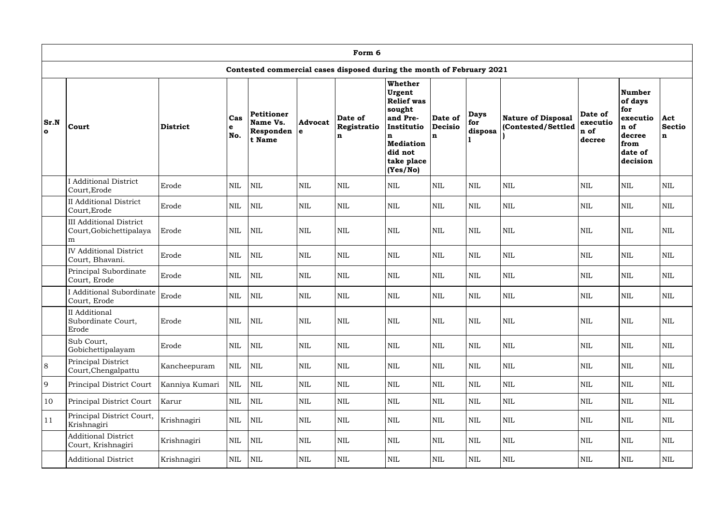|                      | Form 6                                                                 |                 |                 |                                               |                               |                                                                       |                                                                                                                                          |                                |                               |                                                 |                                       |                                                                                              |                                     |
|----------------------|------------------------------------------------------------------------|-----------------|-----------------|-----------------------------------------------|-------------------------------|-----------------------------------------------------------------------|------------------------------------------------------------------------------------------------------------------------------------------|--------------------------------|-------------------------------|-------------------------------------------------|---------------------------------------|----------------------------------------------------------------------------------------------|-------------------------------------|
|                      |                                                                        |                 |                 |                                               |                               | Contested commercial cases disposed during the month of February 2021 |                                                                                                                                          |                                |                               |                                                 |                                       |                                                                                              |                                     |
| Sr.N<br>$\mathbf{o}$ | Court                                                                  | <b>District</b> | Cas<br>e<br>No. | Petitioner<br>Name Vs.<br>Responden<br>t Name | <b>Advocat</b><br>$\mathbf e$ | Date of<br>Registratio<br>n                                           | Whether<br>Urgent<br><b>Relief was</b><br>sought<br>and Pre-<br>Institutio<br>n<br><b>Mediation</b><br>did not<br>take place<br>(Yes/No) | Date of<br><b>Decisio</b><br>n | <b>Days</b><br>for<br>disposa | <b>Nature of Disposal</b><br>(Contested/Settled | Date of<br>executio<br>n of<br>decree | <b>Number</b><br>of days<br>for<br>executio<br>n of<br>decree<br>from<br>date of<br>decision | Act<br><b>Sectio</b><br>$\mathbf n$ |
|                      | <b>I</b> Additional District<br>Court, Erode                           | Erode           | <b>NIL</b>      | <b>NIL</b>                                    | <b>NIL</b>                    | <b>NIL</b>                                                            | <b>NIL</b>                                                                                                                               | <b>NIL</b>                     | <b>NIL</b>                    | <b>NIL</b>                                      | <b>NIL</b>                            | <b>NIL</b>                                                                                   | <b>NIL</b>                          |
|                      | <b>II</b> Additional District<br>Court, Erode                          | Erode           | <b>NIL</b>      | NIL                                           | $\mbox{NIL}$                  | $\mbox{NIL}$                                                          | $\mbox{NIL}$                                                                                                                             | <b>NIL</b>                     | <b>NIL</b>                    | $\mbox{NIL}$                                    | <b>NIL</b>                            | $\mbox{NIL}$                                                                                 | NIL                                 |
|                      | <b>III Additional District</b><br>Court, Gobichettipalaya<br>${\rm m}$ | Erode           | <b>NIL</b>      | <b>NIL</b>                                    | $\mbox{NIL}$                  | <b>NIL</b>                                                            | $\mbox{NIL}$                                                                                                                             | <b>NIL</b>                     | <b>NIL</b>                    | <b>NIL</b>                                      | <b>NIL</b>                            | $\mbox{NIL}$                                                                                 | <b>NIL</b>                          |
|                      | <b>IV</b> Additional District<br>Court, Bhavani.                       | Erode           | NIL             | <b>NIL</b>                                    | <b>NIL</b>                    | NIL                                                                   | <b>NIL</b>                                                                                                                               | <b>NIL</b>                     | <b>NIL</b>                    | <b>NIL</b>                                      | <b>NIL</b>                            | $\mbox{NIL}$                                                                                 | <b>NIL</b>                          |
|                      | Principal Subordinate<br>Court, Erode                                  | Erode           | NIL             | $\mbox{NIL}$                                  | $\mbox{NIL}$                  | $\mbox{NIL}$                                                          | $\mbox{NIL}$                                                                                                                             | <b>NIL</b>                     | <b>NIL</b>                    | $\mbox{NIL}$                                    | <b>NIL</b>                            | $\mbox{NIL}$                                                                                 | $\mbox{NIL}$                        |
|                      | <b>I</b> Additional Subordinate<br>Court, Erode                        | Erode           | <b>NIL</b>      | <b>NIL</b>                                    | <b>NIL</b>                    | NIL                                                                   | <b>NIL</b>                                                                                                                               | <b>NIL</b>                     | <b>NIL</b>                    | $\mbox{NIL}$                                    | <b>NIL</b>                            | <b>NIL</b>                                                                                   | <b>NIL</b>                          |
|                      | II Additional<br>Subordinate Court,<br>Erode                           | Erode           | $\text{NIL}$    | NIL                                           | <b>NIL</b>                    | <b>NIL</b>                                                            | <b>NIL</b>                                                                                                                               | <b>NIL</b>                     | <b>NIL</b>                    | <b>NIL</b>                                      | <b>NIL</b>                            | <b>NIL</b>                                                                                   | <b>NIL</b>                          |
|                      | Sub Court,<br>Gobichettipalayam                                        | Erode           | $\mbox{NIL}$    | <b>NIL</b>                                    | NIL                           | $\mbox{NIL}$                                                          | NIL                                                                                                                                      | $\mbox{NIL}$                   | <b>NIL</b>                    | $\mbox{NIL}$                                    | $\mbox{NIL}$                          | $\mbox{NIL}$                                                                                 | NIL                                 |
| 8                    | Principal District<br>Court, Chengalpattu                              | Kancheepuram    | $\mbox{NIL}$    | NIL                                           | <b>NIL</b>                    | $\mbox{NIL}$                                                          | NIL                                                                                                                                      | $\mbox{NIL}$                   | <b>NIL</b>                    | <b>NIL</b>                                      | <b>NIL</b>                            | $\mbox{NIL}$                                                                                 | NIL                                 |
| $\overline{9}$       | Principal District Court                                               | Kanniya Kumari  | $\mbox{NIL}$    | <b>NIL</b>                                    | $\mbox{NIL}$                  | $\mbox{NIL}$                                                          | <b>NIL</b>                                                                                                                               | $\mbox{NIL}$                   | <b>NIL</b>                    | <b>NIL</b>                                      | <b>NIL</b>                            | $\mbox{NIL}$                                                                                 | <b>NIL</b>                          |
| 10                   | Principal District Court                                               | Karur           | $\mbox{NIL}$    | <b>NIL</b>                                    | <b>NIL</b>                    | $\mbox{NIL}$                                                          | NIL                                                                                                                                      | $\mbox{NIL}$                   | <b>NIL</b>                    | <b>NIL</b>                                      | <b>NIL</b>                            | $\mbox{NIL}$                                                                                 | <b>NIL</b>                          |
| 11                   | Principal District Court,<br>Krishnagiri                               | Krishnagiri     | $\mbox{NIL}$    | <b>NIL</b>                                    | NIL                           | NIL                                                                   | NIL                                                                                                                                      | $\mbox{NIL}$                   | <b>NIL</b>                    | <b>NIL</b>                                      | $\mbox{NIL}$                          | $\mbox{NIL}$                                                                                 | NIL                                 |
|                      | <b>Additional District</b><br>Court, Krishnagiri                       | Krishnagiri     | $\mbox{NIL}$    | <b>NIL</b>                                    | <b>NIL</b>                    | $\mbox{NIL}$                                                          | <b>NIL</b>                                                                                                                               | $\mbox{NIL}$                   | $\mbox{NIL}$                  | $\mbox{NIL}$                                    | <b>NIL</b>                            | $\mbox{NIL}$                                                                                 | <b>NIL</b>                          |
|                      | <b>Additional District</b>                                             | Krishnagiri     | $\mbox{NIL}$    | NIL                                           | NIL                           | $\mbox{NIL}$                                                          | NIL                                                                                                                                      | $\mbox{NIL}$                   | NIL                           | NIL                                             | <b>NIL</b>                            | NIL                                                                                          | NIL                                 |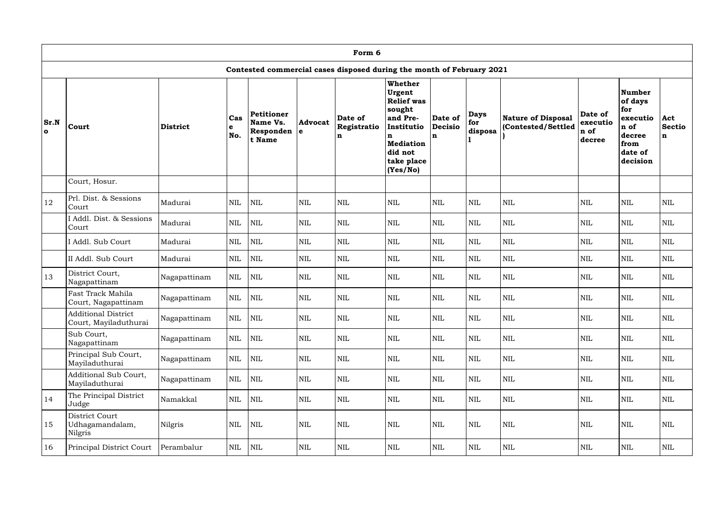|                             | Form 6                                              |                 |                   |                                               |                       |                                                                       |                                                                                                                                                 |                                          |                               |                                                 |                                       |                                                                                               |                           |
|-----------------------------|-----------------------------------------------------|-----------------|-------------------|-----------------------------------------------|-----------------------|-----------------------------------------------------------------------|-------------------------------------------------------------------------------------------------------------------------------------------------|------------------------------------------|-------------------------------|-------------------------------------------------|---------------------------------------|-----------------------------------------------------------------------------------------------|---------------------------|
|                             |                                                     |                 |                   |                                               |                       | Contested commercial cases disposed during the month of February 2021 |                                                                                                                                                 |                                          |                               |                                                 |                                       |                                                                                               |                           |
| <b>Sr.N</b><br>$\mathbf{o}$ | Court                                               | <b>District</b> | Cas<br>l e<br>No. | Petitioner<br>Name Vs.<br>Responden<br>t Name | <b>Advocat</b><br>l e | Date of<br>Registratio<br>n                                           | <b>Whether</b><br>Urgent<br><b>Relief</b> was<br>sought<br>and Pre-<br>Institutio<br>n<br><b>Mediation</b><br>did not<br>take place<br>(Yes/No) | Date of<br><b>Decisio</b><br>$\mathbf n$ | <b>Days</b><br>for<br>disposa | <b>Nature of Disposal</b><br>(Contested/Settled | Date of<br>executio<br>n of<br>decree | <b>Number</b><br>of days<br>for<br>executio<br>'n of<br>decree<br>from<br>date of<br>decision | Act<br><b>Sectio</b><br>n |
|                             | Court, Hosur.                                       |                 |                   |                                               |                       |                                                                       |                                                                                                                                                 |                                          |                               |                                                 |                                       |                                                                                               |                           |
| 12                          | Prl. Dist. & Sessions<br>Court                      | Madurai         | <b>NIL</b>        | $\mbox{NIL}$                                  | NIL                   | <b>NIL</b>                                                            | <b>NIL</b>                                                                                                                                      | <b>NIL</b>                               | <b>NIL</b>                    | <b>NIL</b>                                      | <b>NIL</b>                            | <b>NIL</b>                                                                                    | <b>NIL</b>                |
|                             | I Addl. Dist. & Sessions<br>Court                   | Madurai         | <b>NIL</b>        | <b>NIL</b>                                    | <b>NIL</b>            | $\mbox{NIL}$                                                          | <b>NIL</b>                                                                                                                                      | <b>NIL</b>                               | <b>NIL</b>                    | $\mbox{NIL}$                                    | <b>NIL</b>                            | $\mbox{NIL}$                                                                                  | <b>NIL</b>                |
|                             | I Addl. Sub Court                                   | Madurai         | $\mbox{NIL}$      | <b>NIL</b>                                    | $\mbox{NIL}$          | <b>NIL</b>                                                            | $\mbox{NIL}$                                                                                                                                    | <b>NIL</b>                               | <b>NIL</b>                    | $\mbox{NIL}$                                    | <b>NIL</b>                            | $\mbox{NIL}$                                                                                  | $\mbox{NIL}$              |
|                             | II Addl. Sub Court                                  | Madurai         | $\mbox{NIL}$      | <b>NIL</b>                                    | $\mbox{NIL}$          | <b>NIL</b>                                                            | <b>NIL</b>                                                                                                                                      | <b>NIL</b>                               | $\mbox{NIL}$                  | $\mbox{NIL}$                                    | <b>NIL</b>                            | $\mbox{NIL}$                                                                                  | <b>NIL</b>                |
| 13                          | District Court,<br>Nagapattinam                     | Nagapattinam    | <b>NIL</b>        | $\mbox{NIL}$                                  | <b>NIL</b>            | <b>NIL</b>                                                            | <b>NIL</b>                                                                                                                                      | <b>NIL</b>                               | <b>NIL</b>                    | $\mbox{NIL}$                                    | <b>NIL</b>                            | <b>NIL</b>                                                                                    | $\mbox{NIL}$              |
|                             | Fast Track Mahila<br>Court, Nagapattinam            | Nagapattinam    | <b>NIL</b>        | <b>NIL</b>                                    | <b>NIL</b>            | <b>NIL</b>                                                            | <b>NIL</b>                                                                                                                                      | <b>NIL</b>                               | <b>NIL</b>                    | <b>NIL</b>                                      | <b>NIL</b>                            | <b>NIL</b>                                                                                    | <b>NIL</b>                |
|                             | <b>Additional District</b><br>Court, Mayiladuthurai | Nagapattinam    | $\mbox{NIL}$      | NIL                                           | $\mbox{NIL}$          | <b>NIL</b>                                                            | $\mbox{NIL}$                                                                                                                                    | $\mbox{NIL}$                             | $\mbox{NIL}$                  | $\mbox{NIL}$                                    | <b>NIL</b>                            | $\mbox{NIL}$                                                                                  | $\mbox{NIL}$              |
|                             | Sub Court,<br>Nagapattinam                          | Nagapattinam    | NIL               | NIL                                           | $\mbox{NIL}$          | NIL                                                                   | <b>NIL</b>                                                                                                                                      | $\mbox{NIL}$                             | $\mbox{NIL}$                  | <b>NIL</b>                                      | $\mbox{NIL}$                          | $\mbox{NIL}$                                                                                  | NIL                       |
|                             | Principal Sub Court,<br>Mayiladuthurai              | Nagapattinam    | <b>NIL</b>        | NIL                                           | $\mbox{NIL}$          | <b>NIL</b>                                                            | <b>NIL</b>                                                                                                                                      | $\mbox{NIL}$                             | $\mbox{NIL}$                  | <b>NIL</b>                                      | $\mbox{NIL}$                          | $\mbox{NIL}$                                                                                  | NIL                       |
|                             | Additional Sub Court,<br>Mayiladuthurai             | Nagapattinam    | $\mbox{NIL}$      | NIL                                           | $\mbox{NIL}$          | <b>NIL</b>                                                            | NIL                                                                                                                                             | $\mbox{NIL}$                             | $\mbox{NIL}$                  | <b>NIL</b>                                      | $\mbox{NIL}$                          | $\mbox{NIL}$                                                                                  | NIL                       |
| 14                          | The Principal District<br>Judge                     | Namakkal        | <b>NIL</b>        | NIL                                           | $\mbox{NIL}$          | NIL                                                                   | <b>NIL</b>                                                                                                                                      | $\mbox{NIL}$                             | <b>NIL</b>                    | <b>NIL</b>                                      | $\mbox{NIL}$                          | <b>NIL</b>                                                                                    | NIL                       |
| 15                          | District Court<br>Udhagamandalam,<br>Nilgris        | Nilgris         | <b>NIL</b>        | <b>NIL</b>                                    | $\mbox{NIL}$          | <b>NIL</b>                                                            | NIL                                                                                                                                             | <b>NIL</b>                               | $\mbox{NIL}$                  | <b>NIL</b>                                      | <b>NIL</b>                            | $\mbox{NIL}$                                                                                  | NIL                       |
| 16                          | Principal District Court                            | Perambalur      | <b>NIL</b>        | $\mbox{NIL}$                                  | NIL                   | NIL                                                                   | NIL                                                                                                                                             | $\mbox{NIL}$                             | $\mbox{NIL}$                  | $\mbox{NIL}$                                    | $\mbox{NIL}$                          | $\mbox{NIL}$                                                                                  | NIL                       |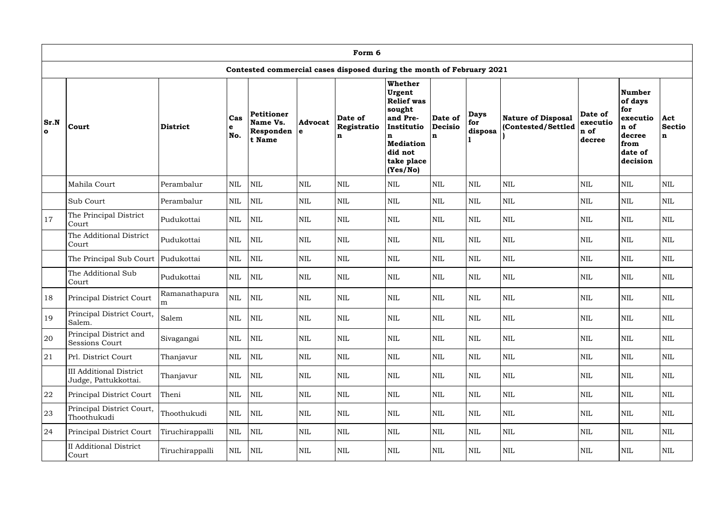|                      | Form 6                                                 |                    |                 |                                                      |                     |                                                                       |                                                                                                                                                 |                                |                               |                                          |                                       |                                                                                              |                           |
|----------------------|--------------------------------------------------------|--------------------|-----------------|------------------------------------------------------|---------------------|-----------------------------------------------------------------------|-------------------------------------------------------------------------------------------------------------------------------------------------|--------------------------------|-------------------------------|------------------------------------------|---------------------------------------|----------------------------------------------------------------------------------------------|---------------------------|
|                      |                                                        |                    |                 |                                                      |                     | Contested commercial cases disposed during the month of February 2021 |                                                                                                                                                 |                                |                               |                                          |                                       |                                                                                              |                           |
| Sr.N<br>$\mathbf{o}$ | Court                                                  | District           | Cas<br>e<br>No. | <b>Petitioner</b><br>Name Vs.<br>Responden<br>t Name | <b>Advocat</b><br>e | Date of<br>Registratio<br>n                                           | <b>Whether</b><br>Urgent<br><b>Relief</b> was<br>sought<br>and Pre-<br>Institutio<br>n<br><b>Mediation</b><br>did not<br>take place<br>(Yes/No) | Date of<br><b>Decisio</b><br>n | <b>Days</b><br>for<br>disposa | Nature of Disposal<br>(Contested/Settled | Date of<br>executio<br>n of<br>decree | <b>Number</b><br>of days<br>for<br>executio<br>n of<br>decree<br>from<br>date of<br>decision | Act<br><b>Sectio</b><br>n |
|                      | Mahila Court                                           | Perambalur         | $\text{NIL}$    | $\mbox{NIL}$                                         | $\mbox{NIL}$        | $\mbox{NIL}$                                                          | $\mbox{NIL}$                                                                                                                                    | <b>NIL</b>                     | <b>NIL</b>                    | $\mbox{NIL}$                             | <b>NIL</b>                            | $\mbox{NIL}$                                                                                 | $\mbox{NIL}$              |
|                      | Sub Court                                              | Perambalur         | $\text{NIL}$    | $\mbox{NIL}$                                         | $\mbox{NIL}$        | $\mbox{NIL}$                                                          | $\mbox{NIL}$                                                                                                                                    | <b>NIL</b>                     | <b>NIL</b>                    | $\mbox{NIL}$                             | <b>NIL</b>                            | $\mbox{NIL}$                                                                                 | $\mbox{NIL}$              |
| 17                   | The Principal District<br>Court                        | Pudukottai         | <b>NIL</b>      | $\mbox{NIL}$                                         | $\mbox{NIL}$        | $\mbox{NIL}$                                                          | <b>NIL</b>                                                                                                                                      | <b>NIL</b>                     | <b>NIL</b>                    | $\mbox{NIL}$                             | <b>NIL</b>                            | $\mbox{NIL}$                                                                                 | $\mbox{NIL}$              |
|                      | The Additional District<br>Court                       | Pudukottai         | <b>NIL</b>      | $\mbox{NIL}$                                         | $\mbox{NIL}$        | <b>NIL</b>                                                            | $\mbox{NIL}$                                                                                                                                    | <b>NIL</b>                     | $\mbox{NIL}$                  | $\mbox{NIL}$                             | <b>NIL</b>                            | $\mbox{NIL}$                                                                                 | $\mbox{NIL}$              |
|                      | The Principal Sub Court   Pudukottai                   |                    | <b>NIL</b>      | <b>NIL</b>                                           | NIL                 | $\mbox{NIL}$                                                          | <b>NIL</b>                                                                                                                                      | <b>NIL</b>                     | <b>NIL</b>                    | $\mbox{NIL}$                             | <b>NIL</b>                            | $\mbox{NIL}$                                                                                 | <b>NIL</b>                |
|                      | The Additional Sub<br>Court                            | Pudukottai         | <b>NIL</b>      | $\mbox{NIL}$                                         | $\mbox{NIL}$        | $\mbox{NIL}$                                                          | <b>NIL</b>                                                                                                                                      | <b>NIL</b>                     | <b>NIL</b>                    | $\mbox{NIL}$                             | <b>NIL</b>                            | $\mbox{NIL}$                                                                                 | $\mbox{NIL}$              |
| 18                   | Principal District Court                               | Ramanathapura<br>m | <b>NIL</b>      | $\mbox{NIL}$                                         | <b>NIL</b>          | $\mbox{NIL}$                                                          | $\mbox{NIL}$                                                                                                                                    | $\mbox{NIL}$                   | <b>NIL</b>                    | $\mbox{NIL}$                             | <b>NIL</b>                            | <b>NIL</b>                                                                                   | <b>NIL</b>                |
| 19                   | Principal District Court,<br>Salem.                    | Salem              | $\mbox{NIL}$    | NIL                                                  | $\mbox{NIL}$        | $\mbox{NIL}$                                                          | $\mbox{NIL}$                                                                                                                                    | <b>NIL</b>                     | $\mbox{NIL}$                  | <b>NIL</b>                               | $\mbox{NIL}$                          | $\mbox{NIL}$                                                                                 | <b>NIL</b>                |
| 20                   | Principal District and<br>Sessions Court               | Sivagangai         | $\mbox{NIL}$    | NIL                                                  | $\mbox{NIL}$        | NIL                                                                   | NIL                                                                                                                                             | $\mbox{NIL}$                   | <b>NIL</b>                    | <b>NIL</b>                               | <b>NIL</b>                            | <b>NIL</b>                                                                                   | $\mbox{NIL}$              |
| 21                   | Prl. District Court                                    | Thanjavur          | $\mbox{NIL}$    | <b>NIL</b>                                           | $\mbox{NIL}$        | <b>NIL</b>                                                            | NIL                                                                                                                                             | $\mbox{NIL}$                   | $\mbox{NIL}$                  | <b>NIL</b>                               | $\mbox{NIL}$                          | $\mbox{NIL}$                                                                                 | <b>NIL</b>                |
|                      | <b>III Additional District</b><br>Judge, Pattukkottai. | Thanjavur          | $\mbox{NIL}$    | <b>NIL</b>                                           | $\mbox{NIL}$        | <b>NIL</b>                                                            | NIL                                                                                                                                             | $\mbox{NIL}$                   | <b>NIL</b>                    | <b>NIL</b>                               | <b>NIL</b>                            | $\mbox{NIL}$                                                                                 | NIL                       |
| 22                   | Principal District Court                               | Theni              | <b>NIL</b>      | NIL                                                  | $\text{NIL}$        | NIL                                                                   | NIL                                                                                                                                             | $\mbox{NIL}$                   | <b>NIL</b>                    | <b>NIL</b>                               | <b>NIL</b>                            | $\mbox{NIL}$                                                                                 | <b>NIL</b>                |
| 23                   | Principal District Court,<br>Thoothukudi               | Thoothukudi        | $\mbox{NIL}$    | NIL                                                  | $\text{NIL}$        | <b>NIL</b>                                                            | NIL                                                                                                                                             | $\mbox{NIL}$                   | <b>NIL</b>                    | <b>NIL</b>                               | $\mbox{NIL}$                          | $\mbox{NIL}$                                                                                 | NIL                       |
| 24                   | Principal District Court                               | Tiruchirappalli    | $\mbox{NIL}$    | NIL                                                  | $\mbox{NIL}$        | <b>NIL</b>                                                            | NIL                                                                                                                                             | $\mbox{NIL}$                   | <b>NIL</b>                    | <b>NIL</b>                               | $\mbox{NIL}$                          | $\mbox{NIL}$                                                                                 | NIL                       |
|                      | <b>II</b> Additional District<br>Court                 | Tiruchirappalli    | $\mbox{NIL}$    | NIL                                                  | $\text{NIL}$        | <b>NIL</b>                                                            | NIL                                                                                                                                             | $\mbox{NIL}$                   | <b>NIL</b>                    | <b>NIL</b>                               | $\mbox{NIL}$                          | <b>NIL</b>                                                                                   | NIL                       |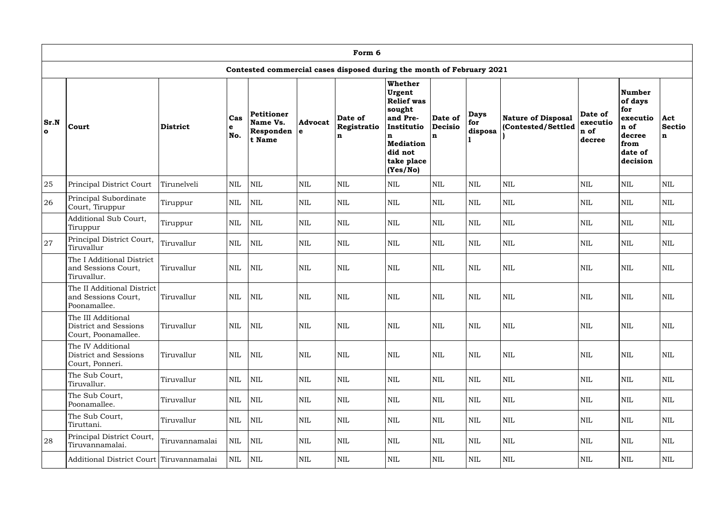|                      | Form 6                                                                |                |                   |                                               |                       |                             |                                                                                                                                                 |                                          |                               |                                          |                                       |                                                                                              |                           |
|----------------------|-----------------------------------------------------------------------|----------------|-------------------|-----------------------------------------------|-----------------------|-----------------------------|-------------------------------------------------------------------------------------------------------------------------------------------------|------------------------------------------|-------------------------------|------------------------------------------|---------------------------------------|----------------------------------------------------------------------------------------------|---------------------------|
|                      | Contested commercial cases disposed during the month of February 2021 |                |                   |                                               |                       |                             |                                                                                                                                                 |                                          |                               |                                          |                                       |                                                                                              |                           |
| Sr.N<br>$\mathbf{o}$ | Court                                                                 | District       | Cas<br>l e<br>No. | Petitioner<br>Name Vs.<br>Responden<br>t Name | <b>Advocat</b><br>l e | Date of<br>Registratio<br>n | <b>Whether</b><br>Urgent<br><b>Relief</b> was<br>sought<br>and Pre-<br>Institutio<br>n<br><b>Mediation</b><br>did not<br>take place<br>(Yes/No) | Date of<br><b>Decisio</b><br>$\mathbf n$ | <b>Days</b><br>for<br>disposa | Nature of Disposal<br>(Contested/Settled | Date of<br>executio<br>n of<br>decree | <b>Number</b><br>of days<br>for<br>executio<br>n of<br>decree<br>from<br>date of<br>decision | Act<br><b>Sectio</b><br>n |
| 25                   | Principal District Court                                              | Tirunelveli    | <b>NIL</b>        | <b>NIL</b>                                    | NIL                   | <b>NIL</b>                  | <b>NIL</b>                                                                                                                                      | <b>NIL</b>                               | <b>NIL</b>                    | $\mbox{NIL}$                             | <b>NIL</b>                            | <b>NIL</b>                                                                                   | <b>NIL</b>                |
| 26                   | Principal Subordinate<br>Court, Tiruppur                              | Tiruppur       | <b>NIL</b>        | <b>NIL</b>                                    | $\mbox{NIL}$          | <b>NIL</b>                  | <b>NIL</b>                                                                                                                                      | <b>NIL</b>                               | $\mbox{NIL}$                  | $\mbox{NIL}$                             | <b>NIL</b>                            | <b>NIL</b>                                                                                   | <b>NIL</b>                |
|                      | Additional Sub Court,<br>Tiruppur                                     | Tiruppur       | <b>NIL</b>        | $\mbox{NIL}$                                  | <b>NIL</b>            | <b>NIL</b>                  | <b>NIL</b>                                                                                                                                      | <b>NIL</b>                               | <b>NIL</b>                    | <b>NIL</b>                               | <b>NIL</b>                            | $\mbox{NIL}$                                                                                 | $\mbox{NIL}$              |
| 27                   | Principal District Court,<br>Tiruvallur                               | Tiruvallur     | <b>NIL</b>        | <b>NIL</b>                                    | <b>NIL</b>            | <b>NIL</b>                  | <b>NIL</b>                                                                                                                                      | <b>NIL</b>                               | <b>NIL</b>                    | <b>NIL</b>                               | <b>NIL</b>                            | <b>NIL</b>                                                                                   | <b>NIL</b>                |
|                      | The I Additional District<br>and Sessions Court,<br>Tiruvallur.       | Tiruvallur     | <b>NIL</b>        | <b>NIL</b>                                    | <b>NIL</b>            | $\mbox{NIL}$                | <b>NIL</b>                                                                                                                                      | <b>NIL</b>                               | <b>NIL</b>                    | <b>NIL</b>                               | <b>NIL</b>                            | $\mbox{NIL}$                                                                                 | $\mbox{NIL}$              |
|                      | The II Additional District<br>and Sessions Court,<br>Poonamallee.     | Tiruvallur     | <b>NIL</b>        | <b>NIL</b>                                    | <b>NIL</b>            | $\mbox{NIL}$                | <b>NIL</b>                                                                                                                                      | <b>NIL</b>                               | <b>NIL</b>                    | <b>NIL</b>                               | <b>NIL</b>                            | $\mbox{NIL}$                                                                                 | $\mbox{NIL}$              |
|                      | The III Additional<br>District and Sessions<br>Court, Poonamallee.    | Tiruvallur     | <b>NIL</b>        | <b>NIL</b>                                    | $\mbox{NIL}$          | <b>NIL</b>                  | $\mbox{NIL}$                                                                                                                                    | $\mbox{NIL}$                             | <b>NIL</b>                    | <b>NIL</b>                               | <b>NIL</b>                            | $\mbox{NIL}$                                                                                 | $\mbox{NIL}$              |
|                      | The IV Additional<br>District and Sessions<br>Court, Ponneri.         | Tiruvallur     | <b>NIL</b>        | <b>NIL</b>                                    | <b>NIL</b>            | <b>NIL</b>                  | <b>NIL</b>                                                                                                                                      | <b>NIL</b>                               | <b>NIL</b>                    | <b>NIL</b>                               | <b>NIL</b>                            | <b>NIL</b>                                                                                   | <b>NIL</b>                |
|                      | The Sub Court,<br>Tiruvallur.                                         | Tiruvallur     | NIL               | NIL                                           | <b>NIL</b>            | <b>NIL</b>                  | <b>NIL</b>                                                                                                                                      | $\mbox{NIL}$                             | $\mbox{NIL}$                  | <b>NIL</b>                               | $\mbox{NIL}$                          | $\mbox{NIL}$                                                                                 | <b>NIL</b>                |
|                      | The Sub Court,<br>Poonamallee.                                        | Tiruvallur     | <b>NIL</b>        | <b>NIL</b>                                    | NIL                   | NIL                         | <b>NIL</b>                                                                                                                                      | $\mbox{NIL}$                             | <b>NIL</b>                    | <b>NIL</b>                               | <b>NIL</b>                            | <b>NIL</b>                                                                                   | NIL                       |
|                      | The Sub Court,<br>Tiruttani.                                          | Tiruvallur     | <b>NIL</b>        | NIL                                           | NIL                   | <b>NIL</b>                  | <b>NIL</b>                                                                                                                                      | <b>NIL</b>                               | <b>NIL</b>                    | <b>NIL</b>                               | <b>NIL</b>                            | <b>NIL</b>                                                                                   | NIL                       |
| 28                   | Principal District Court,<br>Tiruvannamalai.                          | Tiruvannamalai | <b>NIL</b>        | NIL                                           | NIL                   | <b>NIL</b>                  | <b>NIL</b>                                                                                                                                      | <b>NIL</b>                               | <b>NIL</b>                    | <b>NIL</b>                               | <b>NIL</b>                            | <b>NIL</b>                                                                                   | NIL                       |
|                      | Additional District Court Tiruvannamalai                              |                | <b>NIL</b>        | NIL                                           | $\mbox{NIL}$          | NIL                         | NIL                                                                                                                                             | $\mbox{NIL}$                             | NIL                           | <b>NIL</b>                               | <b>NIL</b>                            | <b>NIL</b>                                                                                   | NIL                       |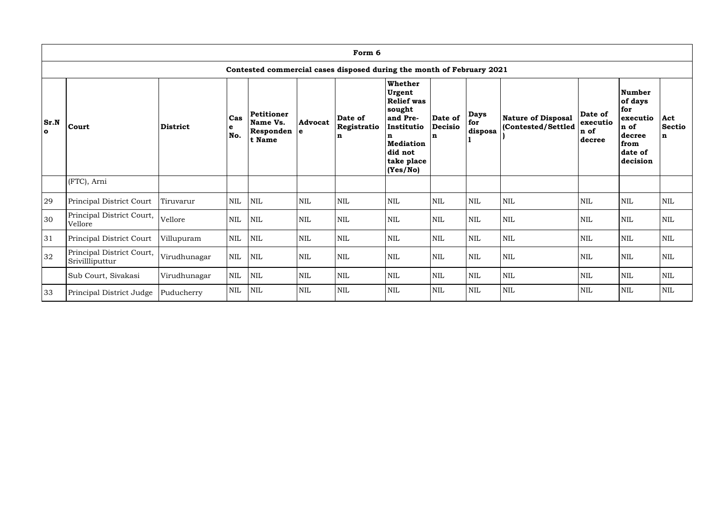|                      | Form 6                                                                |              |                   |                                               |                               |                                       |                                                                                                                                                 |                                |                                 |                                                 |                                       |                                                                                       |                                     |
|----------------------|-----------------------------------------------------------------------|--------------|-------------------|-----------------------------------------------|-------------------------------|---------------------------------------|-------------------------------------------------------------------------------------------------------------------------------------------------|--------------------------------|---------------------------------|-------------------------------------------------|---------------------------------------|---------------------------------------------------------------------------------------|-------------------------------------|
|                      | Contested commercial cases disposed during the month of February 2021 |              |                   |                                               |                               |                                       |                                                                                                                                                 |                                |                                 |                                                 |                                       |                                                                                       |                                     |
| Sr.N<br>$\mathbf{o}$ | Court                                                                 | District     | Cas<br>l e<br>No. | Petitioner<br>Name Vs.<br>Responden<br>t Name | <b>Advocat</b><br>$\mathbf e$ | Date of<br>Registratio<br>$\mathbf n$ | <b>Whether</b><br>Urgent<br><b>Relief was</b><br>sought<br>and Pre-<br>Institutio<br>n<br><b>Mediation</b><br>did not<br>take place<br>(Yes/No) | Date of<br><b>Decisio</b><br>n | <b>Days</b><br>  for<br>disposa | <b>Nature of Disposal</b><br>(Contested/Settled | Date of<br>executio<br>n of<br>decree | Number<br>of days<br>for<br>executio<br>n of<br>decree<br>from<br>date of<br>decision | Act<br><b>Sectio</b><br>$\mathbf n$ |
|                      | (FTC), Arni                                                           |              |                   |                                               |                               |                                       |                                                                                                                                                 |                                |                                 |                                                 |                                       |                                                                                       |                                     |
| 29                   | Principal District Court                                              | Tiruvarur    | <b>NIL</b>        | <b>NIL</b>                                    | $\mbox{NIL}$                  | <b>NIL</b>                            | $\mbox{NIL}$                                                                                                                                    | <b>NIL</b>                     | <b>NIL</b>                      | <b>NIL</b>                                      | <b>NIL</b>                            | <b>NIL</b>                                                                            | <b>NIL</b>                          |
| 30                   | Principal District Court,<br>Vellore                                  | Vellore      | <b>NIL</b>        | <b>NIL</b>                                    | $\mbox{NIL}$                  | $\mbox{NIL}$                          | $\mbox{NIL}$                                                                                                                                    | <b>NIL</b>                     | $\mbox{NIL}$                    | <b>NIL</b>                                      | <b>NIL</b>                            | $\mbox{NIL}$                                                                          | <b>NIL</b>                          |
| 31                   | Principal District Court                                              | Villupuram   | <b>NIL</b>        | <b>NIL</b>                                    | <b>NIL</b>                    | <b>NIL</b>                            | <b>NIL</b>                                                                                                                                      | <b>NIL</b>                     | <b>NIL</b>                      | <b>NIL</b>                                      | <b>NIL</b>                            | <b>NIL</b>                                                                            | <b>NIL</b>                          |
| 32                   | Principal District Court,<br>Srivillliputtur                          | Virudhunagar | <b>NIL</b>        | <b>NIL</b>                                    | $\mbox{NIL}$                  | <b>NIL</b>                            | $\mbox{NIL}$                                                                                                                                    | <b>NIL</b>                     | <b>NIL</b>                      | <b>NIL</b>                                      | <b>NIL</b>                            | $\mbox{NIL}$                                                                          | <b>NIL</b>                          |
|                      | Sub Court, Sivakasi                                                   | Virudhunagar | <b>NIL</b>        | <b>NIL</b>                                    | NIL                           | <b>NIL</b>                            | <b>NIL</b>                                                                                                                                      | <b>NIL</b>                     | <b>NIL</b>                      | <b>NIL</b>                                      | <b>NIL</b>                            | <b>NIL</b>                                                                            | <b>NIL</b>                          |
| 33                   | Principal District Judge                                              | Puducherry   | <b>NIL</b>        | $\mbox{NIL}$                                  | NIL                           | $\mbox{NIL}$                          | <b>NIL</b>                                                                                                                                      | <b>NIL</b>                     | $\mbox{NIL}$                    | <b>NIL</b>                                      | <b>NIL</b>                            | $\mbox{NIL}$                                                                          | <b>NIL</b>                          |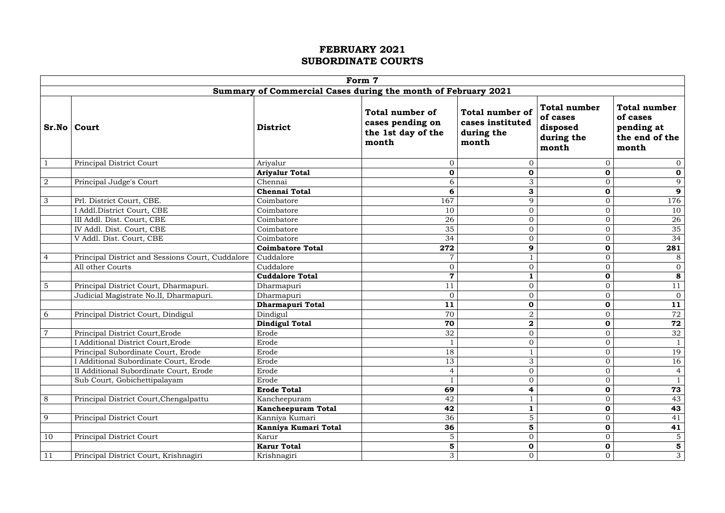|                 | Form 7                                                        |                                                                                              |                         |                                                                   |                                                                    |                                                                          |  |  |
|-----------------|---------------------------------------------------------------|----------------------------------------------------------------------------------------------|-------------------------|-------------------------------------------------------------------|--------------------------------------------------------------------|--------------------------------------------------------------------------|--|--|
|                 | Summary of Commercial Cases during the month of February 2021 |                                                                                              |                         |                                                                   |                                                                    |                                                                          |  |  |
|                 | Sr.No   Court                                                 | <b>Total number of</b><br>cases pending on<br><b>District</b><br>the 1st day of the<br>month |                         | <b>Total number of</b><br>cases instituted<br>during the<br>month | <b>Total number</b><br>of cases<br>disposed<br>during the<br>month | <b>Total number</b><br>of cases<br>pending at<br>the end of the<br>month |  |  |
| $\mathbf{1}$    | Principal District Court                                      | Ariyalur                                                                                     | $\overline{0}$          | $\overline{0}$                                                    | $\overline{0}$                                                     | $\overline{0}$                                                           |  |  |
|                 |                                                               | <b>Ariyalur Total</b>                                                                        | $\mathbf 0$             | 0                                                                 | $\mathbf 0$                                                        | $\mathbf 0$                                                              |  |  |
| $\overline{2}$  | Principal Judge's Court                                       | Chennai                                                                                      | 6                       | 3                                                                 | $\overline{O}$                                                     | 9                                                                        |  |  |
|                 |                                                               | <b>Chennai Total</b>                                                                         | 6                       | 3                                                                 | $\mathbf 0$                                                        | $\boldsymbol{9}$                                                         |  |  |
| $\mathfrak{Z}$  | Prl. District Court, CBE.                                     | Coimbatore                                                                                   | 167                     | 9                                                                 | $\overline{0}$                                                     | 176                                                                      |  |  |
|                 | I Addl.District Court, CBE                                    | Coimbatore                                                                                   | 10                      | $\overline{0}$                                                    | $\overline{O}$                                                     | 10                                                                       |  |  |
|                 | III Addl. Dist. Court, CBE                                    | Coimbatore                                                                                   | 26                      | $\overline{0}$                                                    | $\overline{0}$                                                     | 26                                                                       |  |  |
|                 | IV Addl. Dist. Court, CBE                                     | Coimbatore                                                                                   | 35                      | $\overline{0}$                                                    | $\overline{O}$                                                     | 35                                                                       |  |  |
|                 | V Addl. Dist. Court, CBE                                      | Coimbatore                                                                                   | 34                      | $\overline{0}$                                                    | $\overline{0}$                                                     | 34                                                                       |  |  |
|                 |                                                               | <b>Coimbatore Total</b>                                                                      | 272                     | 9                                                                 | $\mathbf 0$                                                        | 281                                                                      |  |  |
| $\overline{4}$  | Principal District and Sessions Court, Cuddalore              | Cuddalore                                                                                    | $\overline{7}$          |                                                                   | $\overline{0}$                                                     | 8                                                                        |  |  |
|                 | All other Courts                                              | Cuddalore                                                                                    | $\overline{0}$          | $\overline{0}$                                                    | $\overline{O}$                                                     | $\overline{0}$                                                           |  |  |
|                 |                                                               | <b>Cuddalore Total</b>                                                                       | $\overline{\mathbf{7}}$ |                                                                   | $\mathbf 0$                                                        | 8                                                                        |  |  |
| $5\overline{)}$ | Principal District Court, Dharmapuri.                         | Dharmapuri                                                                                   | 11                      | $\overline{0}$                                                    | $\overline{0}$                                                     | 11                                                                       |  |  |
|                 | Judicial Magistrate No.II, Dharmapuri.                        | Dharmapuri                                                                                   | $\overline{0}$          | $\overline{0}$                                                    | $\overline{O}$                                                     | $\overline{0}$                                                           |  |  |
|                 |                                                               | Dharmapuri Total                                                                             | 11                      | 0                                                                 | $\mathbf 0$                                                        | 11                                                                       |  |  |
| 6               | Principal District Court, Dindigul                            | Dindigul                                                                                     | 70                      | $\overline{2}$                                                    | $\overline{O}$                                                     | 72                                                                       |  |  |
|                 |                                                               | <b>Dindigul Total</b>                                                                        | 70                      | $\overline{\mathbf{2}}$                                           | $\mathbf 0$                                                        | $\overline{72}$                                                          |  |  |
| $\overline{7}$  | Principal District Court, Erode                               | Erode                                                                                        | 32                      | $\overline{0}$                                                    | $\overline{O}$                                                     | 32                                                                       |  |  |
|                 | I Additional District Court, Erode                            | Erode                                                                                        |                         | $\overline{0}$                                                    | $\overline{0}$                                                     | $\mathbf{1}$                                                             |  |  |
|                 | Principal Subordinate Court, Erode                            | Erode                                                                                        | 18                      |                                                                   | $\boldsymbol{0}$                                                   | 19                                                                       |  |  |
|                 | I Additional Subordinate Court, Erode                         | Erode                                                                                        | 13                      | 3                                                                 | $\overline{0}$                                                     | 16                                                                       |  |  |
|                 | II Additional Subordinate Court, Erode                        | Erode                                                                                        | $\overline{4}$          | $\boldsymbol{0}$                                                  | $\overline{O}$                                                     | $\overline{4}$                                                           |  |  |
|                 | Sub Court, Gobichettipalayam                                  | Erode                                                                                        |                         | $\overline{0}$                                                    | $\overline{O}$                                                     | $\mathbf{1}$                                                             |  |  |
|                 |                                                               | <b>Erode Total</b>                                                                           | 69                      | 4                                                                 | $\mathbf 0$                                                        | 73                                                                       |  |  |
| 8               | Principal District Court, Chengalpattu                        | Kancheepuram                                                                                 | 42                      |                                                                   | $\boldsymbol{0}$                                                   | 43                                                                       |  |  |
|                 |                                                               | <b>Kancheepuram Total</b>                                                                    | 42                      |                                                                   | $\mathbf 0$                                                        | 43                                                                       |  |  |
| 9               | Principal District Court                                      | Kanniya Kumari                                                                               | 36                      | 5                                                                 | $\overline{O}$                                                     | 41                                                                       |  |  |
|                 |                                                               | Kanniya Kumari Total                                                                         | 36                      | 5                                                                 | 0                                                                  | 41                                                                       |  |  |
| 10              | Principal District Court                                      | Karur                                                                                        | $5\phantom{.}$          | $\overline{0}$                                                    | $\overline{O}$                                                     | $\sqrt{5}$                                                               |  |  |
|                 |                                                               | <b>Karur Total</b>                                                                           | 5                       | 0                                                                 | $\mathbf 0$                                                        | 5                                                                        |  |  |
| 11              | Principal District Court, Krishnagiri                         | Krishnagiri                                                                                  | 3                       | $\overline{O}$                                                    | $\overline{0}$                                                     | 3                                                                        |  |  |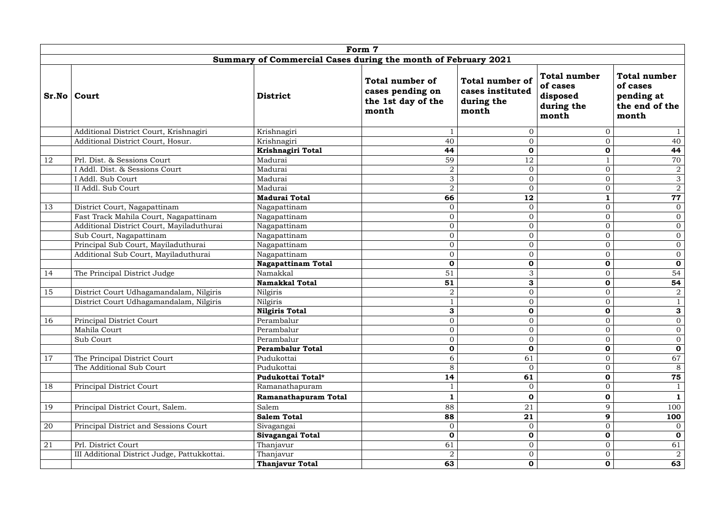|    |                                              |                                                               | Form 7                                                                    |                                                                   |                                                                    |                                                                          |
|----|----------------------------------------------|---------------------------------------------------------------|---------------------------------------------------------------------------|-------------------------------------------------------------------|--------------------------------------------------------------------|--------------------------------------------------------------------------|
|    |                                              | Summary of Commercial Cases during the month of February 2021 |                                                                           |                                                                   |                                                                    |                                                                          |
|    | Sr.No   Court                                | <b>District</b>                                               | <b>Total number of</b><br>cases pending on<br>the 1st day of the<br>month | <b>Total number of</b><br>cases instituted<br>during the<br>month | <b>Total number</b><br>of cases<br>disposed<br>during the<br>month | <b>Total number</b><br>of cases<br>pending at<br>the end of the<br>month |
|    | Additional District Court, Krishnagiri       | Krishnagiri                                                   |                                                                           | $\overline{0}$                                                    | $\overline{0}$                                                     |                                                                          |
|    | Additional District Court, Hosur.            | Krishnagiri                                                   | 40                                                                        | $\overline{0}$                                                    | $\overline{0}$                                                     | 40                                                                       |
|    |                                              | Krishnagiri Total                                             | 44                                                                        | $\mathbf 0$                                                       | $\mathbf 0$                                                        | 44                                                                       |
| 12 | Prl. Dist. & Sessions Court                  | Madurai                                                       | 59                                                                        | 12                                                                |                                                                    | 70                                                                       |
|    | I Addl. Dist. & Sessions Court               | Madurai                                                       | $\overline{2}$                                                            | $\overline{0}$                                                    | $\overline{0}$                                                     | $\overline{2}$                                                           |
|    | I Addl. Sub Court                            | Madurai                                                       | 3                                                                         | $\overline{O}$                                                    | $\overline{0}$                                                     | $\mathfrak{Z}$                                                           |
|    | II Addl. Sub Court                           | Madurai                                                       | $\overline{2}$                                                            | $\overline{0}$                                                    | $\overline{0}$                                                     | $\overline{a}$                                                           |
|    |                                              | <b>Madurai Total</b>                                          | 66                                                                        | 12                                                                | $\mathbf 1$                                                        | 77                                                                       |
| 13 | District Court, Nagapattinam                 | Nagapattinam                                                  | $\overline{0}$                                                            | $\overline{0}$                                                    | $\overline{0}$                                                     | $\overline{0}$                                                           |
|    | Fast Track Mahila Court, Nagapattinam        | Nagapattinam                                                  | $\overline{0}$                                                            | $\overline{O}$                                                    | $\overline{0}$                                                     | $\overline{0}$                                                           |
|    | Additional District Court, Mayiladuthurai    | Nagapattinam                                                  | $\overline{0}$                                                            | $\overline{0}$                                                    | $\overline{O}$                                                     | $\overline{0}$                                                           |
|    | Sub Court, Nagapattinam                      | Nagapattinam                                                  | $\overline{0}$                                                            | $\overline{0}$                                                    | $\overline{0}$                                                     | $\overline{0}$                                                           |
|    | Principal Sub Court, Mayiladuthurai          | Nagapattinam                                                  | $\overline{0}$                                                            | $\overline{0}$                                                    | $\overline{0}$                                                     | $\overline{0}$                                                           |
|    | Additional Sub Court, Mayiladuthurai         | Nagapattinam                                                  | $\overline{0}$                                                            | $\overline{O}$                                                    | $\overline{0}$                                                     | $\overline{0}$                                                           |
|    |                                              | <b>Nagapattinam Total</b>                                     | $\mathbf 0$                                                               | 0                                                                 | $\mathbf 0$                                                        | $\mathbf 0$                                                              |
| 14 | The Principal District Judge                 | Namakkal                                                      | 51                                                                        | 3                                                                 | $\overline{0}$                                                     | 54                                                                       |
|    |                                              | <b>Namakkal Total</b>                                         | 51                                                                        | 3                                                                 | $\mathbf 0$                                                        | 54                                                                       |
| 15 | District Court Udhagamandalam, Nilgiris      | Nilgiris                                                      | $\overline{2}$                                                            | $\overline{0}$                                                    | $\overline{0}$                                                     | $\overline{2}$                                                           |
|    | District Court Udhagamandalam, Nilgiris      | Nilgiris                                                      |                                                                           | $\overline{O}$                                                    | $\overline{0}$                                                     | $\mathbf{1}$                                                             |
|    |                                              | <b>Nilgiris Total</b>                                         | 3                                                                         | $\mathbf 0$                                                       | $\mathbf 0$                                                        | 3                                                                        |
| 16 | Principal District Court                     | Perambalur                                                    | $\overline{0}$                                                            | $\overline{O}$                                                    | $\boldsymbol{0}$                                                   | $\overline{0}$                                                           |
|    | Mahila Court                                 | Perambalur                                                    | $\overline{0}$                                                            | $\overline{O}$                                                    | $\overline{0}$                                                     | $\overline{0}$                                                           |
|    | Sub Court                                    | Perambalur                                                    | $\overline{0}$                                                            | $\overline{O}$                                                    | $\overline{0}$                                                     | $\overline{0}$                                                           |
|    |                                              | <b>Perambalur Total</b>                                       | $\mathbf 0$                                                               | $\mathbf 0$                                                       | $\mathbf 0$                                                        | $\mathbf 0$                                                              |
| 17 | The Principal District Court                 | Pudukottai                                                    | 6                                                                         | 61                                                                | $\overline{0}$                                                     | 67                                                                       |
|    | The Additional Sub Court                     | Pudukottai                                                    | 8                                                                         | $\overline{0}$                                                    | $\overline{0}$                                                     | 8                                                                        |
|    |                                              | Pudukottai Total*                                             | 14                                                                        | 61                                                                | $\mathbf 0$                                                        | 75                                                                       |
| 18 | Principal District Court                     | Ramanathapuram                                                |                                                                           | $\overline{0}$                                                    | $\boldsymbol{0}$                                                   |                                                                          |
|    |                                              | Ramanathapuram Total                                          |                                                                           | $\mathbf 0$                                                       | $\mathbf 0$                                                        | $\mathbf{1}$                                                             |
| 19 | Principal District Court, Salem.             | Salem                                                         | 88                                                                        | 21                                                                | 9                                                                  | 100                                                                      |
|    |                                              | <b>Salem Total</b>                                            | 88                                                                        | 21                                                                | 9                                                                  | 100                                                                      |
| 20 | Principal District and Sessions Court        | Sivagangai                                                    | $\overline{0}$                                                            | $\overline{0}$                                                    | $\mathbf 0$                                                        | $\overline{0}$                                                           |
|    |                                              | Sivagangai Total                                              | $\mathbf 0$                                                               | $\mathbf 0$                                                       | $\mathbf 0$                                                        | $\mathbf 0$                                                              |
| 21 | Prl. District Court                          | Thanjavur                                                     | 61                                                                        | $\overline{0}$                                                    | $\overline{0}$                                                     | 61                                                                       |
|    | III Additional District Judge, Pattukkottai. | Thanjavur                                                     | $\overline{2}$                                                            | $\overline{0}$                                                    | $\overline{0}$                                                     | $\overline{2}$                                                           |
|    |                                              | <b>Thanjavur Total</b>                                        | 63                                                                        | $\mathbf 0$                                                       | $\mathbf 0$                                                        | 63                                                                       |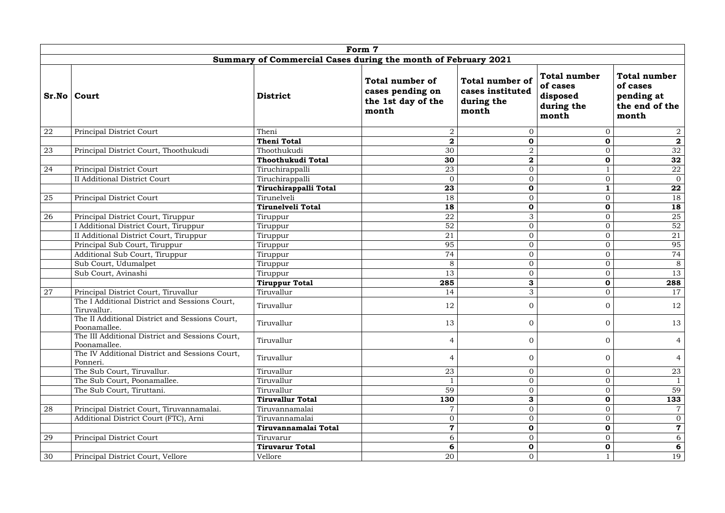|    |                                                                 |                                                               | Form 7                                                             |                                                                   |                                                                    |                                                                          |
|----|-----------------------------------------------------------------|---------------------------------------------------------------|--------------------------------------------------------------------|-------------------------------------------------------------------|--------------------------------------------------------------------|--------------------------------------------------------------------------|
|    |                                                                 | Summary of Commercial Cases during the month of February 2021 |                                                                    |                                                                   |                                                                    |                                                                          |
|    | Sr.No   Court                                                   | <b>District</b>                                               | Total number of<br>cases pending on<br>the 1st day of the<br>month | <b>Total number of</b><br>cases instituted<br>during the<br>month | <b>Total number</b><br>of cases<br>disposed<br>during the<br>month | <b>Total number</b><br>of cases<br>pending at<br>the end of the<br>month |
| 22 | Principal District Court                                        | Theni                                                         | $\overline{2}$                                                     | $\overline{0}$                                                    | $\overline{0}$                                                     | $\overline{2}$                                                           |
|    |                                                                 | <b>Theni Total</b>                                            | $\overline{\mathbf{2}}$                                            | $\mathbf 0$                                                       | $\mathbf 0$                                                        | $\mathbf 2$                                                              |
| 23 | Principal District Court, Thoothukudi                           | Thoothukudi                                                   | 30                                                                 | $\overline{2}$                                                    | $\overline{0}$                                                     | $\overline{32}$                                                          |
|    |                                                                 | Thoothukudi Total                                             | 30                                                                 | $\bf{2}$                                                          | $\mathbf 0$                                                        | 32                                                                       |
| 24 | Principal District Court                                        | Tiruchirappalli                                               | 23                                                                 | $\boldsymbol{0}$                                                  | $\mathbf{1}$                                                       | ${\bf 22}$                                                               |
|    | <b>II Additional District Court</b>                             | Tiruchirappalli                                               | $\Omega$                                                           | $\Omega$                                                          | $\overline{0}$                                                     | $\overline{0}$                                                           |
|    |                                                                 | Tiruchirappalli Total                                         | 23                                                                 | $\mathbf 0$                                                       | $\mathbf{1}$                                                       | 22                                                                       |
| 25 | Principal District Court                                        | Tirunelveli                                                   | 18                                                                 | $\overline{0}$                                                    | $\overline{0}$                                                     | 18                                                                       |
|    |                                                                 | <b>Tirunelveli Total</b>                                      | 18                                                                 | $\mathbf 0$                                                       | $\mathbf 0$                                                        | 18                                                                       |
| 26 | Principal District Court, Tiruppur                              | Tiruppur                                                      | 22                                                                 | 3                                                                 | $\overline{0}$                                                     | 25                                                                       |
|    | I Additional District Court, Tiruppur                           | Tiruppur                                                      | 52                                                                 | $\overline{0}$                                                    | $\overline{O}$                                                     | 52                                                                       |
|    | II Additional District Court, Tiruppur                          | Tiruppur                                                      | 21                                                                 | $\boldsymbol{0}$                                                  | $\overline{O}$                                                     | 21                                                                       |
|    | Principal Sub Court, Tiruppur                                   | Tiruppur                                                      | 95                                                                 | $\overline{O}$                                                    | $\overline{O}$                                                     | 95                                                                       |
|    | Additional Sub Court, Tiruppur                                  | Tiruppur                                                      | 74                                                                 | $\overline{O}$                                                    | $\overline{O}$                                                     | 74                                                                       |
|    | Sub Court, Udumalpet                                            | Tiruppur                                                      | 8                                                                  | $\overline{0}$                                                    | $\overline{0}$                                                     | 8                                                                        |
|    | Sub Court, Avinashi                                             | Tiruppur                                                      | 13                                                                 | $\overline{O}$                                                    | $\overline{O}$                                                     | 13                                                                       |
|    |                                                                 | <b>Tiruppur Total</b>                                         | 285                                                                | 3                                                                 | $\mathbf 0$                                                        | 288                                                                      |
| 27 | Principal District Court, Tiruvallur                            | Tiruvallur                                                    | 14                                                                 | 3                                                                 | $\overline{O}$                                                     | 17                                                                       |
|    | The I Additional District and Sessions Court,<br>Tiruvallur.    | Tiruvallur                                                    | 12                                                                 | $\Omega$                                                          | $\overline{0}$                                                     | 12                                                                       |
|    | The II Additional District and Sessions Court,<br>Poonamallee.  | Tiruvallur                                                    | 13                                                                 | $\overline{0}$                                                    | $\mathbf{0}$                                                       | 13                                                                       |
|    | The III Additional District and Sessions Court,<br>Poonamallee. | Tiruvallur                                                    | $\overline{4}$                                                     | $\overline{0}$                                                    | $\overline{0}$                                                     | $\overline{4}$                                                           |
|    | The IV Additional District and Sessions Court,<br>Ponneri.      | Tiruvallur                                                    | 4                                                                  | $\Omega$                                                          | $\overline{0}$                                                     | 4                                                                        |
|    | The Sub Court, Tiruvallur.                                      | Tiruvallur                                                    | 23                                                                 | $\overline{0}$                                                    | $\overline{O}$                                                     | 23                                                                       |
|    | The Sub Court, Poonamallee.                                     | Tiruvallur                                                    |                                                                    | $\Omega$                                                          | $\overline{0}$                                                     | $\mathbf{1}$                                                             |
|    | The Sub Court, Tiruttani.                                       | Tiruvallur                                                    | 59                                                                 | $\Omega$                                                          | $\overline{0}$                                                     | 59                                                                       |
|    |                                                                 | <b>Tiruvallur Total</b>                                       | 130                                                                | 3                                                                 | $\mathbf 0$                                                        | 133                                                                      |
| 28 | Principal District Court, Tiruvannamalai.                       | Tiruvannamalai                                                |                                                                    | $\Omega$                                                          | $\overline{0}$                                                     |                                                                          |
|    | Additional District Court (FTC), Arni                           | Tiruvannamalai                                                | $\overline{0}$                                                     | $\Omega$                                                          | $\boldsymbol{0}$                                                   | $\overline{0}$                                                           |
|    |                                                                 | Tiruvannamalai Total                                          | $\mathbf 7$                                                        | $\mathbf 0$                                                       | $\mathbf 0$                                                        | $\mathbf 7$                                                              |
| 29 | Principal District Court                                        | Tiruvarur                                                     | 6                                                                  | $\Omega$                                                          | $\overline{0}$                                                     | 6                                                                        |
|    |                                                                 | <b>Tiruvarur Total</b>                                        | 6                                                                  | $\mathbf 0$                                                       | $\mathbf 0$                                                        | 6                                                                        |
| 30 | Principal District Court, Vellore                               | Vellore                                                       | 20                                                                 | $\overline{0}$                                                    | $\mathbf{1}$                                                       | 19                                                                       |